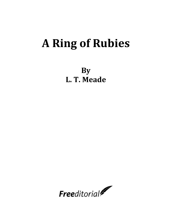# **A Ring of Rubies**

**By L. T. Meade**

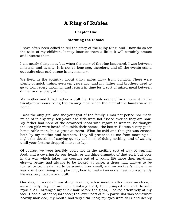# **A Ring of Rubies**

# **Chapter One**

# **Storming the Citadel**

I have often been asked to tell the story of the Ruby Ring, and I now do so for the sake of my children. It may instruct them a little; it will certainly amuse and interest them.

I am nearly thirty now, but when the story of the ring happened, I was between nineteen and twenty. It is not so long ago, therefore, and all the events stand out quite clear and strong in my memory.

We lived in the country, about thirty miles away from London. There were plenty of quick trains, even ten years ago, and my father and brothers used to go to town every morning, and return in time for a sort of mixed meal between dinner and supper, at night.

My mother and I had rather a dull life; the only event of any moment in the twenty-four hours being the evening meal when the men of the family were at home.

I was the only girl, and the youngest of the family. I was not petted nor made much of in any way; ten years ago girls were not fussed over as they are now. My father had none of the advanced ideas with regard to women; he thought the less girls were heard of outside their homes, the better. He was a very good, honourable man, but a great autocrat. What he said and thought was echoed both by my mother and brothers. They all preached to me from morning till night the doctrine of staying quietly at home, of doing nothing, and of waiting until your fortune dropped into your lap.

Of course, we were horribly poor; not in the exciting sort of way of wanting food, and a covering for our heads, or anything dramatic of that sort; but poor in the way which takes the courage out of a young life more than anything else—a penny had always to be looked at twice, a dress had always to be turned twice, meals had to be scanty, fires small, and my mother"s whole time was spent contriving and planning how to make two ends meet, consequently life was very narrow and dull.

One day, on a certain sunshiny morning, a few months after I was nineteen, I awoke early, lay for an hour thinking hard, then jumped up and dressed myself. As I arranged my thick hair before the glass, I looked attentively at my face. I had a rather square face; the lower part of it in particular was somewhat heavily moulded; my mouth had very firm lines; my eyes were dark and deeply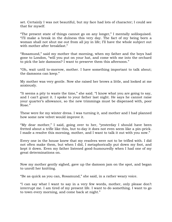set. Certainly I was not beautiful, but my face had lots of character; I could see that for myself.

"The present state of things cannot go on any longer," I mentally soliloquised. "I"ll make a break in the dulness this very day. The fact of my being born a woman shall not shut me out from all joy in life; I"ll have the whole subject out with mother after breakfast."

"Rosamund," said my mother that morning, when my father and the boys had gone to London, "will you put on your hat, and come with me into the orchard to pick the late damsons? I want to preserve them this afternoon."

"Oh, wait until to-morrow, mother. I have something important to talk about; the damsons can keep."

My mother was very gentle. Now she raised her brows a little, and looked at me anxiously.

"It seems a pity to waste the time," she said. "I know what you are going to say, and I can"t grant it. I spoke to your father last night. He says he cannot raise your quarter's allowance, so the new trimmings must be dispensed with, poor Rose."

These were for my winter dress. I was turning it, and mother and I had planned how some new velvet would improve it.

"My dear mother," I said, going over to her, "yesterday I should have been fretted about a trifle like this, but to-day it does not even seem like a pin-prick. I made a resolve this morning, mother, and I want to talk it out with you now."

Every one in the house knew that my resolves were not to be trifled with. I did not often make them, but when I did, I metaphorically put down my foot, and kept it down. Even my father listened good-humouredly when I had one of my great determinations on.

Now my mother gently sighed, gave up the damson jam on the spot, and began to unroll her knitting.

"Be as quick as you can, Rosamund," she said, in a rather weary voice.

"I can say what I want to say in a very few words, mother, only please don"t interrupt me. I am tired of my present life. I want to do something. I want to go to town every morning, and come back at night."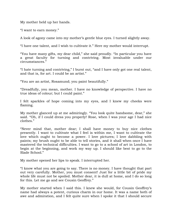My mother held up her hands.

"I want to earn money."

A look of agony came into my mother"s gentle blue eyes. I turned slightly away.

"I have one talent, and I wish to cultivate it." Here my mother would interrupt.

"You have many gifts, my dear child," she said proudly. "In particular you have a great faculty for turning and contriving. Most invaluable under our circumstances."

"I hate turning and contriving," I burst out, "and I have only got one real talent, and that is, for art. I could be an artist."

"You are an artist, Rosamund; you paint beautifully."

"Dreadfully, you mean, mother. I have no knowledge of perspective. I have no true ideas of colour; but I could paint."

I felt sparkles of hope coming into my eyes, and I knew my cheeks were flaming.

My mother glanced up at me admiringly. "You look quite handsome, dear," she said. "Oh, if I could dress you properly! Rose, when I was your age I had nice clothes."

"Never mind that, mother dear; I shall have money to buy nice clothes presently. I want to cultivate what I feel is within me, I want to cultivate the love which ought to become a power. I love pictures; I love dabbling with paints; my brush ought to be able to tell stories, and it shall when once I have mastered the technical difficulties. I want to go to a school of art in London, to begin at the beginning, and work my way up. I should like best to go to the Slade School."

My mother opened her lips to speak. I interrupted her.

"I know what you are going to say. There is no money. I have thought that part out very carefully. Mother, you must consent! Just for a little bit of pride my whole life must not be spoiled. Mother dear, it is dull at home, and I do so long for this. Let me go and see Cousin Geoffrey."

My mother started when I said this. I knew she would, for Cousin Geoffrey"s name had always a potent, curious charm in our home. It was a name both of awe and admiration, and I felt quite sure when I spoke it that I should secure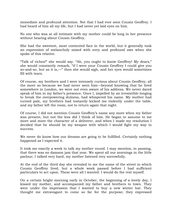immediate and profound attention. Not that I had ever seen Cousin Geoffrey. I had heard of him all my life, but I had never yet laid eyes on him.

No one who was at all intimate with my mother could be long in her presence without hearing about Cousin Geoffrey.

She had the sweetest, most contented face in the world, but it generally took an expression of melancholy mixed with envy and profound awe when she spoke of this relative.

"Talk of riches!" she would say. "Ah, you ought to know Geoffrey! My dears," she would constantly remark, "if I were your Cousin Geoffrey I could give you so-and-so, but as it is,—" then she would sigh, and her eyes would sometimes fill with tears.

Of course, my brothers and I were intensely curious about Cousin Geoffrey; all the more so because we had never seen him—beyond knowing that he lived somewhere in London, we were not even aware of his address. We never dared speak of him in my father's presence. Once I, impelled by an irresistible longing to break the overpowering dulness, had whispered his name. My mother had turned pale, my brothers had instantly kicked me violently under the table, and my father left the room, not to return again that night.

Of course, I did not mention Cousin Geoffrey"s name any more when my father was present, but not the less did I think of him. He began to assume to me more and more the character of a deliverer, and when I made my resolution I decided that he should be my weapon with which I would fight my way to success.

We never do know how our dreams are going to be fulfilled. Certainly nothing happened as I expected it.

It took me exactly a week to talk my mother round. I may mention, in passing, that there was no damson jam that year. We spent all our mornings in the little parlour; I talked very hard, my mother listened very sorrowfully.

At the end of the third day she revealed to me the name of the street in which Cousin Geoffrey lived, but a whole week passed before I had sufficient particulars to act upon. These were all I wanted. I would do the rest myself.

On a certain bright morning early in October, the beginning of a lovely day, I kissed my mother, and accompanied my father and brothers to town. They were under the impression that I wanted to buy a new winter hat. They thought me extravagant to come so far for the purpose; they expressed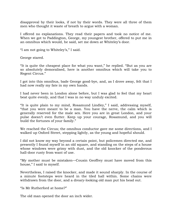disapproval by their looks, if not by their words. They were all three of them men who thought it waste of breath to argue with a woman.

I offered no explanations. They read their papers and took no notice of me. When we got to Paddington, George, my youngest brother, offered to put me in an omnibus which would, he said, set me down at Whiteley"s door.

"I am not going to Whiteley"s," I said.

George stared.

"It is quite the cheapest place for what you want," he replied. "But as you are so absolutely demoralised, here is another omnibus which will take you to Regent Circus."

I got into this omnibus, bade George good-bye, and, as I drove away, felt that I had now really my fate in my own hands.

I had never been in London alone before, but I was glad to feel that my heart beat quite evenly, and that I was in no way unduly excited.

"It is quite plain to my mind, Rosamund Lindley," I said, addressing myself, "that you were meant to be a man. You have the nerve, the calm which is generally reserved for the male sex. Here you are in great London, and your pulse doesn't even flutter. Keep up your courage, Rosamund, and you will build the fortunes of your family."

We reached the Circus; the omnibus conductor gave me some directions, and I walked up Oxford Street, stepping lightly, as the young and hopeful should.

I did not know my way beyond a certain point, but policemen directed me, and presently I found myself in an old square, and standing on the steps of a house whose windows were grimy with dust, and the old knocker of the ponderous hall-door rusty from want of use.

"My mother must be mistaken—Cousin Geoffrey must have moved from this house," I said to myself.

Nevertheless, I raised the knocker, and made it sound sharply. In the course of a minute footsteps were heard in the tiled hall within. Some chains were withdrawn from the door, and a dreary-looking old man put his head out.

"Is Mr Rutherford at home?"

The old man opened the door an inch wider.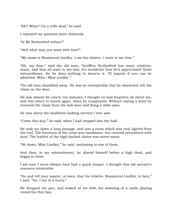"Eh? What? I"m a trifle deaf," he said.

I repeated my question more distinctly.

"Is Mr Rutherford within?"

"And what may you want with him?"

"My name is Rosamund Lindley. I am his relative. I want to see him."

"Eh, my dear," said the old man; "Geoffrey Rutherford has many relatives, many, and they all want to see him. It's wonderful how he's appreciated! Quite extraordinary, for he does nothing to deserve it. I"ll inquire if you can be admitted, Miss—Miss Lindley."

The old man shambled away. He was so inhospitable that he absolutely left the chain on the door.

He was absent for nearly ten minutes. I thought he had forgotten all about me, and was about to knock again, when he reappeared. Without saying a word he removed the chain from the hall-door and flung it wide open.

He was about the shabbiest-looking servant I ever saw.

"Come this way," he said, when I had stepped into the hall.

He took me down a long passage, and into a room which was only lighted from the roof. The furniture of the room was handsome, but covered everywhere with dust. The leather of the high-backed chairs was worm-eaten.

"Sit down, Miss Lindley," he said, motioning to one of them.

And then, to my astonishment, he placed himself before a high desk, and began to write.

I am sure I must always have had a quick temper. I thought this old servant's manners intolerable.

"Go and tell your master, at once, that his relative, Rosamund Lindley, is here," I said. "Go, I am in a hurry."

He dropped his pen, and looked at me with the dawning of a smile playing round his thin lips.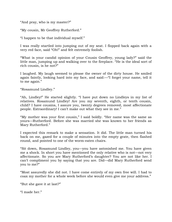"And pray, who is my master?"

"My cousin, Mr Geoffrey Rutherford."

"I happen to be that individual myself."

I was really startled into jumping out of my seat. I flopped back again with a very red face, said "Oh!" and felt extremely foolish.

"What is your candid opinion of your Cousin Geoffrey, young lady?" said the little man, jumping up and walking over to the fireplace. "He is the ideal sort of rich cousin, is he not?"

I laughed. My laugh seemed to please the owner of the dirty house. He smiled again faintly, looking hard into my face, and said:—"I forget your name, tell it to me again."

"Rosamund Lindley."

"Ah, Lindley!" He started slightly. "I have put down no Lindleys in my list of relatives. Rosamund Lindley! Are you my seventh, eighth, or tenth cousin, child? I have cousins, I assure you, twenty degrees removed, most affectionate people. Extraordinary! I can"t make out what they see in me."

"My mother was your first cousin," I said boldly. "Her name was the same as yours—Rutherford. Before she was married she was known to her friends as Mary Rutherford."

I expected this remark to make a sensation. It did. The little man turned his back on me, gazed for a couple of minutes into the empty grate, then flashed round, and pointed to one of the worm-eaten chairs.

"Sit down, Rosamund Lindley, you—you have astonished me. You have given me a shock. In short you have mentioned the only relative who is not—not very affectionate. So you are Mary Rutherford"s daughter? You are not like her. I can"t compliment you by saying that you are. Did—did Mary Rutherford send you to me?"

"Most assuredly she did not. I have come entirely of my own free will. I had to coax my mother for a whole week before she would even give me your address."

"But she gave it at last?"

"I made her."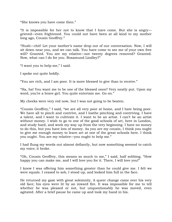"She knows you have come then."

"It is impossible for her not to know that I have come. But she is angry grieved—even frightened. You could not have been at all kind to my mother long ago, Cousin Geoffrey."

"Hush—chit! Let your mother"s name drop out of our conversation. Now, I will sit down near you, and we can talk. You have come to see me of your own free will? Granted. You are my relative—not twenty degrees removed? Granted. Now, what can I do for you. Rosamund Lindley?"

"I want you to help me," I said.

I spoke out quite boldly.

"You are rich, and I am poor. It is more blessed to give than to receive."

"Ha, ha! You want me to be one of the blessed ones? Very neatly put. Upon my word, you're a brave girl. You quite entertain me. Go on."

My cheeks were very red now, but I was not going to be beaten.

"Cousin Geoffrey," I said, "we are all very poor at home, and I hate being poor. We have all to pinch and contrive, and I loathe pinching and contriving. I have a talent, and I want to cultivate it. I want to be an artist. I can"t be an artist without money. I wish to go to one of the good schools of art, here in London, and study hard, and work my way up from the very beginning. I have no money to do this, but you have lots of money. As you are my cousin, I think you ought to give me enough money to learn art at one of the great schools here. I think you ought. You are my relative—you ought to help me."

I had flung my words out almost defiantly, but now something seemed to catch my voice; it broke.

"Oh, Cousin Geoffrey, this means so much to me," I said, half sobbing. "How happy you can make me, and I will love you for it. There, I will love you!"

I knew I was offering him something greater than he could give me. I felt we were equals. I ceased to sob, I stood up, and looked him full in the face.

He returned my gaze with great solemnity. A queer change came over his very old face; his eyes were lit by an inward fire. It was impossible for me to tell whether he was pleased or not, but unquestionably he was moved, even agitated. After a brief pause he came up and took my hand in his.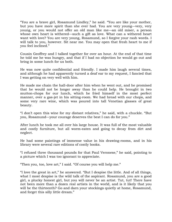"You are a brave girl, Rosamund Lindley," he said. "You are like your mother, but you have more spirit than she ever had. You are very young—very, very young, or you would not offer an old man like me—an old miser, a person whose own heart is withered—such a gift as love. What can a withered heart want with love? You are very young, Rosamund, so I forgive your rash words. I will talk to you, however. Sit near me. You may open that fresh heart to me if you feel inclined."

Cousin Geoffrey and I talked together for over an hour. At the end of that time he told me he was hungry, and that if I had no objection he would go out and bring in some lunch for us both.

He was now quite confidential and friendly. I made him laugh several times, and although he had apparently turned a deaf ear to my request, I fancied that I was getting on very well with him.

He made me chain the hall-door after him when he went out, and he promised that he would not be longer away than he could help. He brought in two mutton-chops for our lunch, which he fried himself in the most perfect manner, over a gas-jet in his sitting-room. We had bread with our chops, and some very rare wine, which was poured into tall Venetian glasses of great beauty.

"I don"t open this wine for my distant relatives," he said, with a chuckle. "But you, Rosamund—your courage deserves the best I can do for you."

After lunch he took me all over his large house. It was full of the most valuable and costly furniture, but all worm-eaten and going to decay from dirt and neglect.

He had some paintings of immense value in his drawing-rooms, and in his library were several rare editions of costly books.

"I refused three thousand pounds for that Paul Veronese," he said, pointing to a picture which I was too ignorant to appreciate.

"Then you, too, love art," I said. "Of course you will help me."

"I love the great in art," he answered. "But I despise the little. And of all things, what I most despise is the wild talk of the aspirant. Rosamund, you are a good girl, a plucky honest girl, but you will never be an artist. Tut, tut! There have not been more than a dozen real artists in the world, and is it likely that you will be the thirteenth? Go and darn your stockings quietly at home, Rosamund, and forget this silly little dream."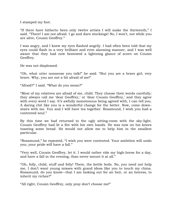I stamped my foot.

"If there have hitherto been only twelve artists I will make the thirteenth," I said. "There! I am not afraid. I go and darn stockings! No, I won't, not while you are alive, Cousin Geoffrey."

I was angry, and I knew my eyes flashed angrily. I had often been told that my eyes could flash in a very brilliant and even alarming manner, and I was well aware that they had now bestowed a lightning glance of scorn on Cousin Geoffrey.

He was not displeased.

"Oh, what utter nonsense you talk!" he said. "But you are a brave girl, very brave. Why, you are not a bit afraid of me!"

"Afraid?" I said. "What do you mean?"

"Most of my relatives are afraid of me, child. They choose their words carefully; they always call me 'dear Geoffrey,' or 'dear Cousin Geoffrey,' and they agree with every word I say. It's awfully monotonous being agreed with, I can tell you. A daring chit like you is a wonderful change for the better. Now, come downstairs with me. You and I will have tea together. Rosamund, I wish you had a contented soul."

By this time we had returned to the ugly sitting-room with the sky-light. Cousin Geoffrey had lit a fire with his own hands. He was now on his knees toasting some bread. He would not allow me to help him in the smallest particular.

"Rosamund," he repeated, "I wish you were contented. Your ambition will undo you; your pride will have a fall."

"Very well, Cousin Geoffrey, let it. I would rather ride my high-horse for a day, and have a fall in the evening, than never mount it at all."

"Oh, folly, child, stuff and folly! There, the kettle boils. No, you need not help me, I don"t want young misses with grand ideas like you to touch my china. Rosamund, do you know—that I am looking out for an heir, or an heiress, to inherit my riches?"

"All right, Cousin Geoffrey, only pray don"t choose me!"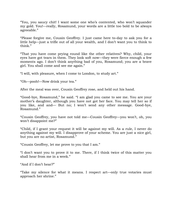"You, you saucy chit! I want some one who"s contented, who won"t squander my gold. You!—really, Rosamund, your words are a little too bold to be always agreeable."

"Please forgive me, Cousin Geoffrey. I just came here to-day to ask you for a little help—just a trifle out of all your wealth, and I don"t want you to think to think."

"That you have come prying round like the other relatives? Why, child, your eyes have got tears in them. They look soft now—they were fierce enough a few moments ago. I don"t think anything bad of you, Rosamund; you are a brave girl. You shall come and see me again."

"I will, with pleasure, when I come to London, to study art."

"Oh—pooh!—Now drink your tea."

After the meal was over, Cousin Geoffrey rose, and held out his hand.

"Good-bye, Rosamund," he said. "I am glad you came to see me. You are your mother"s daughter, although you have not got her face. You may tell her so if you like, and and— But no; I won't send any other message. Good-bye, Rosamund."

"Cousin Geoffrey, you have not told me—Cousin Geoffrey—you won"t, oh, you won"t disappoint me?"

"Child, if I grant your request it will be against my will. As a rule, I never do anything against my will. I disapprove of your scheme. You are just a nice girl, but you are no artist, Rosamund."

"Cousin Geoffrey, let me prove to you that I am."

"I don"t want you to prove it to me. There, if I think twice of this matter you shall hear from me in a week."

"And if I don"t hear?"

"Take my silence for what it means. I respect art—only true votaries must approach her shrine."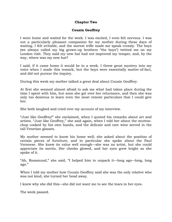#### **Chapter Two**

#### **Cousin Geoffrey**

I went home and waited for the week. I was excited, I even felt nervous. I was not a particularly pleasant companion for my mother during these days of waiting. I felt irritable, and the merest trifle made me speak crossly. The boys (we always called my big grown-up brothers "the boys") twitted me on my London visit. They said my new hat had not improved my temper, and, by the way, where was my new hat?

I said, if it came home it would be in a week. I threw great mystery into my voice when I made this remark, but the boys were essentially matter-of-fact, and did not pursue the inquiry.

During this week my mother talked a great deal about Cousin Geoffrey.

At first she seemed almost afraid to ask me what had taken place during the time I spent with him, but soon she got over her reluctance, and then she was only too desirous to learn even the most remote particulars that I could give her.

She both laughed and cried over my account of my interview.

"Just like Geoffrey!" she exclaimed, when I quoted his remarks about art and artists. "Just like Geoffrey," she said again, when I told her about the muttonchop cooked by his own hands, and the delicate and rare wine served in the tall Venetian glasses.

My mother seemed to know his home well; she asked about the position of certain pieces of furniture, and in particular she spoke about the Paul Veronese. She knew its value well enough—she was no artist, but she could appreciate its merits. Her cheeks glowed, and her eyes grew bright as she spoke of it.

"Ah, Rosamund," she said, "I helped him to unpack it—long ago—long, long ago."

When I told my mother how Cousin Geoffrey said she was the only relative who was not kind, she turned her head away.

I knew why she did this—she did not want me to see the tears in her eyes.

The week passed.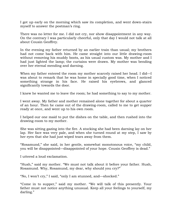I got up early on the morning which saw its completion, and went down-stairs myself to answer the postman's ring.

There was no letter for me. I did not cry, nor show disappointment in any way. On the contrary I was particularly cheerful, only that day I would not talk at all about Cousin Geoffrey.

In the evening my father returned by an earlier train than usual; my brothers had not come back with him. He came straight into our little drawing-room without removing his muddy boots, as his usual custom was. My mother and I had just lighted the lamp; the curtains were drawn. My mother was bending over her eternal mending and darning.

When my father entered the room my mother scarcely raised her head. I did—I was about to remark that he was home in specially good time, when I noticed something strange in his face. He raised his eyebrows, and glanced significantly towards the door.

I knew he wanted me to leave the room; he had something to say to my mother.

I went away. My father and mother remained alone together for about a quarter of an hour. Then he came out of the drawing-room, called to me to get supper ready at once, and went up to his own room.

I helped our one maid to put the dishes on the table, and then rushed into the drawing-room to my mother.

She was sitting gazing into the fire. A stocking she had been darning lay on her lap. Her face was very pale, and when she turned round at my step, I saw by her eyes that she had just wiped tears away from them.

"Rosamund," she said, in her gentle, somewhat monotonous voice, "my child, you will be disappointed—disappointed of your hope. Cousin Geoffrey is dead."

I uttered a loud exclamation.

"Hush," said my mother. "We must not talk about it before your father. Hush, Rosamund. Why, Rosamund, my dear, why should you cry?"

"No, I won"t cry," I said, "only I am stunned, and—shocked."

"Come in to supper," said my mother. "We will talk of this presently. Your father must not notice anything unusual. Keep all your feelings to yourself, my darling."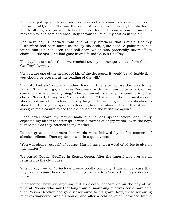Then she got up and kissed me. She was not a woman to kiss any one, even her own child, often. She was the sweetest woman in the world, but she found it difficult to give expression to her feelings. Her tender caress now did much to make up for the sore and absolutely certain fall of all my castles in the air.

The next day, I learned from one of my brothers that Cousin Geoffrey Rutherford had been found seated by his desk, quite dead. A policeman had found him. He had seen that hall-door, which was practically never off its chain, a little ajar, and had gone in and found Cousin Geoffrey.

The day but one after the news reached us, my mother got a letter from Cousin Geoffrey's lawyer.

"As you are one of the nearest of kin of the deceased, it would be advisable that you should be present at the reading of the will."

"I think, Andrew," said my mother, handing this letter across the table to my father, "that I will go, and take Rosamund with me; I am quite sure Geoffrey cannot have left me anything," she continued, a vivid pink coming into her cheek. "Indeed, I may add," she continued, "that under the circumstances I should not wish him to leave me anything, but it would give me gratification to show him the slight respect of attending his funeral—and I own that it would also give me pleasure to see the old house and the furniture again."

I had never heard my mother make such a long speech before, and I fully expected my father to interrupt it with a torrent of angry words. Even the boys turned pale as they listened to my mother.

To our great astonishment her words were followed by half a moment of absolute silence. Then my father said in a quiet voice:—

"You will please yourself, of course, Mary. I have not a word of advice to give on this matter."

We buried Cousin Geoffrey in Kensal Green. After the funeral was over we all returned to the old house.

When I say "we all," I include a very goodly company. I am almost sure that fifty people came home in mourning-coaches to Cousin Geoffrey"s desolate house.

It presented, however, anything but a desolate appearance on the day of his funeral. No one who saw that long train of mourning relatives could have said that Cousin Geoffrey had gone unsorrowed to his grave. Now, these sorrowing relatives wandered over his house, and after a cold collation, provided by the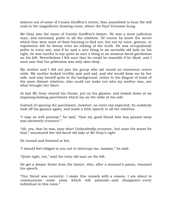lawyers out of some of Cousin Geoffrey's riches, they assembled to hear the will read in the magnificent drawing-room, where the Paul Veronese hung.

Mr Gray was the name of Cousin Geoffrey"s lawyer. He was a most judicious man, and extremely polite to all the relatives. Of course he knew the secret which they were most of them burning to find out, but not by voice, gesture, or expression did he betray even an inkling of the truth. He was scrupulously polite to every one, and if he said a nice thing to an excitable old lady on his right, he was careful to say quite as nice a thing to an anxious-faced gentleman on his left. Nevertheless I felt sure that he could be irascible if he liked, and I soon saw that his politeness was only skin-deep.

My mother and I did not join the group who sat round an enormous centre table. My mother looked terribly pale and sad, and she would keep me by her side, and stay herself quite in the background, rather to the disgust of some of the more distant relatives, who could not make out who my mother was, nor what brought her there.

At last Mr Gray cleared his throat, put on his glasses, and looked down at an imposing-looking parchment which lay on the table at his side.

Instead of opening the parchment, however, as every one expected, he suddenly took off his glasses again, and made a little speech to all the relatives.

"I may as well premise," he said, "that my good friend who has passed away was extremely eccentric."

"Ah, yes, that he was, poor dear! Undoubtedly eccentric, but none the worse for that," murmured the red-faced old lady at Mr Gray's right.

He turned and frowned at her.

"I should feel obliged to you not to interrupt me, madam," he said.

"Quite right, too," said the testy old man on the left.

He got a deeper frown from the lawyer, who, after a moment's pause, resumed his speech.

"Our friend was eccentric. I make this remark with a reason. I am about to communicate some news which will astonish—and disappoint—every individual in this room."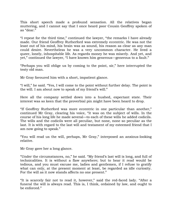This short speech made a profound sensation. All the relatives began muttering, and I cannot say that I once heard poor Cousin Geoffrey spoken of as "dear."

"I repeat for the third time," continued the lawyer, "the remarks I have already made. Our friend Geoffrey Rutherford was extremely eccentric. He was not the least out of his mind, his brain was as sound, his reason as clear as any man could desire. Nevertheless he was a very uncommon character. He lived a queer, lonely, inhospitable life. As regards money he was miserly. And yet, and yet," continued the lawyer, "I have known him generous—generous to a fault."

"Perhaps you will oblige us by coming to the point, sir," here interrupted the testy old man.

Mr Gray favoured him with a short, impatient glance.

"I will," he said. "Yes, I will come to the point without further delay. The point is the will. I am about now to speak of my friend's will."

Here all the company settled down into a hushed, expectant state. Their interest was so keen that the proverbial pin might have been heard to drop.

"If Geoffrey Rutherford was more eccentric in one particular than another," continued Mr Gray, clearing his voice, "it was on the subject of wills. In the course of his long life he made several—to each of these wills he added codicils. The wills and the codicils were all peculiar, but none, none so peculiar as the last. It is with regard to the last will and testament of my esteemed friend that I am now going to speak."

"You will read us the will, perhaps, Mr Gray," interposed an anxious-looking relative.

Mr Gray gave her a long glance.

"Under the circumstances, no," he said. "My friend"s last will is long, and full of technicalities. It is without a flaw anywhere; but to hear it read would be tedious, and you must excuse me, ladies and gentlemen, if I refuse to gratify what can only, at the present moment at least, be regarded as idle curiosity. For the will as it now stands affects no one present."

"It is scarcely fair not to read it, however," said the red-faced lady. "After a funeral the will is always read. This is, I think, ordained by law, and ought to be enforced."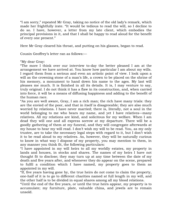"I am sorry," repeated Mr Gray, taking no notice of the old lady"s remark, which made her frightfully irate. "It would be tedious to read the will, so I decline to do so. I have, however, a letter from my late client, which embodies the principal provisions in it, and that I shall be happy to read aloud for the benefit of every one present."

Here Mr Gray cleared his throat, and putting on his glasses, began to read.

Cousin Geoffrey"s letter ran as follows:—

#### "My dear Gray:

"The more I think over our interview to-day the better pleased I am at the arrangement we have arrived at. You know how particular I am about my wills. I regard them from a serious and even an artistic point of view. I look upon a will as the crowning stone of a man's life, a crown to be placed on the shrine of his memory, a monument to hand down his name to the ages. My last will pleases me much. It is finished in all its details. It is, I may venture to say, truly original. I do not think it has a flaw in its construction, and, when carried into force, it will be a means of diffusing happiness and adding to the benefit of the human race.

"As you are well aware, Gray, I am a rich man; the rich have many trials: they are the envied of the poor, and that in itself is disagreeable; they are also much worried by relations. I have never married; there is, literally, not a soul in the world belonging to me who bears my name, and yet I have relatives—many relatives. All my relations are kind, and solicitous for my welfare. When I am dead they will one and all express sorrow at my departure. There will be a goodly gathering of them at my funeral, and they will congregate afterwards at my house to hear my will read. I don"t wish my will to be read. You, as my only trustee, are to take the necessary legal steps with regard to it, but I don"t wish it to be read aloud to my relatives. As, however, they will be naturally curious to know in what way I dispose of my property, you may mention to them, in any manner you think fit, the following particulars:

"I have appointed in my will heirs to all my worldly estates, my property in lands and houses, in stocks and shares. The names of my heirs I have not thought fit to disclose; they may turn up at any time between the date of my death and five years after, and whenever they do appear on the scene, prepared to fulfil a condition which I have named, my property goes to them as appointed in my will.

"If, five years having gone by, the true heirs do not come to claim the property, one-half of it is to go to different charities named at full length in my will, and the other half is to be divided in equal shares among all my blood relations.

"Until the end of the five years, or until the true heirs appear, my property is to accumulate; my furniture, plate, valuable china, and jewels are to remain unsold.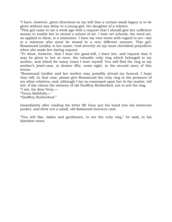"I have, however, given directions in my will that a certain small legacy is to be given without any delay to a young girl, the daughter of a relative.

"This girl came to me a week ago with a request that I should give her sufficient money to enable her to attend a school of art. I hate art schools; the word art, as applied to them, is a misnomer. I have my own views with regard to art—she is a mistress who must be wooed in a very different manner. This girl, Rosamund Lindley is her name, trod severely on my most cherished prejudices when she made her daring request.

"To show, however, that I bear her good-will, I leave her, and request that it may be given to her at once, the valuable ruby ring which belonged to my mother, and which for many years I wore myself. You will find the ring in my mother's jewel-case, in drawer fifty, room eight, in the second story of this house.

"Rosamund Lindley and her mother may possibly attend my funeral. I hope they will. In that case, please give Rosamund the ruby ring in the presence of my other relatives, and, although I lay no command upon her in the matter, tell her, if she values the memory of old Geoffrey Rutherford, not to sell the ring.

"I am, my dear Gray,—

"Yours faithfully,—

"Geoffrey Rutherford."

Immediately after reading the letter Mr Gray put his hand into his waistcoat pocket, and drew out a small, old-fashioned morocco case.

"You will like, ladies and gentlemen, to see the ruby ring," he said, in his blandest tones.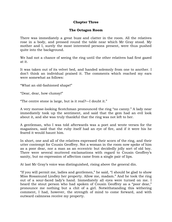# **Chapter Three**

# **The Octagon Room**

There was immediately a great buzz and clatter in the room. All the relatives rose in a body, and pressed round the table near which Mr Gray stood. My mother and I, surely the most interested persons present, were thus pushed quite into the background.

We had not a chance of seeing the ring until the other relatives had first gazed at it.

It was taken out of its velvet bed, and handed solemnly from one to another. I don"t think an individual praised it. The comments which reached my ears were somewhat as follows:

"What an old-fashioned shape!"

"Dear, dear, how clumsy!"

"The centre stone is large, but is it real?—I doubt it."

A very morose-looking Scotchman pronounced the ring "no canny." A lady near immediately took up the sentiment, and said that the gem had an evil look about it, and she was truly thankful that the ring was not left to her.

A gentleman, who I was told afterwards was a poet and wrote verses for the magazines, said that the ruby itself had an eye of fire, and if it were his he feared it would haunt him.

In short, one and all of the relatives expressed their scorn of the ring, and their utter contempt for Cousin Geoffrey. Not a woman in the room now spoke of him as a poor dear, nor a man as an eccentric but decidedly jolly sort of old boy. There were several muttered exclamations with regard to Cousin Geoffrey"s sanity, but no expression of affection came from a single pair of lips.

At last Mr Gray's voice was distinguished, rising above the general din.

"If you will permit me, ladies and gentlemen," he said, "I should be glad to show Miss Rosamund Lindley her property. Allow me, madam." And he took the ring out of a sour-faced lady"s hand. Immediately all eyes were turned on me. I heard the stout person who had spoken of Cousin Geoffrey as a "poor dear," pronounce me nothing but a chit of a girl. Notwithstanding this withering comment, I had, however, the strength of mind to come forward, and with outward calmness receive my property.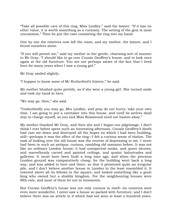"Take all possible care of this ring, Miss Lindley," said the lawyer. "If it has no other value, it is worth something as a curiosity. The setting of the gem is most uncommon." Then he put the case containing the ring into my hand.

One by one the relatives now left the room, and my mother, the lawyer, and I found ourselves alone.

"If you will permit me," said my mother in her gentle, charming sort of manner to Mr Gray, "I should like to go over Cousin Geoffrey"s house, and to look once again at the old furniture. You are not perhaps aware of the fact that I lived here for many years when I was a young girl."

Mr Gray smiled slightly.

"I happen to know some of Mr Rutherford"s history," he said.

My mother blushed quite prettily, as if she were a young girl. She turned aside and took my hand in hers.

"We may go, then," she said.

"Undoubtedly you may go, Mrs Lindley, and pray do not hurry; take your own time. I am going to put a caretaker into this house, and until he arrives shall stay in charge myself, so you and Miss Rosamund need not hasten away."

My mother thanked Mr Gray, and then she and I began our pilgrimage. I don"t think I ever before spent such an interesting afternoon. Cousin Geoffrey"s death had cast me down and destroyed all the hopes on which I had been building, still—perhaps it was the effect of the ring—I felt a curious sense of elation. The task of looking over the old house was the reverse of depressing to me. I never had been in such an antique, curious, rambling old mansion before. It was not like an ordinary London house; it had unexpected nooks, and queer alcoves, and marvellously carved and painted ceilings, and quaint balustrades and galleries. It must have been built a long time ago, and when the precious London ground was comparatively cheap, for the building went back a long way, and was added to here and there, so that it presented quite an irregular pile, and I don"t believe another house in London in the least resembled it. It towered above all its fellows in the square, and looked something like a great king who owned but a shabby kingdom. For the neighbouring houses were fifth-rate, and most of them let out in tenements.

But Cousin Geoffrey"s house was not only curious in itself—its contents were even more wonderful. I never saw a house so packed with furniture, and I don"t believe there was an article in it which had not seen at least a hundred years.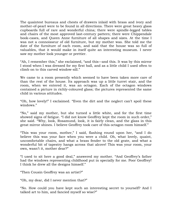The quaintest bureaus and chests of drawers inlaid with brass and ivory and mother-of-pearl were to be found in all directions. There were great heavy glass cupboards full of rare and wonderful china; there were spindle-legged tables and chairs of the most approved last-century pattern; there were Chippendale book-cases, and Queen Anne furniture of all shapes and sizes. At the time I was not a connoisseur of old furniture, but my mother was. She told me the date of the furniture of each room, and said that the house was so full of valuables, that it would make in itself quite an interesting museum. I never saw my mother look younger or prettier.

"Ah, I remember this," she exclaimed, "and this—and this. It was by this mirror I stood when I was dressed for my first ball, and as a little child I used often to climb on to this carved window-sill."

We came to a room presently which seemed to have been taken more care of than the rest of the house. Its approach was up a little turret stair, and the room, when we entered it, was an octagon. Each of the octagon windows contained a picture in richly-coloured glass; the pictures represented the same child in various attitudes.

"Oh, how lovely!" I exclaimed. "Even the dirt and the neglect can"t spoil these windows."

"No," said my mother, but she turned a little white, and for the first time showed signs of fatigue. "I did not know Geoffrey kept the room in such order," she said. "Why, look, Rosamund, look, it is fairly clean, and the glass in this great mirror shines. I believe Geoffrey took care of this octagon room himself."

"This was your room, mother," I said, flashing round upon her, "and I do believe this was your face when you were a child. Oh, what lovely, quaint, uncomfortable chairs, and what a brass fender to the old grate, and what a wonderful bit of tapestry hangs across that alcove! This was your room, your own, wasn"t it, mother dear?"

"I used to sit here a good deal," answered my mother. "And Geoffrey"s father had the windows representing childhood put in specially for me. Poor Geoffrey! I think he drew all the designs himself."

"Then Cousin Geoffrey was an artist?"

"Oh, my dear, did I never mention that?"

"No. How could you have kept such an interesting secret to yourself? And I talked art to him, and fancied myself so wise?"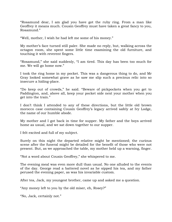"Rosamund dear, I am glad you have got the ruby ring. From a man like Geoffrey it means much. Cousin Geoffrey must have taken a great fancy to you, Rosamund."

"Well, mother, I wish he had left me some of his money."

My mother"s face turned still paler. She made no reply, but, walking across the octagon room, she spent some little time examining the old furniture, and touching it with reverent fingers.

"Rosamund," she said suddenly, "I am tired. This day has been too much for me. We will go home now."

I took the ring home in my pocket. This was a dangerous thing to do, and Mr Gray looked somewhat grave as he saw me slip such a precious relic into so insecure a hiding-place.

"Do keep out of crowds," he said. "Beware of pickpockets when you get to Paddington, and, above all, keep your pocket side next your mother when you get into the train."

I don"t think I attended to any of these directions, but the little old brown morocco case containing Cousin Geoffrey"s legacy arrived safely at Ivy Lodge, the name of our humble abode.

My mother and I got back in time for supper. My father and the boys arrived home as usual, and we sat down together to our supper.

I felt excited and full of my subject.

Surely on this night the departed relative might be mentioned; the curious scene after the funeral might be detailed for the benefit of those who were not present. But, as we approached the table, my mother held up a warning, finger.

"Not a word about Cousin Geoffrey," she whispered to me.

The evening meal was even more dull than usual. No one alluded to the events of the day. George read a battered novel as he sipped his tea, and my father perused the evening paper, as was his invariable custom.

After tea, Jack, my youngest brother, came up and asked me a question.

"Any money left to you by the old miser, eh, Rosey?"

"No, Jack, certainly not."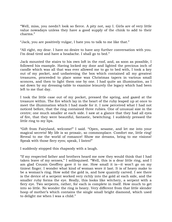"Well, miss, you needn"t look so fierce. A pity not, say I. Girls are of very little value nowadays unless they have a good supply of the chink to add to their charms."

"Jack, you are positively vulgar, I hate you to talk to me like that."

"All right, my dear. I have no desire to have any further conversation with you. I'm dead tired and have a headache. I shall go to bed."

Jack mounted the stairs to his own loft in the roof, and, as soon as possible, I followed his example. Having locked my door and lighted the precious inch of candle which was all that was ever allowed me to go to bed with, I took a key out of my pocket, and unfastening the box which contained all my greatest treasures, proceeded to place some wax Christmas tapers in various small sconces, and then to light them one by one. I had quite an illumination, as I sat down by my dressing-table to examine leisurely the legacy which had been left to me that day.

I took the little case out of my pocket, pressed the spring, and gazed at the treasure within. The fire which lay in the heart of the ruby leaped up at once to meet the illumination which I had made for it. I now perceived what I had not noticed before, that the ring contained three rubies. One of unusual size in the centre; one much smaller at each side. I saw at a glance that they had all eyes of fire, that they were beautiful, fantastic, bewitching. I suddenly pressed the little ring to my lips.

"Gift from Fairyland, welcome!" I said. "Open, sesame, and let me into your magical secrets! My life is so prosaic, so commonplace. Comfort me, little ring! Reveal to me the world of romance! Show me dreams, bring to me visions! Speak with those fiery eyes; speak, I listen!"

I suddenly stopped this rhapsody with a laugh.

"If my respected father and brothers heard me now they would think that I had taken leave of my senses," I soliloquised. "Well, this is a dear little ring, and I am glad Cousin Geoffrey gave it to me. How small it is—it won"t go on my tiniest finger. I wonder what kind of woman wore it last. It is of heavy make to be a woman's ring. How solid the gold is, and how quaintly carved. I see there is the device of a serpent worked very richly into the gold at each side, and the smaller ruby forms the eye. Really, this looks like witchery, a serpent with a fiery eye. Two serpents, rather, for each is complete in itself. How much to get into so little. No wonder the ring is heavy. Very different from that little slender hoop of mother"s which contains the single small bright diamond, which used to delight me when I was a child."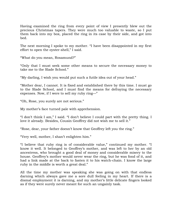Having examined the ring from every point of view I presently blew out the precious Christmas tapers. They were much too valuable to waste, so I put them back into my box, placed the ring in its case by their side, and got into bed.

The next morning I spoke to my mother. "I have been disappointed in my first effort to open the oyster-shell," I said.

"What do you mean, Rosamund?"

"Only that I must seek some other means to secure the necessary money to take me to the Slade School."

"My darling, I wish you would put such a futile idea out of your head."

"Mother dear, I cannot. It is fixed and established there by this time. I must go to the Slade School, and I must find the means for defraying the necessary expenses. Now, if I were to sell my ruby ring—"

"Oh, Rose, you surely are not serious."

My mother"s face turned pale with apprehension.

"I don"t think I am," I said. "I don"t believe I could part with the pretty thing. I love it already. Besides, Cousin Geoffrey did not wish me to sell it."

"Rose, dear, your father doesn"t know that Geoffrey left you the ring."

"Very well, mother, I shan"t enlighten him."

"I believe that ruby ring is of considerable value," continued my mother. "I know it well. It belonged to Geoffrey"s mother, and was left to her by an old ancestress, who brought a good deal of money and considerable misery to the house. Geoffrey's mother would never wear the ring, but he was fond of it, and had a link made at the back to fasten it to his watch-chain. I know the large ruby in the middle is worth a great deal."

All the time my mother was speaking she was going on with that endless darning which always gave me a sore dull feeling in my heart. If there is a dismal employment it is darning, and my mother"s little delicate fingers looked as if they were surely never meant for such an ungainly task.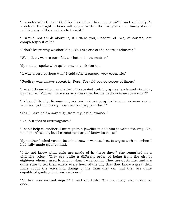"I wonder who Cousin Geoffrey has left all his money to?" I said suddenly. "I wonder if the rightful heirs will appear within the five years. I certainly should not like any of the relatives to have it."

"I would not think about it, if I were you, Rosamund. We, of course, are completely out of it."

"I don"t know why we should be. You are one of the nearest relations."

"Well, dear, we are out of it, so that ends the matter."

My mother spoke with quite unwonted irritation.

"It was a very curious will," I said after a pause; "very eccentric."

"Geoffrey was always eccentric, Rose, I"ve told you so scores of times."

"I wish I knew who was the heir," I repeated, getting up restlessly and standing by the fire. "Mother, have you any messages for me to do in town to-morrow?"

"In town? Surely, Rosamund, you are not going up to London so soon again. You have got no money; how can you pay your fare?"

"Yes, I have half-a-sovereign from my last allowance."

"Oh, but that is extravagance."

"I can"t help it, mother. I must go to a jeweller to ask him to value the ring. Oh, no, I shan"t sell it, but I cannot rest until I know its value."

My mother looked vexed, but she knew it was useless to argue with me when I had fully made up my mind.

"I do not know what girls are made of in these days," she remarked in a plaintive voice. "They are quite a different order of being from the girl of eighteen whom I used to know, when I was young. They are obstinate, and are quite sure to tell their elders every hour of the day that they know a great deal more about the ways and doings of life than they do, that they are quite capable of guiding their own actions."

"Mother, you are not angry?" I said suddenly. "Oh no, dear," she replied at once.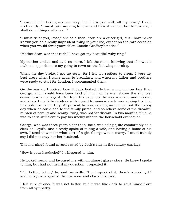"I cannot help taking my own way, but I love you with all my heart," I said irrelevantly. "I must take my ring to town and have it valued, but believe me, I shall do nothing really rash."

"I must trust you, Rose," she said then. "You are a queer girl, but I have never known you do a really imprudent thing in your life, except on the rare occasion when you would force yourself on Cousin Geoffrey's notice."

"Mother dear, was that rash? I have got my beautiful ruby ring."

My mother smiled and said no more. I left the room, knowing that she would make no opposition to my going to town on the following morning.

When the day broke, I got up early, for I felt too restless to sleep. I wore my best dress when I came down to breakfast; and when my father and brothers were ready to start for London, I accompanied them.

On the way up I noticed how ill Jack looked. He had a much nicer face than George, and I could have been fond of him had he ever shown the slightest desire to win my regard. But from his babyhood he was reserved and morose, and shared my father"s ideas with regard to women. Jack was serving his time to a solicitor in the City. At present he was earning no money, but the happy day when he could add to the family purse, and so relieve some of the dreadful burden of penury and scanty living, was not far distant. In two months" time he was to earn sufficient to pay his weekly mite to the household exchequer.

George, who was three years older than Jack, was doing quite comfortably as a clerk at Lloyd"s, and already spoke of taking a wife, and having a home of his own. I used to wonder what sort of a girl George would marry. I must frankly say I did not envy her her husband.

This morning I found myself seated by Jack's side in the railway carriage.

"How is your headache?" I whispered to him.

He looked round and favoured me with an almost glassy stare. He knew I spoke to him, but had not heard my question. I repeated it.

"Oh, better, better," he said hurriedly. "Don"t speak of it, there"s a good girl," and he lay back against the cushions and closed his eyes.

I felt sure at once it was not better, but it was like Jack to shut himself out from all sympathy.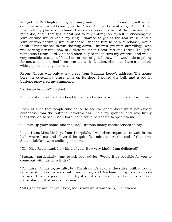We got to Paddington in good time, and I once more found myself in an omnibus which would convey me to Regent Circus. Presently I got there. I had made all my plans beforehand. I was a curious mixture of the practical and romantic, and I thought it best not to rely entirely on myself in choosing the jeweller who would value my ring. I wanted to get at the real value, and a jeweller who naturally would suppose I wished him to be a purchaser, would think it his province to run the ring down. I knew a girl from our village, who was serving her time now to a dressmaker in Great Portland Street. The girl's name was Susan Ford. She had often helped me to turn my dresses, and was a very sensible, matter-of-fact, honest sort of girl. I knew she would do anything for me, and as she had been over a year in London, she must have a tolerably wide experience to guide her.

Regent Circus was only a few steps from Madame Leroy's address. The house bore the customary brass plate on its door. I pulled the bell, and a boy in buttons answered my summons.

"Is Susan Ford in?" I asked.

The boy stared at me from head to foot, and made a supercilious and irrelevant reply.

I saw at once that people who called to see the apprentices must not expect politeness from the buttons. Nevertheless I held my ground, and said firmly that I wished to see Susan Ford if she could be spared to speak to me.

"I"ll take up your name, and inquire," Buttons finally condescended to say.

I said I was Miss Lindley, from Thorpdale. I was then requested to wait in the hall, where I sat and shivered for quite five minutes. At the end of that time Susan, jubilant with smiles, joined me.

"Oh, Miss Rosamund, how kind of you! How very kind—I am delighted!"

"Susan, I particularly want to ask your advice. Would it be possible for you to come out with me for a little?"

"Oh, miss, I"d like to, awfully, but I"m afraid it"s against the rules. Still, it would be a treat to take a walk with you, miss, and Madame Leroy is very goodnatured. I have a good mind to try if she"d spare me for an hour; we are not particularly full of orders just now."

"All right, Susan, do your best, for I really want your help," I answered.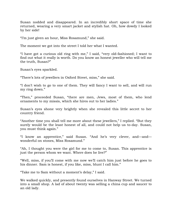Susan nodded and disappeared. In an incredibly short space of time she returned, wearing a very smart jacket and stylish hat. Oh, how dowdy I looked by her side!

"I"m just given an hour, Miss Rosamund," she said.

The moment we got into the street I told her what I wanted.

"I have got a curious old ring with me," I said, "very old-fashioned; I want to find out what it really is worth. Do you know an honest jeweller who will tell me the truth, Susan?"

Susan"s eyes sparkled.

"There"s lots of jewellers in Oxford Street, miss," she said.

"I don"t wish to go to one of them. They will fancy I want to sell, and will run my ring down."

"Then," proceeded Susan, "there are men, Jews, most of them, who lend ornaments to my missis, which she hires out to her ladies."

Susan"s eyes shone very brightly when she revealed this little secret to her country friend.

"Another time you shall tell me more about these jewellers," I replied. "But they surely would be the least honest of all, and could not help us to-day. Susan, you must think again."

"I know an apprentice," said Susan. "And he"s very clever, and—and wonderful on stones, Miss Rosamund."

"Ah, I thought you were the girl for me to come to, Susan. This apprentice is just the person whom we want. Where does he live?"

"Well, miss, if you"ll come with me now we"ll catch him just before he goes to his dinner. Sam is honest, if you like, miss, blunt I call him."

"Take me to Sam without a moment"s delay," I said.

We walked quickly, and presently found ourselves in Hanway Street. We turned into a small shop. A lad of about twenty was selling a china cup and saucer to an old lady.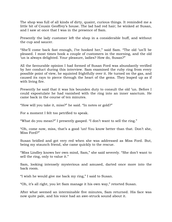The shop was full of all kinds of dirty, quaint, curious things. It reminded me a little bit of Cousin Geoffrey"s house. The lad had red hair; he winked at Susan, and I saw at once that I was in the presence of Sam.

Presently the lady customer left the shop in a considerable huff, and without the cup and saucer.

"She"ll come back fast enough, I"ve hooked her," said Sam. "The old "un"ll be pleased. I most times hook a couple of customers in the morning, and the old "un is always delighted. Your pleasure, ladies? How do, Susan?"

All the favourable opinion I had formed of Susan Ford was abundantly verified by her conduct during this interview. Sam examined the ruby ring from every possible point of view, he squinted frightfully over it. He turned on the gas, and caused its rays to pierce through the heart of the gems. They leaped up as if with living fire.

Presently he said that it was his bounden duty to consult the old "un. Before I could expostulate he had vanished with the ring into an inner sanctum. He came back in the course of ten minutes.

"How will you take it, miss?" he said. "In notes or gold?"

For a moment I felt too petrified to speak.

"What do you mean?" I presently gasped. "I don"t want to sell the ring."

"Oh, come now, miss, that"s a good "un! You know better than that. Don"t she, Miss Ford?"

Susan bridled and got very red when she was addressed as Miss Ford. But, being my staunch friend, she came quickly to the rescue.

"Miss Lindley knows her own mind, Sam," she said severely. "She don"t want to sell the ring, only to value it."

Sam, looking intensely mysterious and amused, darted once more into the back room.

"I wish he would give me back my ring," I said to Susan.

"Oh, it"s all right, you let Sam manage it his own way," retorted Susan.

After what seemed an interminable five minutes, Sam returned. His face was now quite pale, and his voice had an awe-struck sound about it.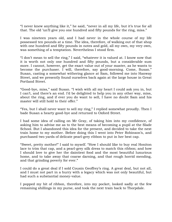"I never knew anything like it," he said, "never in all my life, but it"s true for all that. The old 'un'll give you one hundred and fifty pounds for the ring, miss."

I was nineteen years old, and I had never in the whole course of my life possessed ten pounds at a time. The idea, therefore, of walking out of that shop with one hundred and fifty pounds in notes and gold, all my own, my very own, was something of a temptation. Nevertheless I stood firm.

"I don"t mean to sell the ring," I said, "whatever it is valued at. I know now that it is worth not only one hundred and fifty pounds, but a considerable sum more. I cannot, however, get the exact value out of your master, as he wants to become the purchaser. I will, therefore, say good-morning. Come, Susan." Susan, casting a somewhat withering glance at Sam, followed me into Hanway Street, and we presently found ourselves back again at the large house in Great Portland Street.

"Good-bye, miss," said Susan. "I wish with all my heart I could ask you in, but I can't, and there's an end. I'd be delighted to help you in any other way, miss, about the ring, and if ever you do want to sell, I have no doubt Sam and his master will still hold to their offer."

"Yes, but I shall never want to sell my ring," I replied somewhat proudly. Then I bade Susan a hearty good-bye and returned to Oxford Street.

I had some idea of calling on Mr Gray, of taking him into my confidence, of asking him to advise me as to the best means of becoming a pupil at the Slade School. But I abandoned this idea for the present, and decided to take the next train home to my mother. Before doing this I went into Peter Robinson"s, and purchased two yards of delicate pearl-grey ribbon to put in her best cap.

"Sweet, pretty mother!" I said to myself. "How I should like to buy real Honiton lace to trim that cap, and a pearl-grey silk dress to match this ribbon; and how I should love to give her the daintiest food and the most beautiful luxurious home, and to take away that coarse darning, and that rough horrid mending, and that grinding poverty for ever."

I could do a great deal if I sold Cousin Geoffrey"s ring. A great deal, but not all, and I must not part in a hurry with a legacy which was not only beautiful, but had such a substantial money-value.

I popped my bit of ribbon, therefore, into my pocket, looked sadly at the few remaining shillings in my purse, and took the next train back to Thorpdale.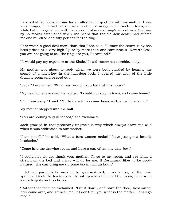I arrived at Ivy Lodge in time for an afternoon cup of tea with my mother. I was very hungry, for I had not ventured on the extravagance of lunch in town, and while I ate, I regaled her with the account of my morning's adventures. She was by no means astonished when she heard that the old Jew dealer had offered me one hundred and fifty pounds for the ring.

"It is worth a good deal more than that," she said. "I know the centre ruby has been priced at a very high figure by more than one connoisseur. Nevertheless, you are not going to sell the ring, are you, Rosamund?"

"It would pay my expenses at the Slade," I said somewhat mischievously.

My mother was about to reply when we were both startled by hearing the sound of a latch-key in the hall-door lock. I opened the door of the little drawing-room and peeped out.

"Jack!" I exclaimed. "What has brought you back at this hour?"

"My headache is worse," he replied, "I could not stay in town, so I came home."

"Oh, I am sorry," I said. "Mother, Jack has come home with a bad headache."

My mother stepped into the hall.

"You are looking very ill indeed," she exclaimed.

Jack growled in that peculiarly ungracious way which always drove me wild when it was addressed to our mother.

"I am not ill," he said. "What a fuss women make! I have just got a beastly headache."

"Come into the drawing-room, and have a cup of tea, my dear boy."

"I could not sit up, thank you, mother. I"ll go to my room, and see what a stretch on the bed and a nap will do for me. If Rosamund likes to be goodnatured, she can bring me up some tea in half an hour."

I did not particularly wish to be good-natured; nevertheless, at the time specified I took the tea to Jack. He sat up when I entered the room; there were feverish spots on his cheeks.

"Bother that tea!" he exclaimed. "Put it down, and shut the door, Rosamund. Now come over, and sit near me. If I don"t tell you what is the matter, I shall go mad."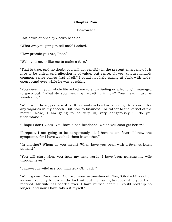#### **Chapter Four**

#### **Borrowed!**

I sat down at once by Jack"s bedside.

"What are you going to tell me?" I asked.

"How prosaic you are, Rose."

"Well, you never like me to make a fuss."

"That is true, and no doubt you will act sensibly in the present emergency. It is nice to be pitied, and affection is of value, but sense, oh yes, unquestionably common sense comes first of all." I could not help gazing at Jack with wideopen round eyes while he was speaking.

"You never in your whole life asked me to show feeling or affection," I managed to gasp out. "What do you mean by regretting it now? Your head must be wandering."

"Well, well, Rose, perhaps it is. It certainly aches badly enough to account for any vagaries in my speech. But now to business—or rather to the kernel of the matter. Rose, I am going to be very ill, very dangerously ill—do you understand?"

"I hope I don"t, Jack. You have a bad headache, which will soon get better."

"I repeat, I am going to be dangerously ill. I have taken fever. I know the symptoms, for I have watched them in another."

"In another? Whom do you mean? When have you been with a fever-stricken patient?"

"You will start when you hear my next words. I have been nursing my wife through fever."

"Jack—your wife! Are you married? Oh, Jack!"

"Well, go on, Rosamund. Get over your astonishment. Say, "Oh Jack!" as often as you like, only believe in the fact without my having to repeat it to you. I am married. My wife has scarlet fever; I have nursed her till I could hold up no longer, and now I have taken it myself."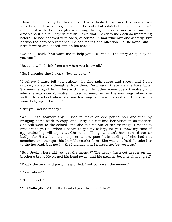I looked full into my brother"s face. It was flushed now, and his brown eyes were bright. He was a big fellow, and he looked absolutely handsome as he sat up in bed with the fever gleam shining through his eyes, and a certain sad droop about his still boyish mouth. I own that I never found Jack so interesting before. He had behaved very badly, of course, in marrying any one secretly, but he was the hero of a romance. He had feeling and affection. I quite loved him. I bent forward and kissed him on his cheek.

"Go on," I said. "You want me to help you. Tell me all the story as quickly as you can."

"But you will shrink from me when you know all."

"No, I promise that I won"t. Now do go on."

"I believe I must tell you quickly, for this pain rages and rages, and I can scarcely collect my thoughts. Now then, Rosamund, these are the bare facts. Six months ago I fell in love with Hetty. Her other name doesn't matter, and who she was doesn't matter. I used to meet her in the mornings when she walked to a school where she was teaching. We were married and I took her to some lodgings in Putney."

"But you had no money."

"Well, I had scarcely any. I used to make an odd pound now and then by bringing home work to copy, and Hetty did not lose her situation as teacher. She still went to the school, and she told no one of her marriage. I meant to break it to you all when I began to get my salary, for you know my time of apprenticeship will expire at Christmas. Things wouldn"t have turned out so badly, for Hetty has the simplest tastes, poor little darling, if she had not somehow or other got this horrible scarlet fever. She was so afraid I"d take her to the hospital; but not I!—the landlady and I nursed her between us."

"But, Jack, where did you get the money?" The heavy flush got deeper on my brother"s brow. He turned his head away, and his manner became almost gruff.

"That's the awkward part," he growled. "I—I borrowed the money."

"From whom?"

"Chillingfleet."

"Mr Chillingfleet? He's the head of your firm, isn't he?"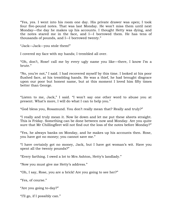"Yes, yes. I went into his room one day. His private drawer was open; I took four five-pound notes. That was last Monday. He won"t miss them until next Monday—the day he makes up his accounts. I thought Hetty was dying, and the notes stared me in the face, and I—I borrowed them. He has tens of thousands of pounds, and I—I borrowed twenty."

"Jack—Jack—you stole them!"

I covered my face with my hands; I trembled all over.

"Oh, don"t, Rose! call me by every ugly name you like—there, I know I"m a brute."

"No, you"re not," I said. I had recovered myself by this time. I looked at his poor flushed face, at his trembling hands. He was a thief, he had brought disgrace upon our poor but honest name, but at this moment I loved him fifty times better than George.

"Listen to me, Jack," I said. "I won"t say one other word to abuse you at present. What's more, I will do what I can to help you."

"God bless you, Rosamund. You don"t really mean that? Really and truly?"

"I really and truly mean it. Now lie down and let me put these sheets straight. This is Friday. Something can be done between now and Monday. Are you quite sure that Mr Chillingfleet will not find out the loss of the notes before Monday?"

"Yes, he always banks on Monday, and he makes up his accounts then. Rose, you have got no money; you cannot save me."

"I have certainly got no money, Jack, but I have got woman"s wit. Have you spent all the twenty pounds?"

"Every farthing. I owed a lot to Mrs Ashton, Hetty"s landlady."

"Now you must give me Hetty"s address."

"Oh, I say, Rose, you are a brick! Are you going to see her?"

"Yes, of course."

"Are you going to-day?"

"I"ll go, if I possibly can."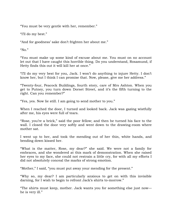"You must be very gentle with her, remember."

"I"ll do my best."

"And for goodness" sake don"t frighten her about me."

" $No.$ "

"You must make up some kind of excuse about me. You must on no account let out that I have caught this horrible thing. Do you understand, Rosamund, if Hetty finds this out it will kill her at once."

"I"ll do my very best for you, Jack. I won"t do anything to injure Hetty. I don"t know her, but I think I can promise that. Now, please, give me her address."

"Twenty-four, Peacock Buildings, fourth story, care of Mrs Ashton. When you get to Putney, you turn down Dorset Street, and it"s the fifth turning to the right. Can you remember?"

"Yes, yes. Now lie still. I am going to send mother to you."

When I reached the door, I turned and looked back. Jack was gazing wistfully after me, his eyes were full of tears.

"Rose, you"re a brick," said the poor fellow; and then he turned his face to the wall. I closed the door very softly and went down to the drawing-room where mother sat.

I went up to her, and took the mending out of her thin, white hands, and bending down kissed her.

"What is the matter, Rose, my dear?" she said. We were not a family for embraces, and she wondered at this mark of demonstration. When she raised her eyes to my face, she could not restrain a little cry, for with all my efforts I did not absolutely conceal the marks of strong emotion.

"Mother," I said, "you must put away your mending for the present."

"Why so, my dear? I am particularly anxious to get on with this invisible darning, for I wish to begin to refront Jack's shirts to-morrow."

"The shirts must keep, mother. Jack wants you for something else just now he is very ill."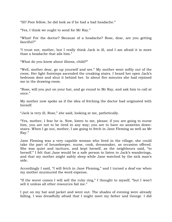"Ill? Poor fellow, he did look as if he had a bad headache."

"Yes, I think we ought to send for Mr Ray."

"What! For the doctor? Because of a headache? Rose, dear, are you getting fanciful?"

"I trust not, mother, but I really think Jack is ill, and I am afraid it is more than a headache that ails him."

"What do you know about illness, child?"

"Well, mother dear, go up yourself and see." My mother went softly out of the room. Her light footsteps ascended the creaking stairs. I heard her open Jack"s bedroom door and shut it behind her. In about five minutes she had rejoined me in the drawing-room.

"Rose, will you put on your hat, and go round to Mr Ray, and ask him to call at once."

My mother now spoke as if the idea of fetching the doctor had originated with herself.

"Jack is very ill, Rose," she said, looking at me, pathetically.

"Yes, mother, I fear he is. Now, listen to me, please; if you are going to nurse him, you are not to be tired in any way; you are to have no anxieties downstairs. When I go out, mother, I am going to fetch in Jane Fleming as well as Mr Ray."

Jane Fleming was a very capable woman who lived in the village; she could take the part of housekeeper, nurse, cook, dressmaker, as occasion offered. She was quiet and taciturn, and kept herself, as the neighbours said, "to herself." I felt that Jane would be a safe person to listen to Jack's wanderings, and that my mother might safely sleep while Jane watched by the sick man"s side.

Accordingly I said, "I will fetch in Jane Fleming," and I turned a deaf ear when my mother murmured the word expense.

"If the worst comes I will sell the ruby ring," I thought to myself, "but I won"t sell it unless all other resources fail me."

I put on my hat and jacket and went out. The shades of evening were already falling. I was dreadfully afraid that I might meet my father and George. I did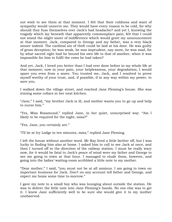not wish to see them at that moment. I felt that their coldness and want of sympathy would unnerve me. They would have every reason to be cold, for why should they fuss themselves over Jack"s bad headache? and yet I, knowing the tragedy which lay beneath that apparently commonplace pain, felt that I could not stand the slight sneer of indifference which would greet my announcement at that moment. Jack, compared to George and my father, was a very black sinner indeed. The cardinal sin of theft could be laid at his door. He was guilty of gross deception; he was weak, he was imprudent, nay more, he was mad, for by what sacred right had he bound his own life to that of another, when it was impossible for him to fulfil the vows he had taken?

And yet, Jack, I loved you better than I had ever done before in my whole life at that moment; now in your pain, your helplessness, your degradation, I would spare you even from a sneer. You trusted me, Jack, and I resolved to prove myself worthy of your trust, and, if possible, if in any way within my power, to save you.

I walked down the village street, and reached Jane Fleming"s house. She was ironing some collars in her neat kitchen.

"Jane," I said, "my brother Jack is ill, and mother wants you to go up and help to nurse him."

"Yes, Miss Rosamund," replied Jane, in her quiet, unsurprised way. "Am I likely to be required for the night, miss?"

"Yes, Jane, you certainly are."

"I"ll be at Ivy Lodge in ten minutes, miss," replied Jane Fleming.

I left the house without another word. Mr Ray lived a little farther off, but I was lucky in finding him also at home. I asked him to call to see Jack at once, and then I turned off in the direction of the railway station. I must be really wary now, for it would be fatal to Jack"s peace of mind were my father and George to see me going to town at that hour. I managed to elude them, however, and going into the ladies" waiting-room scribbled a little note to my mother.

"Dear mother," I said, "you must not be at all anxious. I am going to town on important business for Jack. Don"t on any account tell father and George, and expect me home some time to-morrow."

I gave my note to a small boy who was lounging about outside the station. He was to deliver the little note into Jane Fleming's hands. No one else was to get it. I knew Jane sufficiently well to be sure she would give it to my mother unobserved.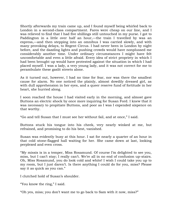Shortly afterwards my train came up, and I found myself being whirled back to London in a second-class compartment. Fares were cheap on our line, and I was relieved to find that I had five shillings still untouched in my purse. I got to Paddington in a little over half an hour,—the train I travelled by was an express,—and then stepping into an omnibus I was carried slowly, and with many provoking delays, to Regent Circus. I had never been in London by night before, and the dazzling lights and pushing crowds would have nonplussed me considerably another time. Under ordinary circumstances I might have felt uncomfortable and even a little afraid. Every idea of strict propriety in which I had been brought up would have protested against the situation in which I had placed myself. I was a lady, a very young lady, and it was not correct for me to perambulate these gaslit streets alone.

As it turned out, however, I had no time for fear, nor was there the smallest cause for alarm. No one noticed the plainly, almost dowdily dressed girl, as with dull apprehension in her eyes, and a queer reserve fund of fortitude in her heart, she hurried along.

I soon reached the house I had visited early in the morning, and almost gave Buttons an electric shock by once more inquiring for Susan Ford. I knew that it was necessary to propitiate Buttons, and poor as I was I expended sixpence on that worthy.

"Go and tell Susan that I must see her without fail, and at once," I said.

Buttons stuck his tongue into his cheek, very nearly winked at me, but refrained, and promising to do his best, vanished.

Susan was evidently busy at this hour. I sat for nearly a quarter of an hour in that cold stone-flagged hall waiting for her. She came down at last, looking perplexed and even cross.

"My missis is in a temper, Miss Rosamund. Of course I"m delighted to see you, miss, but I can't stay; I really can't. We're all in no end of confusion up-stairs. Oh, Miss Rosamund, you do look cold and white! I wish I could take you up to my room, but I just daren"t. Is there anything I could do for you, miss? Please say it as quick as you can."

I clutched hold of Susan's shoulder.

"You know the ring," I said.

"Oh yes, miss; you don"t want me to go back to Sam with it now, miss?"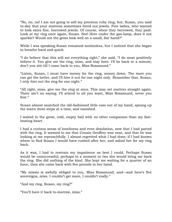"No, no, no! I am not going to sell my precious ruby ring; but, Susan, you said to-day that your mistress sometimes hired out jewels. Fine ladies, who wanted to look extra fine, borrowed jewels. Of course, when they borrowed, they paid. Look at my ring once again, Susan. See! Here under the gas-lamp, does it not sparkle? Would not the gems look well on a small, fair hand?"

While I was speaking Susan remained motionless, but I noticed that she began to breathe hard and quick.

"I do believe that this will set everything right," she said, "I do most positively believe it. You give me the ring, miss, and stay here. I"ll be back in a minute; don"t you stir till I come back to you, Miss Rosamund."

"Listen, Susan, I must have money for the ring, money down. The more you can get the better, and I"ll hire it out for one night only. Remember that, Susan, I only hire out the ring for one night."

"All right, miss, give me the ring at once. This may set matters straight again. There ain't no saying. I'll attend to all you want, Miss Rosamund, never you fear."

Susan almost snatched the old-fashioned little case out of my hand, sprang up the stairs three steps at a time, and vanished.

I waited in the great, cold, empty hall with no other companion than my fastbeating heart.

I had a curious sense of loneliness and even desolation, now that I had parted with the ring. It seemed to me that Cousin Geoffrey was near, and that he was looking at me reproachfully. I almost regretted what I had done; if I had known where to find Susan I would have rushed after her, and asked her for my ring back.

As it was, I had to restrain my impatience as best I could. Perhaps Susan would be unsuccessful; perhaps in a moment or two she would bring me back the ring. She did nothing of the kind. She kept me waiting for a quarter of an hour, then she came back with five pounds in her hand.

"My missis is awfully obliged to you, Miss Rosamund, and—and here"s five sovereigns, miss. I couldn't get more, I couldn't really."

"And my ring, Susan, my ring?"

"You"ll have it back to-morrow, miss."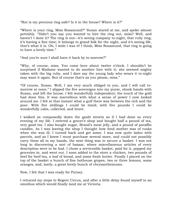"But is my precious ring safe? Is it in the house? Where is it?"

"Where is your ring, Miss Rosamund?" Susan stared at me, and spoke almost pettishly. "Didn"t you say you wanted to hire the ring out, miss? Well, and haven't I done it? The ring is out—it's seeing company to-night, that ruby ring; it's having a fine time; it belongs to grand folk for the night, and it's seeing life, that"s what it is. Oh, I wish I was it! I think, Miss Rosamund, that ring is going to have a lovely time."

"And you"re sure I shall have it back by to-morrow?"

"Why, of course, miss. You come here about twelve o"clock. I shouldn"t be surprised if Madame wanted to do another hire with it; she seemed mighty taken with the big ruby, and I dare say the young lady who wears it to-night may want it again. But of course that's as you please, miss."

"Of course, Susan. Well, I am very much obliged to you, and I will call tomorrow at noon." I slipped the five sovereigns into my purse, shook hands with Susan, and left the house. I felt wonderfully independent; the touch of the gold had done this. It was marvellous with what a sense of power I now looked around me. I felt at that instant what a gulf there was between the rich and the poor. With five shillings I could be timid; with five pounds I could be wonderfully calm, collected, and brave.

I walked as composedly down the gaslit streets as if I had done so every evening of my life. I entered a grocer's shop and bought half a pound of tea, very good tea. I also bought sugar, Brand"s meat jelly, and a pound of paraffin candles. As I was leaving the shop I thought how fond mother was of rusks when she was ill. I turned back and got some. I was now quite laden with parcels, and as I knew I must purchase several more, and could not possibly carry them all in my hands, the next thing was to secure a basket. I was not long in discovering a sort of bazaar, where miscellaneous articles of every description were to be had. I chose a serviceable basket, paid for it, popped my groceries in, and went out. I soon added to the store a chicken, two pounds of beef for beef-tea, a loaf of bread, and some fresh butter. Finally I placed on the top of the basket a bunch of fine hothouse grapes, two or three lemons, some oranges, and, lastly, a great lovely bunch of chrysanthemums.

Now, I felt that I was ready for Putney.

I retraced my steps to Regent Circus, and after a little delay found myself in an omnibus which would finally land me at Victoria.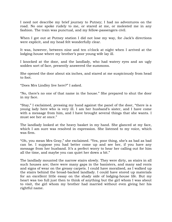I need not describe my brief journey to Putney; I had no adventures on the road. No one spoke rudely to me, or stared at me, or molested me in any fashion. The train was punctual, and my fellow-passengers civil.

When I got out at Putney station I did not lose my way, for Jack's directions were explicit, and my head felt wonderfully clear.

It was, however, between nine and ten o"clock at night when I arrived at the lodging-house where my brother's poor young wife lay ill.

I knocked at the door, and the landlady, who had watery eyes and an ugly sodden sort of face, presently answered the summons.

She opened the door about six inches, and stared at me suspiciously from head to foot.

"Does Mrs Lindley live here?" I asked.

"No, there"s no one of that name in the house." She prepared to shut the door in my face.

"Stay," I exclaimed, pressing my hand against the panel of the door, "there is a young lady here who is very ill. I am her husband"s sister, and I have come with a message from him, and I have brought several things that she wants. I must see her at once."

The landlady looked at the heavy basket in my hand. She glanced at my face, which I am sure was resolved in expression. She listened to my voice, which was firm.

"Oh, you mean Mrs Gray," she exclaimed. "Yes, poor thing, she"s as bad as bad can be. I suppose you had better come up and see her, if you have any message from her husband. It's a perfect worry to hear her calling out for him all the time, and maybe you can quiet her down a bit."

The landlady mounted the narrow stairs slowly. They were dirty, as stairs in all such houses are; there were many gaps in the banisters, and many sad rents and signs of wear on the greasy carpets. I could have moralised, as I walked up the stairs behind the broad-backed landlady. I could have stored up materials for an excellent little essay on the shady side of lodging-house life. But my heart was too full just then to think of anything but the girl whom I was about to visit, the girl whom my brother had married without even giving her his rightful name.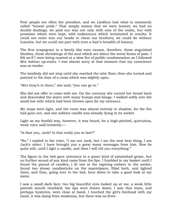Poor people are often the proudest, and we Lindleys had what is commonly called "honest pride." That simply means that we were honest; we had no double dealings; we paid our way not only with coin of the realm, but with promises which were kept, with endeavours which terminated in results. It could not enter into our heads to cheat our brothers; we could do without luxuries, but we could not part with even a hair"s-breadth of honour.

The first scapegrace in a family like ours causes, therefore, those anguished blushes, those shrinkings of the soul which are about the worst forms of pain. I felt as if I were being roasted at a slow fire of public condemnation as I followed Mrs Ashton up-stairs. I was almost sorry at that moment that my conscience was so tender.

The landlady did not stop until she reached the attic floor; then she turned and pointed to the door of a room which was slightly open.

"Mrs Gray"s in there," she said; "you can go in."

She did not offer to come with me. On the contrary she turned her broad back and descended the stairs with many bumps and bangs. I walked softly into the small low attic which had been thrown open for my entrance.

My steps were light, and the room was almost entirely in shadow, for the fire had gone out, and one solitary candle was already dying in its socket.

Light as my footfall was, however, it was heard, for a high-pitched, querulous, weak voice said instantly:—

"Is that you, Jack? Is that really you at last?"

"No," I replied to the voice, "I am not Jack, but I am the next best thing, I am Jack"s sister. I have brought you a great many messages from him. Now lie quite still, until I light a candle, and then I will tell you everything."

The figure in the bed gave utterance to a queer kind of astonished groan, but no further sound of any kind came from the lips. I fumbled in my basket until I found the pound of candles; I lit one at the expiring embers in the socket, found two showy candlesticks on the mantelpiece, filled both, and lighted them, and then, going over to the bed, bent down to take a good look at my sister.

I saw a small dark face; two big beautiful eyes looked up at me; a weak little peevish mouth trembled; the lips were drawn down; I saw that tears, and perhaps hysterics, were close at hand. I touched the girl"s forehead with my hand, it was damp from weakness, but there was no fever.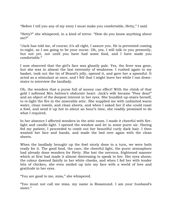"Before I tell you any of my story I must make you comfortable, Hetty," I said.

"Hetty?" she whispered, in a kind of terror. "How do you know anything about me?"

"Jack has told me, of course; it"s all right, I assure you. He is prevented coming to-night, so I am going to be your nurse. Oh, yes, I will talk to you presently, but not yet, not until you have had some food, and I have made you comfortable."

I now observed that the girl"s face was ghastly pale. Yes, the fever was gone, but she was in almost the last extremity of weakness. I rushed again to my basket, took out the tin of Brand"s jelly, opened it, and gave her a spoonful. It acted as a stimulant at once, and I felt that I might leave her while I ran downstairs to interview the landlady.

Oh, the wonders that a purse full of money can effect! With the chink of that gold I softened Mrs Ashton"s obdurate heart. Jack"s wife became "Poor dear!" and an object of the deepest interest in her eyes. She bundled up-stairs herself, to re-light the fire in the miserable attic. She supplied me with unlimited warm water, clean towels, and clean sheets, and when I asked her if she could roast a fowl, and send it up hot in about an hour"s time, she readily promised to do what I required.

In her absence I affected wonders in the attic room. I made it cheerful with firelight and candle-light. I opened the window and let in some purer air. Having fed my patient, I proceeded to comb out her beautiful curly dark hair. I then washed her face and hands, and made the bed over again with the clean sheets.

When the landlady brought up the fowl nicely done to a turn, we were both ready for it. The good food, the care, the cheerful light, the purer atmosphere had already done wonders for Hetty. She lost the nervous, frightened manner which at first had made it almost distressing to speak to her. Her eyes shone; the colour dawned faintly in her white cheeks, and when I fed her with tender bits of chicken, she even smiled up into my face with a world of love and gratitude in her eyes.

"You are good to me, miss," she whispered.

"You must not call me miss, my name is Rosamund. I am your husband"s sister."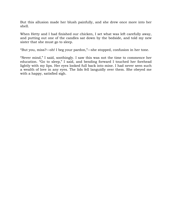But this allusion made her blush painfully, and she drew once more into her shell.

When Hetty and I had finished our chicken, I set what was left carefully away, and putting out one of the candles sat down by the bedside, and told my new sister that she must go to sleep.

"But you, miss?—oh! I beg your pardon,"—she stopped, confusion in her tone.

"Never mind," I said, soothingly. I saw this was not the time to commence her education. "Go to sleep," I said, and bending forward I touched her forehead lightly with my lips. Her eyes looked full back into mine. I had never seen such a wealth of love in any eyes. The lids fell languidly over them. She obeyed me with a happy, satisfied sigh.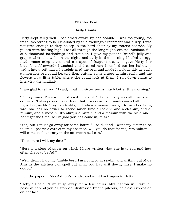## **Chapter Five**

## **Lady Ursula**

Hetty slept fairly well. I sat broad awake by her bedside. I was too young, too fresh, too strong to be exhausted by this evening's excitement and hurry. I was not tired enough to drop asleep in the hard chair by my sister's bedside. My pulses were beating high. I sat all through the long night, excited, anxious, full of a thousand forebodings and troubles. I gave my patient Brand"s jelly and grapes when she woke in the night, and early in the morning I boiled an egg, made some crisp toast, and a teapot of fragrant tea, and gave Hetty her breakfast. Afterwards I washed and dressed her; I combed out her hair, and tied it into a soft mass. I straightened the bed, and made it look as tidy as such a miserable bed could be, and then putting some grapes within reach, and the flowers on a little table, where she could look at them, I ran down-stairs to interview the landlady.

"I am glad to tell you," I said, "that my sister seems much better this morning."

"Oh, ay, miss, I"m sure I"m pleased to hear it." The landlady was all beams and curtsies. "I always said, pore dear, that it was care she wanted—and all I could I give her, as Mr Gray can testify; but when a woman has got to "arn her living 'ard, she has no power to spend much time a-cookin', and a-cleanin', and anursin', and a-messin'. It's always a-nursin' and a-messin' with the sick, and I han't got the time, so I'm glad you has come in, miss."

"Yes, but I must go away for some hours," I said, "and I want my sister to be taken all possible care of in my absence. Will you do that for me, Mrs Ashton? I will come back as early in the afternoon as I can."

"To be sure I will, my dear."

"Here is a piece of paper on which I have written what she is to eat, and how often she is to be fed."

"Well, dear, I"ll do my "umble best. I"m not good at readin" and writin", but Mary Ann in the kitchen can spell out what you has writ down, miss, I make no doubt."

I left the paper in Mrs Ashton"s hands, and went back again to Hetty.

"Hetty," I said, "I must go away for a few hours. Mrs Ashton will take all possible care of you." I stopped, distressed by the piteous, helpless expression on her face.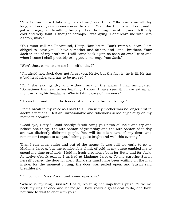"Mrs Ashton doesn"t take any care of me," said Hetty. "She leaves me all day long, and never, never comes near the room. Yesterday the fire went out, and I got so hungry, so dreadfully hungry. Then the hunger went off, and I felt only cold and very faint. I thought perhaps I was dying. Don"t leave me with Mrs Ashton, miss."

"You must call me Rosamund, Hetty. Now listen. Don"t tremble, dear. I am obliged to leave you. I have a mother and father, and—and—brothers. Your Jack is one of my brothers. I will come back again as soon as ever I can; and when I come I shall probably bring you a message from Jack."

"Won"t Jack come to see me himself to-day?"

"I"m afraid not. Jack does not forget you, Hetty, but the fact is, he is ill. He has a bad headache, and has to be nursed."

"Oh," she said gently, and without any of the alarm I had anticipated. "Sometimes his head aches fearfully, I know; I have seen it. I have sat up all night nursing his headache. Who is taking care of him now?"

"His mother and mine, the tenderest and best of human beings."

I felt a break in my voice as I said this. I knew my mother was no longer first in Jack"s affections. I felt an unreasonable and ridiculous sense of jealousy on my mother"s account.

"Good-bye, Hetty," I said hastily; "I will bring you news of Jack; and try and believe one thing—the Mrs Ashton of yesterday and the Mrs Ashton of to-day are two distinctly different people. You will be taken care of, my dear, and remember I expect to see you looking quite bright and well this evening."

Then I ran down-stairs and out of the house. It was still too early to go to Madame Leroy"s, but the comfortable chink of gold in my purse enabled me to spend my time profitably. I laid in fresh provisions both for Hetty and for Jack. At twelve o'clock exactly I arrived at Madame Leroy's. To my surprise Susan herself opened the door for me. I think she must have been waiting on the mat inside, for the moment I rang, the door was pulled open, and Susan said breathlessly:

"Oh, come in, Miss Rosamund, come up-stairs."

"Where is my ring, Susan?" I said, resisting her impetuous push. "Give me back my ring at once and let me go. I have really a great deal to do, and have not time to wait to chat with you."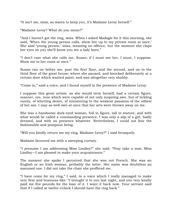"It isn't me, miss, as wants to keep you, it's Madame Leroy herself."

"Madame Leroy? What do you mean?"

"And I haven"t got the ring, miss. When I asked Madagie for it this morning, she said, When the young person calls, show her up to my private room at once.' She said 'young person,' miss, meaning no offence, but the moment she claps her eyes on you she"ll know you are a lady born."

"I don"t care what she calls me, Susan; if I must see her, I must, I suppose. Show me to her room at once."

Susan ran on before me, past the first floor, and the second, and on to the third floor of the great house; where she paused, and knocked deliberately at a certain door which wanted paint, and was altogether very shabby.

"Come in," said a voice, and I found myself in the presence of Madame Leroy.

I suppose this great artiste, as she would term herself, had a certain figure, manner, eye, tone which were capable of not only inspiring awe, but of tickling vanity, of whetting desire, of ministering to the weakest passions of the silliest of her sex. I may as well own at once that her arts were thrown away on me.

She was a handsome dark-eyed woman, full in figure, tall in stature, and with what would be called a commanding presence. I was only a slip of a girl, badly dressed, and with no presence whatever. Nevertheless, I could not fear the fashionable and pompous being.

"Will you kindly return me my ring, Madame Leroy?" I said brusquely.

Madame favoured me with a sweeping curtsey.

"I presume I am addressing Miss Lindley?" she said. "Pray take a seat, Miss Lindley—I am pleased to make your acquaintance."

The moment she spoke I perceived that she was not French. She was an English or an Irish woman, probably the latter. Her name was doubtless an assumed one. I did not take the chair she proffered me.

"I have come for my ring," I said, in a voice which I really managed to make very firm and business-like. "I brought it to you last night, and you very kindly paid me five pounds for the loan of it. I want it back now. Your servant said that if I called at twelve o'clock I should have the ring back."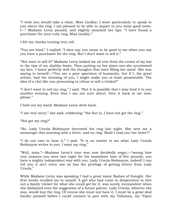"I wish you would take a chair, Miss Lindley; I want particularly to speak to you about the ring. I am pleased to be able to impart to you some good news. I—" Madame Leroy paused, and slightly smacked her lips. "I have found a purchaser for your ruby ring, Miss Lindley."

I felt my cheeks turning very red.

"You are kind," I replied; "I dare say you mean to be good to me when you say you have a purchaser for the ring. But I don"t want to sell it."

"Not want to sell it!" Madame Leroy looked me all over from the crown of my hat to the tips of my shabby boots. Then putting on her pince-nez she scrutinised my face. I knew perfectly well the thoughts that were filling her mind. She was saying to herself:—"You are a poor specimen of humanity, but if I, the great artiste, had the dressing of you, I might make you at least presentable. The idea of a chit like you presuming to refuse to sell a trinket!"

"I don"t want to sell my ring," I said. "But it is possible that I may lend it to you another evening. Even that I am not sure about. Give it back to me now, please."

I held out my hand. Madame Leroy drew back.

"I am very sorry," she said, reddening; "the fact is, I have not got the ring."

"Not got my ring?"

"No. Lady Ursula Redmayne borrowed the ring last night. She sent me a messenger this morning with a letter, and no ring. Shall I read you her letter?"

"I do not care to hear it," I said. "It is no matter to me what Lady Ursula Redmayne writes to you. I want my ring."

"Well, miss,"—Madame Leroy"s tone was now decidedly angry,—"seeing how very anxious you were last night for the immediate loan of five pounds, you have a mighty independent way with you. Lady Ursula Redmayne, indeed! I can tell you it isn't every one as has the privilege of getting letters from Lady Ursula."

While Madame Leroy was speaking I had a great many flashes of thought. Her first words recalled me to myself. A girl who had come in desperation to hire out a family trinket for what she could get for it, was surely inconsistent when she disdained even the suggestion of a future patron. Lady Ursula, whoever she was, would buy the ring. Of course she must not have it, I must be a great deal harder pressed before I could consent to part with my Talisman, my "Open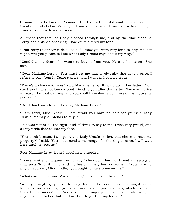Sesame" into the Land of Romance. But I knew that I did want money. I wanted twenty pounds before Monday, if I would help Jack—I wanted further money if I would continue to assist his wife.

All these thoughts, as I say, flashed through me, and by the time Madame Leroy had finished speaking, I had quite altered my tone.

"I am sorry to appear rude," I said. "I know you were very kind to help me last night. Will you please tell me what Lady Ursula says about my ring?"

"Candidly, my dear, she wants to buy it from you. Here is her letter. She says:—

""Dear Madame Leroy,—You must get me that lovely ruby ring at any price. I refuse to part from it. Name a price, and I will send you a cheque.'

"There"s a chance for you," said Madame Leroy, flinging down her letter. "You can"t say I have not been a good friend to you after that letter. Name any price in reason for that old ring, and you shall have it—my commission being twenty per cent."

"But I don"t wish to sell the ring, Madame Leroy."

"I am sorry, Miss Lindley, I am afraid you have no help for yourself. Lady Ursula Redmayne intends to buy it."

This was not at all the right kind of thing to say to me. I was very proud, and all my pride flashed into my face.

"You think because I am poor, and Lady Ursula is rich, that she is to have my property?" I said. "You must send a messenger for the ring at once. I will wait here until he returns."

Poor Madame Leroy looked absolutely stupefied.

"I never met such a queer young lady," she said. "How can I send a message of that sort? Why, it will offend my best, my very best customer. If you have no pity on yourself, Miss Lindley, you ought to have some on me."

"What can I do for you, Madame Leroy? I cannot sell the ring."

"Well, you might go yourself to Lady Ursula. She is eccentric. She might take a fancy to you. You might go to her, and explain your motives, which are more than I can understand. And above all things you might exonerate me; you might explain to her that I did my best to get the ring for her."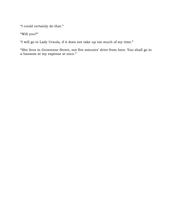"I could certainly do that."

"Will you?"

"I will go to Lady Ursula, if it does not take up too much of my time."

"She lives in Grosvenor Street, not five minutes" drive from here. You shall go in a hansom at my expense at once."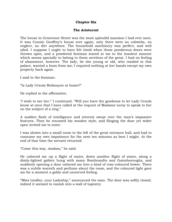### **Chapter Six**

#### **The Aristocrat**

The house in Grosvenor Street was the most splendid mansion I had ever seen. It was Cousin Geoffrey"s house over again, only there were no cobwebs, no neglect, no dirt anywhere. The household machinery was perfect, and well oiled. I suppose I ought to have felt timid when those ponderous doors were thrown open, and a powdered footman stared at me in the insolent manner which seems specially to belong to these servitors of the great. I had no feeling of abasement, however. The lady, be she young or old, who resided in this palace, wanted a boon from me; I required nothing at her hands except my own property back again.

I said to the footman:

"Is Lady Ursula Redmayne at home?"

He replied in the affirmative.

"I wish to see her," I continued. "Will you have the goodness to let Lady Ursula know at once that I have called at the request of Madame Leroy to speak to her on the subject of a ring."

A sudden flash of intelligence and interest swept over the man"s impassive features. Then he resumed his wooden style, and flinging the door yet wider open invited me to enter.

I was shown into a small room to the left of the great entrance hall, and had to consume my own impatience for the next ten minutes as best I might. At the end of that time the servant returned.

"Come this way, madam," he said.

He ushered me up a flight of stairs, down another flight of stairs, along a dimly-lighted gallery hung with many Rembrandts and Gainsboroughs, and suddenly opening a door ushered me into a kind of rose-coloured bower. There was a subtle warmth and perfume about the room, and the coloured light gave me for a moment a giddy and unnerved feeling.

"Miss Lindley, your Ladyship," announced the man. The door was softly closed, indeed it seemed to vanish into a wall of tapestry.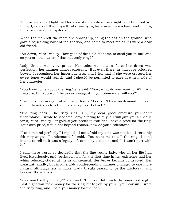The rose-coloured light had for an instant confused my sight, and I did not see the girl, no older than myself, who was lying back in an easy-chair, and pulling the silken ears of a toy-terrier.

When the man left the room she sprang up, flung the dog on the ground, who gave a squeaking bark of indignation, and came to meet me as if I were a dear old friend.

"Sit down, Miss Lindley. How good of dear old Madame to send you to me! And so you are the owner of that heavenly ring?"

Lady Ursula was very pretty. Her voice was like a flute; her dress was perfection; her manner almost caressing. But even there, in that rose-coloured bower, I recognised her imperiousness, and I felt that if she were crossed her sweet tones would vanish, and I should be permitted to gaze at a new side of her character.

"You have come about the ring," she said. "Now, what do you want for it? It is a treasure, but you won"t be too extravagant in your demands, will you?"

"I won"t be extravagant at all, Lady Ursula," I cried. "I have no demand to make, except to ask you to let me have my property back."

"The ring back? The ruby ring? Oh, my dear good creature you don"t understand. I wrote to Madame Leroy offering to buy it. I will give you a cheque for it, Miss Lindley—or gold, if you prefer it. You shall have a price for the ring. Your own price, if it is not beyond reason. Now do you understand?"

"I understand perfectly," I replied—I am afraid my tone was nettled—I certainly felt very angry. "I understand," I said. "You want me to sell the ring—I don"t intend to sell it. It was a legacy left to me by a cousin, and I—I won"t part with it."

I said these words so decidedly that the fine young lady, who all her life had lived luxuriously, and, perhaps, now for the first time in her existence had her whim refused, stared at me in amazement. Her brows became contracted. Her pleasant, kindly, but insufferably condescending manner changed to one more natural although less amiable. Lady Ursula ceased to be the aristocrat, and became the woman.

"You won"t sell your ring?" she said. "But you did much the same last night. Last night you took money for the ring left to you by your—your cousin. I wore the ruby ring, and I paid you money for the loan."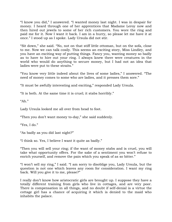"I know you did," I answered. "I wanted money last night. I was in despair for money. I heard through one of her apprentices that Madame Leroy now and then hired out jewels to some of her rich customers. You wore the ring and paid me for it. Now I want it back. I am in a hurry, so please let me have it at once." I stood up as I spoke. Lady Ursula did not stir.

"Sit down," she said. "No, not on that stiff little ottoman, but on the sofa, close to me. Now we can talk cosily. This seems an exciting story, Miss Lindley, and you have an exciting way of putting things. Fancy you, wanting money so badly as to have to hire out your ring. I always knew there were creatures in the world who would do anything to secure money, but I had not an idea that ladies were put to these straits."

"You know very little indeed about the lives of some ladies," I answered. "The need of money comes to some who are ladies, and it presses them sore."

"It must be awfully interesting and exciting," responded Lady Ursula.

"It is both. At the same time it is cruel; it stabs horribly."

" $Ah.$ "

Lady Ursula looked me all over from head to foot.

"Then you don"t want money to-day," she said suddenly.

"Yes, I do."

"As badly as you did last night?"

"I think so. Yes, I believe I want it quite as badly."

"Then you will sell your ring; if the want of money stabs and is cruel, you will take what opportunity offers. For the sake of a sentiment you won"t refuse to enrich yourself, and remove the pain which you speak of as so bitter."

"I won"t sell my ring," I said. "I am sorry to disoblige you, Lady Ursula, but the question is not one which leaves any room for consideration. I want my ring back. Will you give it to me, please?"

I really don"t know how aristocratic girls are brought up. I suppose they have a totally different training from girls who live in cottages, and are very poor. There is compensation in all things, and no doubt if self-denial is a virtue the cottage girl has a chance of acquiring it which is denied to the maid who inhabits the palace.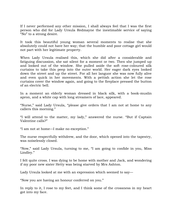If I never performed any other mission, I shall always feel that I was the first person who did for Lady Ursula Redmayne the inestimable service of saying "No" to a strong desire.

It took this beautiful young woman several moments to realise that she absolutely could not have her way; that the humble and poor cottage girl would not part with her legitimate property.

When Lady Ursula realised this, which she did after a considerable and fatiguing discussion, she sat silent for a moment or two. Then she jumped up and looked out of the window. She pulled aside the soft rose-coloured silk curtains to take this peep into the outer world. Her eager dark eyes looked down the street and up the street. For all her languor she was now fully alive and even quick in her movements. With a pettish action she let the rose curtains cover the window again, and going to the fireplace pressed the button of an electric bell.

In a moment an elderly woman dressed in black silk, with a book-muslin apron, and a white cap with long streamers of lace, appeared.

"Nurse," said Lady Ursula, "please give orders that I am not at home to any callers this morning."

"I will attend to the matter, my lady," answered the nurse. "But if Captain Valentine calls?"

"I am not at home—I make no exception."

The nurse respectfully withdrew, and the door, which opened into the tapestry, was noiselessly closed.

"Now," said Lady Ursula, turning to me, "I am going to confide in you, Miss Lindley."

I felt quite cross. I was dying to be home with mother and Jack, and wondering if my poor new sister Hetty was being starved by Mrs Ashton.

Lady Ursula looked at me with an expression which seemed to say—

"Now you are having an honour conferred on you."

In reply to it, I rose to my feet, and I think some of the crossness in my heart got into my face.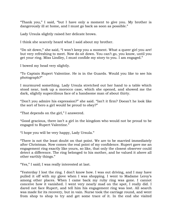"Thank you," I said, "but I have only a moment to give you. My brother is dangerously ill at home, and I must go back as soon as possible."

Lady Ursula slightly raised her delicate brows.

I think she scarcely heard what I said about my brother.

"Do sit down," she said, "I won"t keep you a moment. What a queer girl you are! but very refreshing to meet. Now do sit down. You can"t go, you know, until you get your ring. Miss Lindley, I must confide my story to you. I am engaged."

I bowed my head very slightly.

"To Captain Rupert Valentine. He is in the Guards. Would you like to see his photograph?"

I murmured something. Lady Ursula stretched out her hand to a table which stood near, took up a morocco case, which she opened, and showed me the dark, slightly supercilious face of a handsome man of about thirty.

"Don"t you admire his expression?" she said. "Isn"t it firm? Doesn"t he look like the sort of hero a girl would be proud to obey?"

"That depends on the girl," I answered.

"Good gracious, there isn"t a girl in the kingdom who would not be proud to be engaged to Rupert Valentine."

"I hope you will be very happy, Lady Ursula."

"There is not the least doubt on that point. We are to be married immediately after Christmas. Now comes the real point of my confidence. Rupert gave me an engagement ring exactly like yours, so like, that only the closest observer could detect a difference. The ring belonged to his mother, and he valued it above all other earthly things."

"Yes," I said; I was really interested at last.

"Yesterday I lost the ring. I don"t know how. I was out driving, and I may have pulled it off with my glove when I was shopping. I went to Madame Leroy"s among other places. When I came back my ruby ring was gone. I cannot conceive how it vanished. I went very nearly mad on the spot, I really did. I dared not face Rupert, and tell him his engagement ring was lost. All search was made for its recovery, but in vain. Nurse took the carriage round, and went from shop to shop to try and get some trace of it. In the end she visited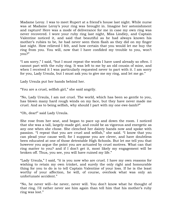Madame Leroy. I was to meet Rupert at a friend"s house last night. While nurse was at Madame Leroy"s your ring was brought in. Imagine her astonishment and rapture! Here was a mode of deliverance for me in case my own ring was never recovered. I wore your ruby ring last night, Miss Lindley, and Captain Valentine noticed it, and said that beautiful as he had always known his mother's rubies to be, he had never seen them flash as they did on my finger last night. How relieved I felt, and how certain that you would let me buy the ring from you. You will, now that I have confided my trouble to you, won"t you?"

"I am sorry," I said, "but I must repeat the words I have used already so often. I cannot part with the ruby ring. It was left to me by an old cousin of mine, and when I received it I was particularly requested never to part with it. I am sorry for you, Lady Ursula, but I must ask you to give me my ring, and let me go."

Lady Ursula put her hands behind her.

"You are a cruel, selfish girl," she said angrily.

"No, Lady Ursula, I am not cruel. The world, which has been so gentle to you, has blown many hard rough winds on my face, but they have never made me cruel. And as to being selfish, why should I part with my one ewe-lamb?"

"Oh, dear!" said Lady Ursula.

She rose from her seat, and began to pace up and down the room. I noticed that she was a tall, largely-made girl, and could be as vigorous and energetic as any one when she chose. She clenched her dainty hands now and spoke with passion. "I repeat that you are cruel and selfish," she said. "I know that you can plead your cause well; for I suppose you are clever, and have doubtless been educated at one of those detestable High Schools. But let me tell you that however you argue the point you are actuated by cruel motives. What can that ring matter to you? and if I don"t get it, most likely my engagement will be broken off. Thus, you see, you will have ruined my life."

"Lady Ursula," I said, "it is you now who are cruel. I have my own reasons for wishing to retain my own trinket, and surely the only right and honourable thing for you to do is to tell Captain Valentine of your loss. If he is the least worthy of your affection, he will, of course, overlook what was only an unfortunate accident."

"No, he never will—he never, never will. You don"t know what he thought of that ring. I'd rather never see him again than tell him that his mother's ruby ring was lost."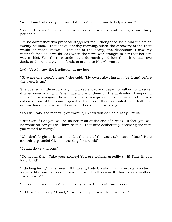"Well, I am truly sorry for you. But I don"t see my way to helping you."

"Listen. Hire me the ring for a week—only for a week, and I will give you thirty pounds."

I must admit that this proposal staggered me. I thought of Jack, and the stolen twenty pounds. I thought of Monday morning, when the discovery of the theft would be made known. I thought of the agony, the dishonour; I saw my mother"s face as it would look when the news was brought to her that her son was a thief. Yes, thirty pounds could do much good just then; it would save Jack, and it would give me funds to attend to Hetty"s wants.

Lady Ursula saw the hesitation in my face.

"Give me one week's grace," she said. "My own ruby ring may be found before the week is up."

She opened a little exquisitely inlaid secretary, and began to pull out of a secret drawer notes and gold. She made a pile of them on the table—four five-pound notes, ten sovereigns. The yellow of the sovereigns seemed to mix with the rosecoloured tone of the room. I gazed at them as if they fascinated me. I half held out my hand to close over them, and then drew it back again.

"You will take the money—you want it, I know you do," said Lady Ursula.

"But even if I do you will be no better off at the end of a week. In fact, you will be worse off, for you will have been all that time deliberately deceiving the man you intend to marry."

"Oh, don"t begin to lecture me! Let the end of the week take care of itself! Here are thirty pounds! Give me the ring for a week!"

"I shall do very wrong."

"Do wrong then! Take your money! You are looking greedily at it! Take it, you long for it!"

"I do long for it," I answered. "If I take it, Lady Ursula, it will avert such a storm as girls like you can never even picture. It will save—Oh, have you a mother, Lady Ursula?"

"Of course I have. I don"t see her very often. She is at Cannes now."

"If I take the money," I said, "it will be only for a week, remember."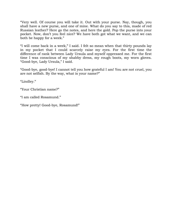"Very well. Of course you will take it. Out with your purse. Nay, though, you shall have a new purse, and one of mine. What do you say to this, made of red Russian leather? Here go the notes, and here the gold. Pop the purse into your pocket. Now, don"t you feel nice? We have both got what we want, and we can both be happy for a week."

"I will come back in a week," I said. I felt so mean when that thirty pounds lay in my pocket that I could scarcely raise my eyes. For the first time the difference of rank between Lady Ursula and myself oppressed me. For the first time I was conscious of my shabby dress, my rough boots, my worn gloves. "Good-bye, Lady Ursula," I said.

"Good-bye, good-bye! I cannot tell you how grateful I am! You are not cruel, you are not selfish. By the way, what is your name?"

"Lindley."

"Your Christian name?"

"I am called Rosamund."

"How pretty! Good-bye, Rosamund!"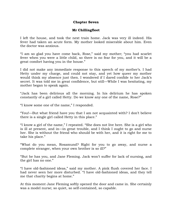### **Chapter Seven**

## **Mr Chillingfleet**

I left the house, and took the next train home. Jack was very ill indeed. His fever had taken an acute form. My mother looked miserable about him. Even the doctor was anxious.

"I am so glad you have come back, Rose," said my mother; "you had scarlet fever when you were a little child, so there is no fear for you, and it will be a great comfort having you in the house."

I did not make any immediate response to this speech of my mother"s. I had Hetty under my charge, and could not stay, and yet how queer my mother would think my absence just then. I wondered if I dared confide to her Jack"s secret. It was told me in great confidence, but still—While I was hesitating, my mother began to speak again.

"Jack has been delirious all the morning. In his delirium he has spoken constantly of a girl called Hetty. Do we know any one of the name, Rose?"

"I know some one of the name," I responded.

"You!—But what friend have you that I am not acquainted with? I don"t believe there is a single girl called Hetty in this place."

"I know a girl of the name," I repeated. "She does not live here. She is a girl who is ill at present, and in—in great trouble, and I think I ought to go and nurse her. She is without the friend who should be with her, and it is right for me to take his place."

"What do you mean, Rosamund? Right for you to go away, and nurse a complete stranger, when your own brother is so ill?"

"But he has you, and Jane Fleming. Jack won"t suffer for lack of nursing, and the girl has no one."

"I have old-fashioned ideas," said my mother. A pink flush covered her face. I had never seen her more disturbed. "I have old-fashioned ideas, and they tell me that charity begins at home."

At this moment Jane Fleming softly opened the door and came in. She certainly was a model nurse; so quiet, so self-contained, so capable.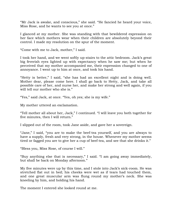"Mr Jack is awake, and conscious," she said. "He fancied he heard your voice, Miss Rose, and he wants to see you at once."

I glanced at my mother. She was standing with that bewildered expression on her face which mothers wear when their children are absolutely beyond their control. I made my resolution on the spur of the moment.

"Come with me to Jack, mother," I said.

I took her hand, and we went softly up-stairs to the attic bedroom. Jack"s great big feverish eyes lighted up with expectancy when he saw me; but when he perceived that my mother accompanied me, their expression changed to one of annoyance. I went up to him at once, and took his hand.

"Hetty is better," I said, "she has had an excellent night and is doing well. Mother dear, please come here. I shall go back to Hetty, Jack, and take all possible care of her, and nurse her, and make her strong and well again, if you will tell our mother who she is."

"Yes," said Jack, at once. "Yes, oh yes; she is my wife."

My mother uttered an exclamation.

"Tell mother all about her, Jack," I continued. "I will leave you both together for five minutes, then I will return."

I slipped out of the room, took Jane aside, and gave her a sovereign.

"Jane," I said, "you are to make the beef-tea yourself, and you are always to have a supply, fresh and very strong, in the house. Whenever my mother seems tired or fagged you are to give her a cup of beef-tea, and see that she drinks it."

"Bless you, Miss Rose, of course I will."

"Buy anything else that is necessary," I said. "I am going away immediately, but shall be back on Monday afternoon."

My five minutes were up by this time, and I stole into Jack"s sick-room. He was stretched flat out in bed; his cheeks were wet as if tears had touched them, and one great muscular arm was flung round my mother's neck. She was kneeling by him, and holding his hand.

The moment I entered she looked round at me.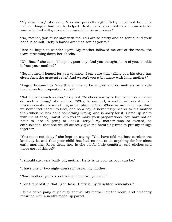"My dear love," she said, "you are perfectly right; Hetty must not be left a moment longer than can be helped. Hush, Jack, you need have no anxiety for your wife. I—I will go to see her myself if it is necessary."

"No, mother, you must stay with me. You are so pretty and so gentle, and your hand is so soft. Hetty's hands aren't as soft as yours."

Here he began to wander again. My mother followed me out of the room, the tears streaming down her cheeks.

"Oh, Rose," she said, "the poor, poor boy. And you thought, both of you, to hide it from your mother?"

"No, mother, I longed for you to know; I am sure that telling you his story has given Jack the greatest relief. And weren"t you a bit angry with him, mother?"

"Angry, Rosamund? Was this a time to be angry? and do mothers as a rule turn away from repentant sons?"

"Not mothers such as you," I replied. "Mothers worthy of the name would never do such a thing," she replied. "Why, Rosamund, a mother—I say it in all reverence—stands something in the place of God. When we are truly repentant we never feel nearer to God, and so a boy is never truly nearer to his mother than when he has done something wrong, and is sorry for it. Come up-stairs with me at once, I must help you to make your preparations. You have not an hour to lose in going to Jack"s Hetty." My mother was so excited, so enthusiastic, that she would scarcely give me breathing-time to put my things together.

"You must not delay," she kept on saying. "You have told me how careless the landlady is, and that poor child has had no one to do anything for her since early morning. Rose, dear, how is she off for little comforts, and clothes and those sort of things?"

"I should say, very badly off, mother. Hetty is as poor as poor can be."

"I have one or two night-dresses," began my mother.

"Now, mother, you are not going to deprive yourself."

"Don"t talk of it in that light, Rose. Hetty is my daughter, remember."

I felt a fierce pang of jealousy at this. My mother left the room, and presently returned with a neatly-made-up parcel.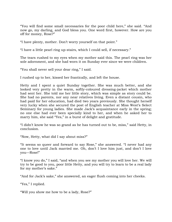"You will find some small necessaries for the poor child here," she said. "And now go, my darling, and God bless you. One word first, however. How are you off for money, Rose?"

"I have plenty, mother. Don"t worry yourself on that point."

"I have a little pearl ring up-stairs, which I could sell, if necessary."

The tears rushed to my eyes when my mother said this. The pearl ring was her sole adornment, and she had worn it on Sunday ever since we were children.

"You shall never sell your dear ring," I said.

I rushed up to her, kissed her frantically, and left the house.

Hetty and I spent a quiet Sunday together. She was much better, and she looked very pretty in the warm, softly-coloured dressing-jacket which mother had sent her. She told me her little story, which was simple as story could be. She had no parents, nor any near relatives living. Even a distant cousin, who had paid for her education, had died two years previously. She thought herself very lucky when she secured the post of English teacher at Miss West"s Select Seminary for young ladies. She made Jack's acquaintance early in the spring; no one else had ever been specially kind to her, and when he asked her to marry him, she said "Yes," in a burst of delight and gratitude.

"I didn"t know he was so grand as he has turned out to be, miss," said Hetty, in conclusion.

"Now, Hetty, what did I say about miss?"

"It seems so queer and forward to say Rose," she answered. "I never had any one to love until Jack married me. Oh, don"t I love him just, and don"t I love you—Rose!"

"I know you do," I said, "and when you see my mother you will love her. We will try to be good to you, poor little Hetty, and you will try to learn to be a real lady for my mother's sake."

"And for Jack's sake," she answered, an eager flush coming into her cheeks.

"Yes," I replied.

"Will you show me how to be a lady, Rose?"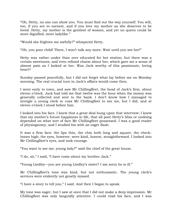"Oh, Hetty, no one can show you. You must find out the way yourself. You will, too, if you are in earnest, and if you love my mother as she deserves to be loved. Hetty, my mother is the gentlest of women, and yet no queen could be more dignified, more ladylike."

"Would she frighten me awfully?" whispered Hetty.

"Oh, you poor child! There, I won"t talk any more. Wait until you see her!"

Hetty was rather under than over educated for her station; but there was a certain sweetness, and even refined charm about her, which gave me a sense of almost pain as I looked at her. Was Jack worthy of this passionate, loving heart?

Sunday passed peacefully, but I did not forget what lay before me on Monday morning. The real crucial turn in Jack's affairs would come then.

I went early to town, and saw Mr Chillingfleet, the head of Jack"s firm, about eleven o"clock. Jack had told me that twelve was the hour when the money was generally collected and sent to the bank. I don"t know how I managed to inveigle a young clerk to coax Mr Chillingfleet to see me, but I did, and at eleven o"clock I stood before him.

I looked into his face. I knew that a great deal hung upon that interview; I knew that my mother"s future happiness in life, that all poor Hetty"s bliss or undoing depended on what sort of face Mr Chillingfleet possessed. I was a good reader of physiognomy, and I studied his with an eager flash.

It was a firm face: the lips thin, the chin both long and square, the checkbones high; the eyes, however, were kind, honest, straightforward. I looked into Mr Chillingfleet's eyes, and took courage.

"You want to see me, young lady?" said the chief of the great house.

"I do, sir," I said, "I have come about my brother Jack."

"Young Lindley—you are young Lindley"s sister? I am sorry he is ill."

Mr Chillingfleet's tone was kind, but not enthusiastic. The young clerk's services were evidently not greatly missed.

"I have a story to tell you," I said. And then I began to speak.

My tone was eager, but I saw at once that I did not make a deep impression. Mr Chillingfleet was only languidly attentive. I could read his face, and I was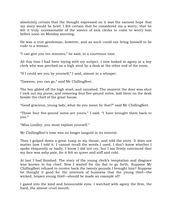absolutely certain that the thought expressed on it was the earnest hope that my story would be brief. I felt certain that he considered me a worry, that he felt it truly unreasonable of the sisters of sick clerks to come to worry him before noon on Monday morning.

He was a true gentleman, however, and as such could not bring himself to be rude to a woman.

"I can give you ten minutes," he said, in a courteous tone.

All this time I had been toying with my subject. I now looked in agony at a boy clerk who was perched on a high stool by a desk at the other end of the room.

"If I could see you by yourself," I said, almost in a whisper.

"Dawson, you can go," said Mr Chillingfleet.

The boy glided off the high stool, and vanished. The moment the door was shut I took out my purse, and removing four five-pound notes, laid them on the desk beside the chief of the great house.

"Good gracious, young lady, what do you mean by that?" said Mr Chillingfleet.

"Those four five-pound notes are yours," I said. "I have brought them back to you."

"Miss Lindley, you must explain yourself."

Mr Chillingfleet"s tone was no longer languid in its interest.

Then I gulped down a great lump in my throat, and told the story. It does not matter how I told it. I cannot recall the words I used. I don"t know whether I spoke eloquently or badly. I know I did not cry, but I am firmly convinced that my face was ashy pale, for it felt so queer and stiff and cold.

At last I had finished. The story of the young clerk's temptation and disgrace was known to his chief. Now I waited for the fiat to go forth. Suppose Mr Chillingfleet refused to receive back the twenty pounds I brought him? Suppose he thought it good for the interests of business that the young thief—the wicked, brazen young thief—should be made an example of?

I gazed into the kind and honourable eyes. I watched with agony the firm, the hard, the almost cruel mouth.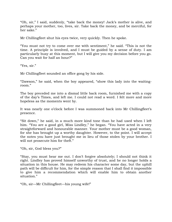"Oh, sir," I said, suddenly, "take back the money! Jack"s mother is alive, and perhaps your mother, too, lives, sir. Take back the money, and be merciful, for her sake."

Mr Chillingfleet shut his eyes twice, very quickly. Then he spoke.

"You must not try to come over me with sentiment," he said. "This is not the time. A principle is involved, and I must be guided by a sense of duty. I am particularly busy at this moment, but I will give you my decision before you go. Can you wait for half an hour?"

"Yes, sir."

Mr Chillingfleet sounded an office gong by his side.

"Dawson," he said, when the boy appeared, "show this lady into the waitingroom."

The boy preceded me into a dismal little back room, furnished me with a copy of the day"s Times, and left me. I could not read a word. I felt more and more hopeless as the moments went by.

It was nearly one o'clock before I was summoned back into Mr Chillingfleet's presence.

"Sit down," he said, in a much more kind tone than he had used when I left him. "You are a good girl, Miss Lindley," he began. "You have acted in a very straightforward and honourable manner. Your mother must be a good woman, for she has brought up a worthy daughter. However, to the point. I will accept the notes you have just brought me in lieu of those stolen by your brother. I will not prosecute him for theft."

"Oh, sir, God bless you?"

"Stay, you must hear me out. I don"t forgive absolutely; I should not think it right. Lindley has proved himself unworthy of trust, and he no longer holds a situation in this house. He may redeem his character some day, but the uphill path will be difficult for him, for the simple reason that I shall find it impossible to give him a recommendation which will enable him to obtain another situation."

"Oh, sir—Mr Chillingfleet—his young wife!"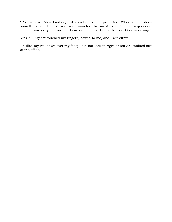"Precisely so, Miss Lindley, but society must be protected. When a man does something which destroys his character, he must bear the consequences. There, I am sorry for you, but I can do no more. I must be just. Good-morning."

Mr Chillingfleet touched my fingers, bowed to me, and I withdrew.

I pulled my veil down over my face; I did not look to right or left as I walked out of the office.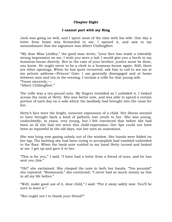# **Chapter Eight**

## **I cannot part with my Ring**

Jack was going on well, and I spent most of the time with his wife. One day a letter from home was forwarded to me. I opened it, and saw to my astonishment that the signature was Albert Chillingfleet.

"My dear Miss Lindley," the good man wrote, "your face has made a tolerably strong impression on me. I wish you were a lad; I would give you a berth in my business-house directly. But in the case of your brother, justice must be done, you know. He ought never to be a clerk in a business-house again. Still, there are other openings. When he has quite recovered, ask him to call to see me at my private address—Princes" Gate. I am generally disengaged and at home between nine and ten in the evening. I enclose a trifle for that young wife. "Yours sincerely,—

"Albert Chillingfleet."

The trifle was a ten-pound note. My fingers trembled as I unfolded it. I looked across the room at Hetty. She was better now, and was able to spend a certain portion of each day on a sofa which the landlady had brought into the room for her.

Hetty"s face wore the bright, innocent expression of a child. Her illness seemed to have brought back a kind of pathetic lost youth to her. She was young, undoubtedly, in years, very young, but I felt convinced that before she had been so ill she had not worn this child-expression—her lips could not have been so reposeful in the old days, nor her eyes so unanxious.

She was lying now gazing calmly out of the window. Her hands were folded on her lap. The knitting she had been trying to accomplish had tumbled unheeded to the floor. When the bank-note rustled in my hand Hetty turned and looked at me. I got up and gave it to her.

"This is for you," I said. "I have had a letter from a friend of ours, and he has sent you this."

"Oh!" she exclaimed. She clasped the note in both her hands. "Ten pounds!" she repeated. "Rosamund," she continued, "I never had so much money as this in all my life before."

"Well, make good use of it, dear child," I said. "Put it away safely now. You"ll be sure to want it."

"But ought not I to thank your friend?"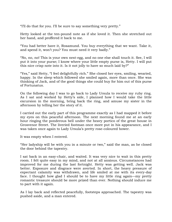"I"ll do that for you. I"ll be sure to say something very pretty."

Hetty looked at the ten-pound note as if she loved it. Then she stretched out her hand, and proffered it back to me.

"You had better have it, Rosamund. You buy everything that we want. Take it, and spend it, won"t you? You must need it very badly."

"No, no, no! This is your own nest-egg, and no one else shall touch it. See, I will put it into your purse; I know where your little empty purse is, Hetty. I will put this nice crisp note into it. Is it not jolly to have so much laid by?"

"Yes," said Hetty, "I feel delightfully rich." She closed her eyes, smiling, wearied, happy. In the sleep which followed she smiled again, more than once. She was thinking of Jack, and of the good things she could buy for him out of this purse of Fortunatus.

On the following day I was to go back to Lady Ursula to receive my ruby ring. As I sat and worked by Hetty"s side, I planned how I would take the little excursion in the morning, bring back the ring, and amuse my sister in the afternoon by telling her the story of it.

I carried out the early part of this programme exactly as I had mapped it before my eyes on this peaceful afternoon. The next morning found me at an early hour ringing the ponderous bell under the heavy portico of the great house in Grosvenor Street. The liveried footman once more put in his appearance, and I was taken once again to Lady Ursula's pretty rose-coloured bower.

It was empty when I entered.

"Her ladyship will be with you in a minute or two," said the man, as he closed the door behind the tapestry.

I sat back in an easy-chair, and waited. It was very nice to wait in this pretty room. I felt quite easy in my mind, and not at all anxious. Circumstances had improved for me during the last fortnight. Hetty was getting well. Jack was better. Exposure and disgrace were averted. In short, the heavy pressure of expectant calamity was withdrawn, and life smiled at me with its every-day face. I thought how glad I should be to have my little ring again—my pretty romantic treasure should be more prized than ever. Nothing should induce me to part with it again.

As I lay back and reflected peacefully, footsteps approached. The tapestry was pushed aside, and a man entered.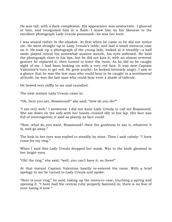He was tall, with a dark complexion. His appearance was aristocratic. I glanced at him, and recognised him in a flash. I knew him by his likeness to the excellent photograph Lady Ursula possessed—he was her lover.

I was seated rather in the shadow. At first when he came in he did not notice me. He went straight up to Lady Ursula"s table, and laid a small morocco case on it. He took up a photograph of the young lady, looked at it steadily—a half smile played round his somewhat austere mouth, his eyes softened. He held the photograph close to his lips, but he did not kiss it; with an almost reverent gesture he replaced it, then turned to leave the room. As he did so he caught sight of me. I had been looking on with a very red face. It was now Captain Valentine"s turn to get red. He grew scarlet; he looked intensely angry. I saw at a glance that he was the last man who could bear to be caught in a sentimental attitude, he was the last man who could bear even a shade of ridicule.

He bowed very stiffly to me and vanished.

The next instant Lady Ursula came in.

"Oh, here you are, Rosamund!" she said; "how do you do?"

"I am very well," I answered. I did not want Lady Ursula to call me Rosamund. She sat down on the sofa with her hands crossed idly in her lap. Her face was full of interrogation; it said as plainly as face could:

"Now, what do you want, Rosamund? Have the goodness to say it, whatever it is, and go away."

The look in her eyes was replied to steadily by mine. Then I said calmly: "I have come for my ring."

When I said this Lady Ursula dropped her mask. War to the knife gleamed in her bright eyes.

"Oh! the ring," she said; "well, you can"t have it, so there!"

At that instant Captain Valentine hastily re-entered the room. With a brief apology to me he turned to Lady Ursula and spoke:

"Here is your ring," he said, taking up the morocco case, touching a spring and opening it. "I have had the central ruby properly fastened in; there is no fear of your losing it now."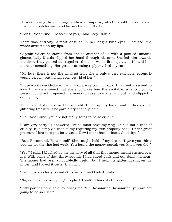He was leaving the room again when an impulse, which I could not overcome, made me rush forward and lay my hand on the table.

"Don"t, Rosamund, I beseech of you," said Lady Ursula.

There was entreaty, almost anguish in her bright blue eyes. I paused, the words arrested on my lips.

Captain Valentine stared from one to another of us with a puzzled, amazed glance. Lady Ursula slipped her hand through his arm. She led him towards the door. They passed out together; the door was a little ajar, and I heard him murmur something. Her gentle caressing reply reached my ears:

"My love, there is not the smallest fear, she is only a very excitable, eccentric young person, but I shall soon get rid of her."

Those words decided me. Lady Ursula was coming back. I had not a second to lose. I was determined that she should see how the excitable, eccentric young person could act. I opened the morocco case, took the ring out, and slipped it on my finger.

The moment she returned to her table I held up my hand, and let her see the glittering treasure. She gave a cry of sharp pain.

"Oh, Rosamund, you are not really going to be so cruel!"

"I am very sorry," I answered, "but I must have my ring. This is not a case of cruelty. It is simply a case of my requiring my own property back. Under great pressure I lent it to you for a week. Now I must have it back. Good-bye."

"But, Rosamund, Rosamund!" She caught hold of my dress. "I gave you thirty pounds for the ring last week. You found the money useful; you know you did."

"Yes," I said. I blushed as the memory of all that that money meant rushed over me. With some of that thirty pounds I had saved Jack and our family honour. The money had been undoubtedly useful, but I held the glittering ring on my finger, and I loved it better than gold.

"I will give you forty pounds this week," said Lady Ursula.

"No, no, I cannot accept it," I replied. I walked towards the door.

"Fifty pounds," she said, following me. "Oh, Rosamund, Rosamund, you are not going to be so cruel!"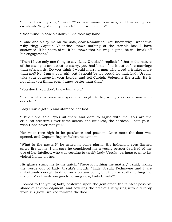"I must have my ring," I said. "You have many treasures, and this is my one ewe-lamb. Why should you seek to deprive me of it?"

"Rosamund, please sit down." She took my hand.

"Come and sit by me on the sofa, dear Rosamund. You know why I want this ruby ring; Captain Valentine knows nothing of the terrible loss I have sustained. If he hears of it—if he knows that his ring is gone, he will break off his engagement."

"Then I have only one thing to say, Lady Ursula," I replied; "if that is the nature of the man you are about to marry, you had better find it out before marriage than afterwards. Do you think I would marry a man who loved a trinket more than me? No! I am a poor girl, but I should be too proud for that. Lady Ursula, take your courage in your hands, and tell Captain Valentine the truth. He is not what you think; even I know better than that."

"You don"t. You don"t know him a bit."

"I know what a brave and good man ought to be; surely you could marry no one else."

Lady Ursula got up and stamped her foot.

"Child," she said, "you sit there and dare to argue with me. You are the cruellest creature I ever came across, the cruellest, the hardest. I hate you! I wish I had never met you."

Her voice rose high in its petulance and passion. Once more the door was opened, and Captain Rupert Valentine came in.

"What is the matter?" he asked in some alarm. His indignant eyes flashed angry fire at me; I am sure he considered me a young person deprived of the use of her intellect, who was seeking to terrify Lady Ursula, perhaps even to lay violent hands on her.

His glance stung me to the quick. "There is nothing the matter," I said, taking the words out of Lady Ursula"s mouth. "Lady Ursula Redmayne and I are unfortunate enough to differ on a certain point, but there is really nothing the matter. May I wish you good-morning now, Lady Ursula?"

I bowed to the young lady, bestowed upon the gentleman the faintest possible shade of acknowledgment, and covering the precious ruby ring with a terribly worn silk glove, walked towards the door.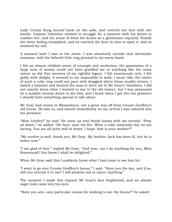Lady Ursula flung herself back on the sofa, and covered her face with her hands. Captain Valentine seemed to struggle for a moment with his desire to comfort her, and his sense of what his duties as a gentleman required. Finally the latter feeling triumphed, and he reached the door in time to open it, and so assisted my exit.

A moment later I was in the street. I was absolutely outside that detestable mansion, with the beloved little ring pressed in my warm hand.

I felt an almost childish sense of triumph and exultation; the possession of a large sum of money could not have gratified me to anything like the same extent as did this recovery of my rightful legacy. I felt enormously rich; I felt giddy with delight; it seemed to me impossible to walk, I must ride; the owner of such a ruby ring could not pace with draggled skirts those muddy streets. I hailed a hansom and desired the man to drive me to Mr Gray's chambers. I did not exactly know what I wanted to say to the old lawyer, but I was possessed by a sudden intense desire to see him, and I knew when I got into his presence I should have something special to talk about.

Mr Gray had rooms in Bloomsbury, not a great way off from Cousin Geoffrey"s old house. He was in, and almost immediately on my arrival I was ushered into his presence.

"Miss Lindley!" he said. He came up and shook hands with me warmly. "Pray sit down," he added. "Sit here, near the fire. What a cold, miserable day we are having. You are all quite well at home, I hope; how is your mother?"

"My mother is well, thank you, Mr Gray. My brother Jack has been ill, but he is better now."

"I am glad of that," replied Mr Gray. "And now, can I do anything for you, Miss Rosamund? You know I shall be delighted."

When Mr Gray said this I suddenly knew what I had come to see him for.

"I want to go over Cousin Geoffrey"s house," I said. "Have you the key, and if so, will you entrust it to me? I will promise not to injure anything."

The moment I made this request Mr Gray's face brightened, and an almost eager look came into his eyes.

"Have you any—any particular reason for wishing to see the house?" he asked.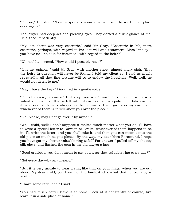"Oh, no," I replied. "No very special reason. Just a desire, to see the old place once again."

The lawyer had deep-set and piercing eyes. They darted a quick glance at me. He sighed impatiently.

"My late client was very eccentric," said Mr Gray. "Eccentric in life, more eccentric, perhaps, with regard to his last will and testament. Miss Lindley you have no—no clue for instance—with regard to the heirs?"

"Oh no," I answered. "How could I possibly have?"

"It is my opinion," said Mr Gray, with another short, almost angry sigh, "that the heirs in question will never be found. I told my client so. I said as much repeatedly. All that fine fortune will go to endow the hospitals. Well, well, he would not listen to me."

"May I have the key?" I inquired in a gentle voice.

"Oh, of course, of course! But stay, you won"t want it. You don"t suppose a valuable house like that is left without caretakers. Two policemen take care of it, and one of them is always on the premises. I will give you my card, and whichever of them is in will show you over the place."

"Oh, please, may I not go over it by myself."

"Well, child, well! I don"t suppose it makes much matter what you do. I"ll have to write a special letter to Dawson or Drake, whichever of them happens to be in. I"ll write the letter, and you shall take it, and then you can moon about the old place as much as you please. By the way, my dear Miss Rosamund, I hope you have got my client"s valuable ring safe?" For answer I pulled off my shabby silk glove, and flashed the gem in the old lawyer's face.

"Good gracious, you don"t mean to say you wear that valuable ring every day?"

"Not every day—by any means."

"But it is very unsafe to wear a ring like that on your finger when you are out alone. My dear child, you have not the faintest idea what that centre ruby is worth."

"I have some little idea," I said.

"You had much better leave it at home. Look at it constantly of course, but leave it in a safe place at home."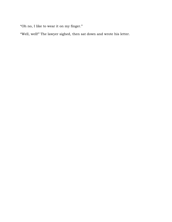"Oh no, I like to wear it on my finger."

"Well, well!" The lawyer sighed, then sat down and wrote his letter.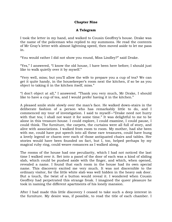# **Chapter Nine**

# **A Telegram**

I took the letter in my hand, and walked to Cousin Geoffrey"s house. Drake was the name of the policeman who replied to my summons. He read the contents of Mr Gray"s letter with almost lightning speed, then moved aside to let me pass in.

"You would rather I did not show you round, Miss Lindley?" said Drake.

"Yes," I answered, "I know the old house, I have been here before; I should just like to walk quietly over it by myself."

"Very well, miss; but you"ll allow the wife to prepare you a cup of tea? We can get it quite handy, in the housekeeper"s room next the kitchen, if so be as you object to taking it in the kitchen itself, miss."

"I don"t object at all," I answered. "Thank you very much, Mr Drake, I should like to have a cup of tea, and I would prefer having it in the kitchen."

A pleased smile stole slowly over the man"s face. He walked down-stairs in the deliberate fashion of a person who has remarkably little to do, and I commenced my tour of investigation. I said to myself—"Drake need not hurry with that tea; I shall not want it for some time." It was delightful to me to be alone in this treasure-house. I could explore, I could examine, I could pause, I could think. The furniture, the carpets, the curtains were all full of story, and alive with associations. I walked from room to room. My mother, had she been with me, could have put speech into all these rare treasures, could have hung a lovely legend or charm over each of those antiquated chairs and tables. Her stories would have been founded on fact, but I, too, helped perhaps by my magical ruby ring, could weave romances as I walked along.

The rooms of the house had one peculiarity, which I had not noticed the last time I walked over it. Set into a panel of the door of each was a kind of sliding slab, which could be pushed aside with the finger, and which, when opened, revealed a name. I found that each room in the house had its own special name. This discovery excited me very much. It was not discernible to the ordinary visitor, for the little white slab was well hidden in the heavy oak door. But a touch, the twist of a button would reveal it. I wondered when Cousin Geoffrey had perpetrated this strange freak. I imagined the queer pleasure he took in naming the different apartments of his lonely mansion.

After I had made this little discovery I ceased to take such a deep interest in the furniture. My desire was, if possible, to read the title of each chamber. I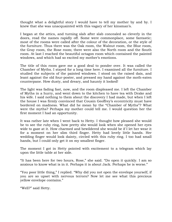thought what a delightful story I would have to tell my mother by and by. I knew that she was unacquainted with this vagary of her kinsman's.

I began at the attics, and turning slab after slab concealed so cleverly in the doors, read the names rapidly off. Some were commonplace, some fantastic; most of the rooms were called after the colour of the decoration, or the style of the furniture. Thus there was the Oak room, the Walnut room, the Blue room, the Gray room, the Rose room; there were also the North room and the South room. At last I reached the beautiful octagon room which contained the painted windows, and which had so excited my mother's emotions.

The title of this room gave me a good deal to ponder over. It was called the Chamber of Myths. I stayed for a long time here. I examined all the furniture. I studied the subjects of the painted windows. I stood on the raised dais, and leant against the old four-poster, and pressed my hand against the moth-eaten counterpane. How dusty, and dreary, and haunty it looked!

The light was fading fast, now, and the room displeased me. I left the Chamber of Myths in a hurry, and went down to the kitchen to have tea with Drake and his wife. I said nothing to them about the discovery I had made, but when I left the house I was firmly convinced that Cousin Geoffrey"s eccentricity must have bordered on madness. What did he mean by the "Chamber of Myths"? What were the myths? Perhaps my mother could tell me. I would question her the first moment I had an opportunity.

It was rather late when I went back to Hetty. I thought how pleased she would be to see the ruby ring, how pretty she would look when she opened her eyes wide to gaze at it. How charmed and bewildered she would be if I let her wear it for a moment on her slim third finger. Hetty had lovely little hands. Her wedding finger would look dainty, circled with this ruby ring. I too had small hands, but I could only get it on my smallest finger.

The moment I got in Hetty pointed with excitement to a telegram which lay upon the little table at her side.

"It has been here for two hours, Rose," she said. "Do open it quickly. I am so anxious to know what is in it. Perhaps it is about Jack. Perhaps he is worse."

"You poor little thing," I replied. "Why did you not open the envelope yourself, if you are so upset with nervous terrors? Now let me see what this precious yellow envelope contains."

"Well?" said Hetty.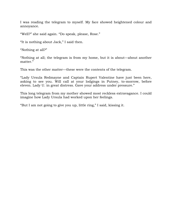I was reading the telegram to myself. My face showed heightened colour and annoyance.

"Well?" she said again. "Do speak, please, Rose."

"It is nothing about Jack," I said then.

"Nothing at all?"

"Nothing at all; the telegram is from my home, but it is about—about another matter."

This was the other matter—these were the contents of the telegram.

"Lady Ursula Redmayne and Captain Rupert Valentine have just been here, asking to see you. Will call at your lodgings in Putney, to-morrow, before eleven. Lady U. in great distress. Gave your address under pressure."

This long telegram from my mother showed most reckless extravagance. I could imagine how Lady Ursula had worked upon her feelings.

"But I am not going to give you up, little ring," I said, kissing it.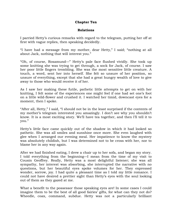### **Chapter Ten**

### **Relations**

I parried Hetty"s curious remarks with regard to the telegram, putting her off at first with vague replies, then speaking decidedly.

"I have had a message from my mother, dear Hetty," I said; "nothing at all about Jack, nothing that will interest you."

"Oh, of course, Rosamund—" Hetty"s pale face flushed vividly. She took up some knitting she was trying to get through, a sock for Jack, of course. I saw her poor little fingers trembling. She was the most sensitive little creature. A touch, a word, sent her into herself. She felt so unsure of her position, so unsure of everything, except that she had a great hungry wealth of love to give away to those who would receive it of her.

As I saw her making these futile, pathetic little attempts to get on with her knitting, I felt some of the experiences one might feel if one had set one's foot on a little wild-flower and crushed it. I watched her timid, downcast eyes for a moment, then I spoke.

"After all, Hetty," I said, "I should not be in the least surprised if the contents of my mother's telegram interested you amazingly. I don't see why you shouldn't know. It is a most exciting story. We"ll have tea together, and then I"ll tell it to you."

Hetty"s little face came quickly out of the shadow in which it had looked so pathetic. She was all smiles and sunshine once more. She even laughed with glee when I arranged our evening meal. Her impatience to know the mystery was absolutely childish, but I was determined not to be cross with her, nor to blame her in any way again.

After we had finished eating, I drew a chair up to her sofa, and began my story. I told everything from the beginning—I mean from the time of my visit to Cousin Geoffrey. Really, Hetty was a most delightful listener; she was all sympathy, her interest was absorbing, she interrupted the narrative with no questions, but her beautiful eyes spoke volumes for her. They expressed wonder, sorrow, joy. I had quite a pleasant time as I told my little romance. I could not have desired a prettier sight than Hetty"s eyes with the soul looking out of them as they gazed at me.

What a benefit to the possessor those speaking eyes are! In some cases I could imagine them to be the best of all good fairies' gifts, for what can they not do? Wheedle, coax, command, subdue. Hetty was not a particularly brilliant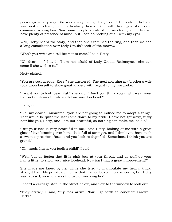personage in any way. She was a very loving, dear, true little creature, but she was neither clever, nor particularly heroic. Yet with her eyes she could command a kingdom. Now some people speak of me as clever, and I know I have plenty of presence of mind, but I can do nothing at all with my eyes.

Well, Hetty heard the story, and then she examined the ring, and then we had a long consultation over Lady Ursula"s visit of the morrow.

"Won"t you write and tell her not to come?" said Hetty.

"Oh dear, no," I said, "I am not afraid of Lady Ursula Redmayne,—she can come if she wishes to."

Hetty sighed.

"You are courageous, Rose," she answered. The next morning my brother"s wife took upon herself to show great anxiety with regard to my wardrobe.

"I want you to look beautiful," she said. "Don"t you think you might wear your hair not quite—not quite so flat on your forehead?"

I laughed.

"Oh, my dear," I answered, "you are not going to induce me to adopt a fringe. That would be quite the last come-down to my pride. I have not got wavy, fuzzy hair like you, Hetty, and I am not beautiful, so nothing can make me look it."

"But your face is very beautiful to me," said Hetty, looking at me with a great glow of love beaming over hers. "It is full of strength, and I think you have such a sweet expression, Rose, and you look so dignified. Sometimes I think you are grand."

"Oh, hush, hush, you foolish child!" I said.

"Well, but do fasten that little pink bow at your throat, and do puff up your hair a little, to show your nice forehead. Now isn't that a great improvement?"

She made me kneel by her while she tried to manipulate my heavy, thick, straight hair. My private opinion is that I never looked more uncouth, but Hetty was pleased, so where was the use of worrying her?

I heard a carriage stop in the street below, and flew to the window to look out.

"They arrive," I said, "my foes arrive! Now I go forth to conquer! Farewell, Hetty."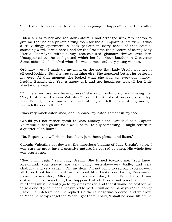"Oh, I shall be so excited to know what is going to happen!" called Hetty after me.

I blew a kiss to her and ran down-stairs. I had arranged with Mrs Ashton to give me the use of a private sitting-room for the all-important interview. It was a truly dingy apartment—a back parlour in every sense of that odioussounding word. It was here I had for the first time the pleasure of seeing Lady Ursula Redmayne without any rose-coloured glamour thrown over her. Unsupported by the background which her luxurious boudoir in Grosvenor Street afforded, she looked what she was, a most ordinary young woman.

Ordinary—yes,—I made up my mind on the spot that Lady Ursula was not at all good-looking. But she was something else. She appeared better, far better in my eyes. At that moment she looked what she was, an every-day, happy, healthy English girl. Yes, a happy girl, and her happiness took all her little affectations away.

"Oh, here you are, my benefactress?" she said, rushing up and kissing me. "May I introduce Captain Valentine? I don"t think I did it properly yesterday. Now, Rupert, let's sit one at each side of her, and tell her everything, and get her to tell us everything."

I was very much astonished, and I showed my astonishment in my face.

"Would you not rather speak to Miss Lindley alone, Ursula?" said Captain Valentine. "I can go out for a walk, or to—to buy something—I might return in a quarter of an hour."

"No, Rupert, you will sit on that chair, just there, please, and listen."

Captain Valentine sat down at the imperious bidding of Lady Ursula"s voice. I was sure he must have a sensitive nature, he got red so often. His whole face was scarlet now.

"Now I will begin," said Lady Ursula. She turned towards me. "You know, Rosamund, you treated me very badly yesterday—very badly, and very shabbily, and very cruelly. Oh, my dear, I"m not going to reproach you now—it all turned out for the best, as the good little books say. Listen, Rosamund, please, to my story. After you left us yesterday, I told Rupert that I was distracted, that something had happened which I could not possibly tell him, but that I must instantly go to my dressmaker, and that it would be best for me to go alone. 'By no means,' answered Rupert, 'I will accompany you.' 'Oh, don't,' I said. I am determined, he replied. So the carriage was ordered, and we drove to Madame Leroy's together. When I got there, I said, I shall be some little time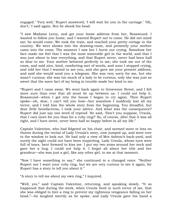engaged.' 'Very well,' Rupert answered, 'I will wait for you in the carriage.' 'Oh, don't,' I said again. But he shook his head.

"I saw Madame Leroy, and got your home address from her, Rosamund. I wanted to follow you home, and I wanted Rupert not to come. He did not mind me; he would come. We took the train, and reached your pretty cottage in the country. We were shown into the drawing-room, and presently your mother came into the room. The moment I saw her I burst out crying. Somehow her face made me feel that I was the most miserable girl in the world, and that I was just about to lose everything, and that Rupert never, never had been half so dear to me. Your mother behaved perfectly to me; she took me out of the room, and said nice, kind, comforting sort of words, and soon I stopped crying, and told her that I wanted to see you, and she gave me your present address, and said she would send you a telegram. She was very sorry for me, but she wasn"t curious; she was too much of a lady to be curious, only she was just so sweet that the mere fact of my being in trouble made her kind to me.

"Rupert and I came away. We went back again to Grosvenor Street, and I felt more sure than ever that all must be up between us. I could not help it, Rosamund—when I got into the house I began to cry again. Then Rupert spoke—oh, dear, I can't tell you how—but somehow I suddenly lost all my terror, and I told him the whole story from the beginning. You dreadful, but dear little benefactress, I took your advice. And what was the consequence? Rupert did just say one word of reproof. He said, "Don"t you suppose, Ursula, that I care more for you than for a ruby ring?" So, of course, after that it was all right, and I have never, never been half so happy before in all my life."

Captain Valentine, who had fidgeted on his chair, and seemed more or less on thorns during the recital of Lady Ursula"s story, now jumped up, and went over to the window to look out. He had only a view of Mrs Ashton"s back-yard, and surely the sight could not have been inspiriting. Lady Ursula, whose eyes were full of tears, bent forward to kiss me. I put my two arms around her neck and gave her a hug. I could not help it. I forgot all about her title and her grandeur—she was just a girl, like any other girl, to me at that moment.

"Now I have something to say," she continued in a changed voice. "Neither Rupert nor I want your ruby ring, but we are very curious to see it again, for Rupert has a story to tell you about it."

"A story to tell me about my own ring," I inquired.

"Well, yes," said Captain Valentine, returning, and speaking slowly. "It so happened that during the week, when Ursula lived in such terror of me, that she was obliged to hire a ring to prevent my righteous vengeance falling on her head,"—he laughed merrily as he spoke, and Lady Ursula gave his hand a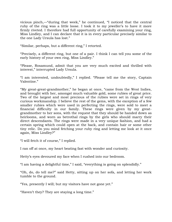vicious pinch,—"during that week," he continued, "I noticed that the central ruby of the ring was a little loose. I took it to my jeweller's to have it more firmly riveted. I therefore had full opportunity of carefully examining your ring, Miss Lindley, and I can declare that it is in every particular precisely similar to the one Lady Ursula has lost."

"Similar, perhaps, but a different ring," I retorted.

"Precisely, a different ring, but one of a pair. I think I can tell you some of the early history of your own ring, Miss Lindley."

"Please, Rosamund, admit that you are very much excited and thrilled with interest," interrupted Lady Ursula.

"I am interested, undoubtedly," I replied. "Please tell me the story, Captain Valentine."

"My great-great-grandmother," he began at once, "came from the West Indies, and brought with her, amongst much valuable gold, some rubies of great price. Two of the largest and most precious of the rubies were set in rings of very curious workmanship. I believe the rest of the gems, with the exception of a few smaller rubies which were used in perfecting the rings, were sold to meet a financial difficulty in our family. These rings were given by my greatgrandmother to her sons, with the request that they should be handed down as heirlooms, and worn as betrothal rings by the girls who should marry their direct descendants. The rings were made in a very unique fashion, and had a certain spring which could open at the back, and contain hair or some other tiny relic. Do you mind fetching your ruby ring and letting me look at it once again, Miss Lindley?"

"I will fetch it of course," I replied.

I ran off at once, my heart beating fast with wonder and curiosity.

Hetty's eyes devoured my face when I rushed into our bedroom.

"I am having a delightful time," I said, "everything is going on splendidly."

"Oh, do, do tell me?" said Hetty, sitting up on her sofa, and letting her work tumble to the ground.

"Yes, presently I will; but my visitors have not gone yet."

"Haven"t they? They are staying a long time."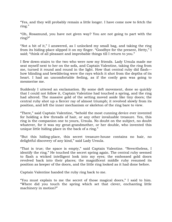"Yes, and they will probably remain a little longer. I have come now to fetch the ring."

"Oh, Rosamund, you have not given way? You are not going to part with the ring?"

"Not a bit of it," I answered, as I unlocked my small bag, and taking the ring from its hiding-place slipped it on my finger. "Goodbye for the present, Hetty," I said; "think of all pleasant and improbable things till I return to you."

I flew down-stairs to the two who were now my friends. Lady Ursula made me seat myself next to her on the sofa, and Captain Valentine, taking the ring from me, turned it round and round in the light. How that central ruby did flash how blinding and bewildering were the rays which it shot from the depths of its heart. I had an uncomfortable feeling, as if the costly gem was going to mesmerise me.

Suddenly I uttered an exclamation. By some deft movement, done so quickly that I could not follow it, Captain Valentine had touched a spring, and the ring had altered. The massive gold of the setting moved aside like tiny doors; the central ruby shot up a fiercer ray of almost triumph; it revolved slowly from its position, and left the inner mechanism or skeleton of the ring bare to view.

"There," said Captain Valentine, "behold the most cunning device ever invented for holding a few threads of hair, or any other invaluable treasure. Yes, this ring is the companion one to yours, Ursula. No doubt on the subject, no doubt whatever, for it was my great-grandmother, or her double, who invented this unique little hiding-place in the back of a ring."

"But this hiding-place, this secret treasure-house contains no hair, no delightful discovery of any kind," said Lady Ursula.

"That is true; the space is empty," said Captain Valentine. "Nevertheless, I identify the ring." He touched the secret spring again. The central ruby seemed to flash a wicked intelligent look into my eyes; the embossed gold doors revolved back into their places; the magnificent middle ruby resumed its position as keeper of the doors, and the little ring looked as it had done before.

Captain Valentine handed the ruby ring back to me.

"You must explain to me the secret of those magical doors," I said to him. "Where did you touch the spring which set that clever, enchanting little machinery in motion?"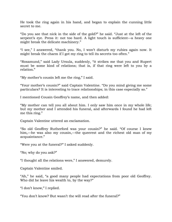He took the ring again in his hand, and began to explain the cunning little secret to me.

"Do you see that nick in the side of the gold?" he said. "Just at the left of the serpent's eye. Press it: not too hard. A light touch is sufficient—a heavy one might break the delicate machinery."

"I see," I answered, "thank you. No, I won"t disturb my rubies again now. It might break the charm if I got my ring to tell its secrets too often."

"Rosamund," said Lady Ursula, suddenly, "it strikes me that you and Rupert must be some kind of relations; that is, if that ring were left to you by a relation."

"My mother"s cousin left me the ring," I said.

"Your mother"s cousin?" said Captain Valentine. "Do you mind giving me some particulars? It is interesting to trace relationships; in this case especially so."

I mentioned Cousin Geoffrey"s name, and then added:

"My mother can tell you all about him. I only saw him once in my whole life; but my mother and I attended his funeral, and afterwards I found he had left me this ring."

Captain Valentine uttered an exclamation.

"So old Geoffrey Rutherford was your cousin?" he said. "Of course I knew him,—he was also my cousin,—the queerest and the richest old man of my acquaintance."

"Were you at the funeral?" I asked suddenly.

"No; why do you ask?"

"I thought all the relations were," I answered, demurely.

Captain Valentine smiled.

"Ah," he said, "a good many people had expectations from poor old Geoffrey. Who did he leave his wealth to, by the way?"

"I don"t know," I replied.

"You don"t know? But wasn"t the will read after the funeral?"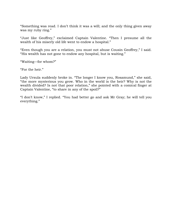"Something was read. I don"t think it was a will; and the only thing given away was my ruby ring."

"Just like Geoffrey," exclaimed Captain Valentine. "Then I presume all the wealth of his miserly old life went to endow a hospital."

"Even though you are a relation, you must not abuse Cousin Geoffrey," I said. "His wealth has not gone to endow any hospital, but is waiting."

"Waiting—for whom?"

"For the heir."

Lady Ursula suddenly broke in. "The longer I know you, Rosamund," she said, "the more mysterious you grow. Who in the world is the heir? Why is not the wealth divided? Is not that poor relation," she pointed with a comical finger at Captain Valentine, "to share in any of the spoil?"

"I don"t know," I replied. "You had better go and ask Mr Gray; he will tell you everything."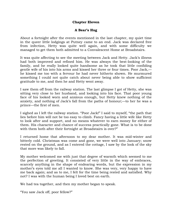### **Chapter Eleven**

# **A Bear's Hug**

About a fortnight after the events mentioned in the last chapter, my quiet time in the queer little lodgings at Putney came to an end. Jack was declared free from infection, Hetty was quite well again, and with some difficulty we managed to get them both admitted to a Convalescent Home at Broadstairs.

It was quite affecting to see the meeting between Jack and Hetty. Jack"s illness had both improved and refined him. He was always the best-looking of the family, and he really looked quite handsome as he took that little confiding gentle wife of his into his arms and kissed her three or four times. Poor Jack, he kissed me too with a fervour he had never hitherto shown. He murmured something I could not quite catch about never being able to show sufficient gratitude to me, and then he and Hetty went away.

I saw them off from the railway station. The last glimpse I got of Hetty, she was sitting very close to her husband, and looking into his face. That poor young face of his looked worn and anxious enough, but Hetty knew nothing of the anxiety, and nothing of Jack"s fall from the paths of honour;—to her he was a prince—the first of men.

I sighed as I left the railway station. "Poor Jack!" I said to myself, "the path that lies before him will not be too easy to climb. Fancy having a little wife like Hetty to look after and support, and no means whatever to earn money for either of them. His character and chance of success practically gone. What is to be done with them both after their fortnight at Broadstairs is over?"

I returned home that afternoon to my dear mother. It was mid-winter and bitterly cold. Christmas was come and gone, we were well into January; snow rested on the ground, and as I entered the cottage, I saw by the look of the sky that more was likely to fall.

My mother welcomed me with just that degree of warmth which seemed to me the perfection of greeting. It consisted of very little in the way of embraces, scarcely anything in the shape of endearing words, but the expression in my mother's eyes told me all I wanted to know. She was very, very happy to have me back again; and as to me, I felt for the time being rested and satisfied. Why not? I was with the human being I loved best on earth.

We had tea together, and then my mother began to speak.

"You saw Jack off, poor fellow?"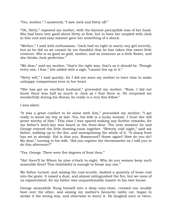"Yes, mother," I answered; "I saw Jack and Hetty off."

"Oh, Hetty," repeated my mother, with the faintest perceptible toss of her head. She had been very good about Hetty at first, but to have her coupled with Jack in this cool and easy manner gave her something of a shock.

"Mother," I said with enthusiasm, "Jack had no right to marry any girl secretly, but as he did so we cannot be too thankful that he has taken this sweet little creature. She is as good as gold, mother, and as innocent as a little flower, and she thinks Jack perfection."

"My dear," said my mother, "that's the right way; that's as it should be. Though every one, I fear," she added with a sigh, "cannot live up to it."

"Hetty will," I said quickly, for I did not want my mother to have time to make unhappy comparisons even in her heart.

"She has got an excellent husband," proceeded my mother. "Rose, I did not know there was half as much in Jack as I find there is. He surprised me wonderfully during his illness; he really is a very fine fellow."

I was silent.

"It was a great comfort to be alone with him," proceeded my mother; "I got really to know my boy at last. Yes, his wife is a lucky woman. I trust she will prove worthy of him." This time I was spared making any further remarks, for my father"s latch-key was heard in the front-door. The next moment he and George entered the little drawing-room together. "Bitterly cold night," said my father, walking up to the fire, and monopolising the whole of it. "A sharp frost has set in already. Ha! is that you, Rosamund? Home again? How do you do? My dear," turning to his wife, "did you register the thermometer as I told you to do this afternoon?"

"Yes, George. There were five degrees of frost then."

"Ha! there"ll be fifteen by nine o"clock to-night. Why do you women keep such miserable fires? This thimbleful is enough to freeze any one."

My father turned, and seizing the coal-scuttle, dashed a quantity of loose coal into the grate. It raised a dust, and almost extinguished the fire, but we none of us expostulated, for my father was unquestionably master in his own house.

George meanwhile flung himself into a deep easy-chair, crossed one muddy boot over the other, and seizing my mother"s favourite tabby cat, began to stroke it the wrong way, and otherwise to worry it. He laughed once or twice,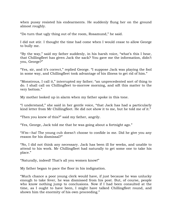when pussy resisted his endearments. He suddenly flung her on the ground almost roughly.

"Do turn that ugly thing out of the room, Rosamund," he said.

I did not stir. I thought the time had come when I would cease to allow George to bully me.

"By the way," said my father suddenly, in his harsh voice, "what"s this I hear, that Chillingfleet has given Jack the sack? You gave me the information, didn"t you, George?"

"Yes, sir, and it's correct," replied George. "I suppose Jack was playing the fool in some way, and Chillingfleet took advantage of his illness to get rid of him."

"Monstrous, I call it," interrupted my father; "an unprecedented sort of thing to do. I shall call on Chillingfleet to-morrow morning, and sift this matter to the very bottom."

My mother looked up in alarm when my father spoke in this tone.

"I understand," she said in her gentle voice, "that Jack has had a particularly kind letter from Mr Chillingfleet. He did not show it to me, but he told me of it."

"Then you knew of this?" said my father, angrily.

"Yes, George, Jack told me that he was going about a fortnight ago."

"H"m—ha! The young cub doesn"t choose to confide in me. Did he give you any reason for his dismissal?"

"No, I did not think any necessary. Jack has been ill for weeks, and unable to attend to his work. Mr Chillingfleet had naturally to get some one to take his place."

"Naturally, indeed! That's all you women know!"

My father began to pace the floor in his indignation.

"Much chance a poor young clerk would have, if just because he was unlucky enough to take fever, he was dismissed from his post. But, of course, people who know nothing jump to conclusions. Now if I had been consulted at the time, as I ought to have been, I might have talked Chillingfleet round, and shown him the enormity of his own proceeding."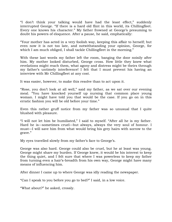"I don"t think your talking would have had the least effect," suddenly interrupted George. "If there is a hard old flint in this world, its Chillingfleet. Every one knows his character." My father frowned at George's presuming to doubt his powers of eloquence. After a pause, he said, emphatically:

"Your mother has acted in a very foolish way, keeping this affair to herself; but even now it is not too late, and notwithstanding your opinion, George, for which I am much obliged, I shall tackle Chillingfleet in the morning."

With these last words my father left the room, banging the door noisily after him. My mother looked disturbed, George cross. How little they knew what revelations might reach them, what agony and distress might be theirs through my father"s untimely interference! I felt that I must prevent his having an interview with Mr Chillingfleet at any cost.

It was easier, however, to make this resolve than to act upon it.

"Rose, you don"t look at all well," said my father, as we sat over our evening meal. "You have knocked yourself up nursing that common place young woman. I might have told you that would be the case. If you go on in this erratic fashion you will be old before your time."

Even this rather gruff notice from my father was so unusual that I quite blushed with pleasure.

"I will not let him be humiliated," I said to myself. "After all he is my father. Hard he is—sometimes cruel—but always, always the very soul of honour. I must—I will save him from what would bring his grey hairs with sorrow to the grave."

My eyes travelled slowly from my father's face to George's.

George was also hard. George could also be cruel, but he at least was young. George might share my burden. If George knew, it would be his interest to keep the thing quiet, and I felt sure that where I was powerless to keep my father from turning even a hair"s-breadth from his own way, George might have many means of influencing him.

After dinner I came up to where George was idly reading the newspaper.

"Can I speak to you before you go to bed?" I said, in a low voice.

"What about?" he asked, crossly.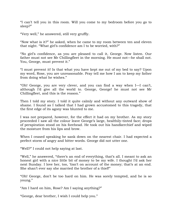"I can"t tell you in this room. Will you come to my bedroom before you go to sleep?"

"Very well," he answered, still very gruffly.

"Now what is it?" he asked, when he came to my room between ten and eleven that night. "What girl's confidence am I to be worried, with?"

"No girl"s confidence, as you are pleased to call it, George. Now listen. Our father must not see Mr Chillingfleet in the morning. He must not—he shall not. You, George, must prevent it."

"I must prevent it! Is that what you have kept me out of my bed to say? Upon my word, Rose, you are unreasonable. Pray tell me how I am to keep my father from doing what he wishes."

"Oh! George, you are very clever, and you can find a way when I—I can"t, although I"d give all the world to. George, George! he must not see Mr Chillingfleet, and this is the reason."

Then I told my story. I told it quite calmly and without any outward show of shame. I found as I talked that I had grown accustomed to this tragedy, that the first edge of its agony was blunted to me.

I was not prepared, however, for the effect it had on my brother. As my story proceeded I saw all the colour leave George"s large, healthily-tinted face; drops of perspiration stood on his forehead. He took out his handkerchief and wiped the moisture from his lips and brow.

When I ceased speaking he sank down on the nearest chair. I had expected a perfect storm of angry and bitter words. George did not utter one.

"Well?" I could not help saying at last.

"Well," he answered, "there's an end of everything, that's all. I meant to ask an honest girl with a nice little bit of money to be my wife. I thought I"d ask her next Sunday. I love her, too, 'tisn't on account of the money; that's at an end. She shan't ever say she married the brother of a thief!"

"Oh! George, don"t be too hard on him. He was sorely tempted, and he is so young."

"Am I hard on him, Rose? Am I saying anything?"

"George, dear brother, I wish I could help you."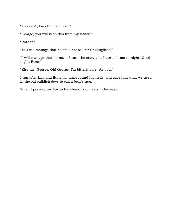"You can't; I'm off to bed now."

"George, you will keep this from my father?"

"Rather!"

"You will manage that he shall not see Mr Chillingfleet?"

"I will manage that he never hears the story you have told me to-night. Goodnight, Rose."

"Kiss me, George. Oh! George, I"m bitterly sorry for you."

I ran after him and flung my arms round his neck, and gave him what we used in the old childish days to call a bear"s hug.

When I pressed my lips to his cheek I saw tears in his eyes.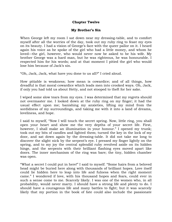### **Chapter Twelve**

### **My Brother's Sin**

When George left my room I sat down near my dressing-table, and to comfort myself after all the worries of the day, took out my ruby ring to feast my eyes on its beauty. I had a vision of George's face with the queer pallor on it. I heard again his voice as he spoke of the girl who had a little money, and whom he loved—the girl, however, who would never now be asked to be his wife. My brother George was a hard man, but he was righteous, he was honourable. I respected him for his words; and at that moment I pitied the girl who would lose him because of Jack's sin.

"Oh, Jack, Jack, what have you done to us all?" I cried aloud.

How pitiable is weakness; how mean is cowardice; and of all things, how dreadful is that moral cowardice which leads men into crooked ways. Oh, Jack, if only you had told us about Hetty, and not stooped to theft for her sake.

I wiped some slow tears from my eyes. I was determined that my regrets should not overmaster me. I looked down at the ruby ring on my finger; it had the usual effect upon me; banishing my anxieties, lifting my mind from the sordidness of my surroundings, and taking me with it into a land of dreams, loveliness, and hope.

I said to myself, "Now I will touch the secret spring. Now, little ring, you shall open your heart and show me the very depths of your secret life. First, however, I shall make an illumination in your honour." I opened my trunk; took out my bits of candles and lighted them; turned the key in the lock of my door, and sat down again by the dressing-table. It did not take me long to discover the slight nick by the serpent's eye. I pressed my finger lightly on the spring, and to my joy the central splendid ruby revolved aside on its hidden hinge, and the serpents with their brilliant flashing eyes moved apart like doors. The inner mechanism of the ring was bare; the tiny, hidden chamber was open.

"What a secret I could put in here!" I said to myself. "Some hairs from a beloved head might be buried here along with thousands of brilliant hopes. Love itself could lie hidden here to leap into life and fulness when the right moment came." I wondered if love, with his thousand hopes and fears, could ever in such a sense come to me. Scarcely likely. I was one of the women who, in all probability, would never marry. I should have a strong life and plenty to do. I should have a courageous life and many battles to fight; but it was scarcely likely that my portion in the book of fate could also include the passionate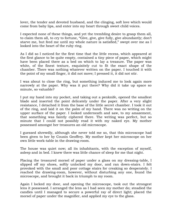lover, the tender and devoted husband, and the clinging, soft love which would come from baby lips, and enter into my heart through sweet child voices.

I expected none of these things, and yet the trembling desire to grasp them all, to claim them all, to cry to fortune, "Give, give, give fully, give abundantly; don"t starve me, but feed me until my whole nature is satisfied," swept over me as I looked into the heart of the ruby ring.

As I did so I noticed for the first time that the little recess, which appeared at the first glance to be quite empty, contained a tiny piece of paper, which might have been placed there as a bed on which to lay a treasure. The paper was white, of the finest texture, exquisitely cut to fit the exact shape of the chamber. There was nothing whatever written on the paper. I touched it with the point of my small finger, it did not move; I pressed it, it did not stir.

I was about to close the ring, but something induced me to look again more narrowly at the paper. Why was it put there? Why did it take up space so minute, so valuable?

I put my hand into my pocket, and taking out a penknife, opened the smallest blade and inserted the point delicately under the paper. After a very slight resistance, I detached it from the base of the little secret chamber. I took it out of the ring, and laid it on the palm of my hand. There was no writing on the upper surface of the paper. I looked underneath and saw, to my amazement, that something was faintly ciphered there. The writing was perfect, but so minute that I could not possibly read it with my naked eye. My mother possessed amongst her treasures an old microscope.

I guessed shrewdly, although she never told me so, that this microscope had been given to her by Cousin Geoffrey. My mother kept her microscope on her own little work-table in the drawing-room.

The house was quiet now; all its inhabitants, with the exception of myself, asleep and in bed. I knew there was little chance of sleep for me that night.

Placing the treasured morsel of paper under a glass on my dressing-table, I slipped off my shoes, softly unlocked my door, and ran down-stairs. I felt provoked with the small and poor cottage stairs for creaking so desperately. I reached the drawing-room, however, without disturbing any one, found the microscope, and brought it back in triumph to my room.

Again I locked my door, and opening the microscope, took out the strongest lens it possessed. I arranged the lens as I had seen my mother do; steadied the candles until I managed to secure a powerful ray of direct light; placed the morsel of paper under the magnifier, and applied my eye to the glass.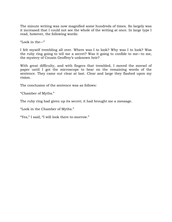The minute writing was now magnified some hundreds of times. So largely was it increased that I could not see the whole of the writing at once. In large type I read, however, the following words:

"Look in the—"

I felt myself trembling all over. Where was I to look? Why was I to look? Was the ruby ring going to tell me a secret? Was it going to confide to me—to me, the mystery of Cousin Geoffrey"s unknown heir?

With great difficulty, and with fingers that trembled, I moved the morsel of paper until I got the microscope to bear on the remaining words of the sentence. They came out clear at last. Clear and large they flashed upon my vision.

The conclusion of the sentence was as follows:

"Chamber of Myths."

The ruby ring had given up its secret; it had brought me a message.

"Look in the Chamber of Myths."

"Yes," I said, "I will look there to-morrow."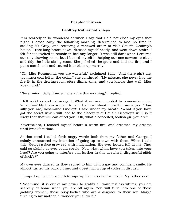# **Chapter Thirteen**

### **Geoffrey Rutherford's Keys**

It is scarcely to be wondered at when I say that I did not close my eyes that night. I arose early the following morning, determined to lose no time in seeking Mr Gray, and receiving a renewed order to visit Cousin Geoffrey's house. I rose long before dawn, dressed myself neatly, and went down-stairs. I felt far too excited to remain in bed any longer. It was still dark when I entered our tiny drawing-room, but I busied myself in helping our one servant to clean and tidy the little sitting-room. She polished the grate and laid the fire, and I put a match to it and caused it to blaze up merrily.

"Oh, Miss Rosamund, you are wasteful," exclaimed Sally. "And there ain"t any too much coal left in the cellar," she continued. "My missus, she never has the fire lit in the droring-room afore dinner-time, and you knows that well, Miss Rosamund."

"Never mind, Sally, I must have a fire this morning," I replied.

I felt reckless and extravagant. What if we never needed to economise more! What if—? My brain seemed to reel; I almost shook myself in my anger. "How silly you are, Rosamund Lindley!" I said under my breath. "What if you have got the secret which will lead to the discovery of Cousin Geoffrey"s will? is it likely that that will can affect you? Oh, what a conceited, foolish girl you are!"

Nevertheless, I toasted myself before a warm fire, and dreamed my dreams until breakfast time.

At that meal I called forth angry words both from my father and George. I calmly announced my intention of going up to town with them. When I said this, George"s face grew red with indignation. His eyes looked full at me. They said as plainly as eyes could speak: "Now what whim have you taken into your head? Are you going to interfere still further in this wretched, disgraceful affair of  $Jack's$ ?"

My own eyes danced as they replied to him with a gay and confident smile. He almost turned his back on me, and upset half a cup of coffee in disgust.

I jumped up to fetch a cloth to wipe up the mess he had made. My father said:

"Rosamund, it is out of my power to gratify all your restless whims; you are scarcely at home when you are off again. You will turn into one of those gadding women, those busy-bodies who are a disgrace to their sex. Mary," turning to my mother, "I wonder you allow it."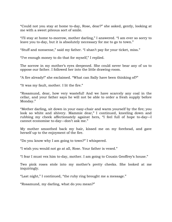"Could not you stay at home to-day, Rose, dear?" she asked, gently, looking at me with a sweet piteous sort of smile.

"I"ll stay at home to-morrow, mother darling," I answered. "I am ever so sorry to leave you to-day, but it is absolutely necessary for me to go to town."

"Stuff and nonsense," said my father. "I shan"t pay for your ticket, miss."

"I"ve enough money to do that for myself," I replied.

The sorrow in my mother's eyes deepened. She could never bear any of us to oppose our father. I followed her into the little drawing-room.

"A fire already!" she exclaimed. "What can Sally have been thinking of?"

"It was my fault, mother. I lit the fire."

"Rosamund, dear, how very wasteful! And we have scarcely any coal in the cellar, and your father says he will not be able to order a fresh supply before Monday."

"Mother darling, sit down in your easy-chair and warm yourself by the fire; you look so white and shivery. Mammie dear," I continued, kneeling down and rubbing my cheek affectionately against hers, "I feel full of hope to-day—I cannot economise to-day—don"t ask me."

My mother smoothed back my hair, kissed me on my forehead, and gave herself up to the enjoyment of the fire.

"Do you know why I am going to town?" I whispered.

"I wish you would not go at all, Rose. Your father is vexed."

"I fear I must vex him to-day, mother. I am going to Cousin Geoffrey"s house."

Two pink roses stole into my mother"s pretty cheeks. She looked at me inquiringly.

"Last night," I continued, "the ruby ring brought me a message."

"Rosamund, my darling, what do you mean?"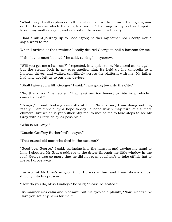"What I say. I will explain everything when I return from town. I am going now on the business which the ring told me of." I sprang to my feet as I spoke, kissed my mother again, and ran out of the room to get ready.

I had a silent journey up to Paddington; neither my father nor George would say a word to me.

When I arrived at the terminus I coolly desired George to hail a hansom for me.

"I think you must be mad," he said, raising his eyebrows.

"Will you get me a hansom?" I repeated, in a quiet voice. He stared at me again; but the steady look in my eyes quelled him. He held up his umbrella to a hansom driver, and walked unwillingly across the platform with me. My father had long ago left us to our own devices.

"Shall I give you a lift, George?" I said. "I am going towards the City."

"No, thank you," he replied. "I at least am too honest to ride in a vehicle I cannot afford."

"George," I said, looking earnestly at him, "believe me, I am doing nothing rashly. I am upheld by a hope to-day—a hope which may turn out a mere chimera, but which is yet sufficiently real to induce me to take steps to see Mr Gray with as little delay as possible."

"Who is Mr Gray?"

"Cousin Geoffrey Rutherford"s lawyer."

"That crazed old man who died in the autumn?"

"Good-bye, George," I said, springing into the hansom and waving my hand to him. I shouted Mr Gray's address to the driver through the little window in the roof. George was so angry that he did not even vouchsafe to take off his hat to me as I drove away.

I arrived at Mr Gray"s in good time. He was within, and I was shown almost directly into his presence.

"How do you do, Miss Lindley?" he said; "please be seated."

His manner was calm and pleasant, but his eyes said plainly, "Now, what's up? Have you got any news for me?"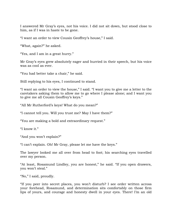I answered Mr Gray"s eyes, not his voice. I did not sit down, but stood close to him, as if I was in haste to be gone.

"I want an order to view Cousin Geoffrey"s house," I said.

"What, again?" he asked.

"Yes, and I am in a great hurry."

Mr Gray"s eyes grew absolutely eager and hurried in their speech, but his voice was as cool as ever.

"You had better take a chair," he said.

Still replying to his eyes, I continued to stand.

"I want an order to view the house," I said. "I want you to give me a letter to the caretakers asking them to allow me to go where I please alone; and I want you to give me all Cousin Geoffrey"s keys."

"All Mr Rutherford"s keys! What do you mean?"

"I cannot tell you. Will you trust me? May I have them?"

"You are making a bold and extraordinary request."

"I know it."

"And you won"t explain?"

"I can"t explain. Oh! Mr Gray, please let me have the keys."

The lawyer looked me all over from head to foot; his searching eyes travelled over my person.

"At least, Rosamund Lindley, you are honest," he said. "If you open drawers, you won't steal."

"No," I said, proudly.

"If you peer into secret places, you won"t disturb? I see order written across your forehead, Rosamund, and determination sits comfortably on those firm lips of yours, and courage and honesty dwell in your eyes. There! I"m an old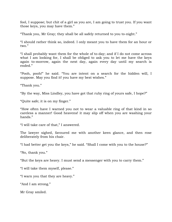fool, I suppose; but chit of a girl as you are, I am going to trust you. If you want those keys, you may have them."

"Thank you, Mr Gray; they shall be all safely returned to you to-night."

"I should rather think so, indeed. I only meant you to have them for an hour or two."

"I shall probably want them for the whole of to-day; and if I do not come across what I am looking for, I shall be obliged to ask you to let me have the keys again to-morrow, again the next day, again every day until my search is ended."

"Pooh, pooh!" he said. "You are intent on a search for the hidden will, I suppose. May you find it! you have my best wishes."

"Thank you."

"By the way, Miss Lindley, you have got that ruby ring of yours safe, I hope?"

"Quite safe; it is on my finger."

"How often have I warned you not to wear a valuable ring of that kind in so careless a manner! Good heavens! it may slip off when you are washing your hands."

"I will take care of that," I answered.

The lawyer sighed, favoured me with another keen glance, and then rose deliberately from his chair.

"I had better get you the keys," he said. "Shall I come with you to the house?"

"No, thank you."

"But the keys are heavy. I must send a messenger with you to carry them."

"I will take them myself, please."

"I warn you that they are heavy."

"And I am strong."

Mr Gray smiled.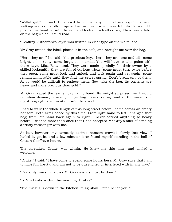"Wilful girl," he said. He ceased to combat any more of my objections, and, walking across his office, opened an iron safe which was let into the wall. He pushed his hand far into the safe and took out a leather bag. There was a label on the bag which I could read.

"Geoffrey Rutherford"s keys" was written in clear type on the white label.

Mr Gray untied the label, placed it in the safe, and brought me over the bag.

"Here they are," he said, "the precious keys! here they are, one and all—some bright, some rusty; some large, some small. You will have to take pains with these keys, Miss Rosamund. They were made specially for their owner by a skilled locksmith; they are full of curious tricks; some must turn twice before they open, some must lock and unlock and lock again and yet again; some remain immovable until they find the secret spring. Don"t break any of them, for it would be difficult to replace them. Now take the bag; its contents are heavy and more precious than gold."

Mr Gray placed the leather bag in my hand. Its weight surprised me. I would not show dismay, however, but girding up my courage and all the muscles of my strong right arm, went out into the street.

I had to walk the whole length of this long street before I came across an empty hansom. Both arms ached by this time. From right hand to left I changed that bag; from left hand back again to right. I never carried anything so heavy before. I wished more than once that I had accepted Mr Gray's offer of sending a trusty messenger with me.

At last, however, my earnestly desired hansom crawled slowly into view. I hailed it, got in, and a few minutes later found myself standing in the hall of Cousin Geoffrey"s house.

The caretaker, Drake, was within. He knew me this time, and smiled a welcome.

"Drake," I said, "I have come to spend some hours here. Mr Gray says that I am to have full liberty, and am not to be questioned or interfered with in any way."

"Certainly, miss; whatever Mr Gray wishes must be done."

"Is Mrs Drake within this morning, Drake?"

"The missus is down in the kitchen, miss; shall I fetch her to you?"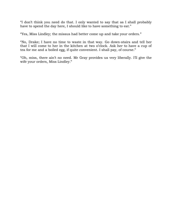"I don"t think you need do that. I only wanted to say that as I shall probably have to spend the day here, I should like to have something to eat."

"Yes, Miss Lindley; the missus had better come up and take your orders."

"No, Drake; I have no time to waste in that way. Go down-stairs and tell her that I will come to her in the kitchen at two o"clock. Ask her to have a cup of tea for me and a boiled egg, if quite convenient. I shall pay, of course."

"Oh, miss, there ain"t no need. Mr Gray provides us very liberally. I"ll give the wife your orders, Miss Lindley."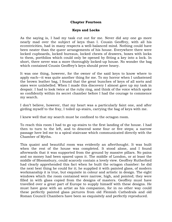#### **Chapter Fourteen**

### **Keys and Locks**

As the saying is, I had my task cut out for me. Never did any one go more nearly mad over the subject of keys than I. Cousin Geoffrey, with all his eccentricities, had in many respects a well-balanced mind. Nothing could have been neater than the queer arrangements of his house. Everywhere there were locked cupboards, locked bureaus, locked chests of drawers, boxes with locks to them, portfolios which could only be opened by fitting a key into a lock. In short, there never was a more thoroughly locked-up house. No wonder the bag which contained Cousin Geoffrey's keys should prove heavy.

It was one thing, however, for the owner of the said keys to know where to apply each—it was quite another thing for me. To my horror when I unfastened the brown leather bag, I found that the great bunches of keys of all sorts and sizes were unlabelled. When I made this discovery I almost gave up my task in despair. I had to look twice at the ruby ring, and think of the voice which spoke so confidently within its secret chamber before I had the courage to commence my search.

I don"t believe, however, that my heart was a particularly faint one, and after girding myself to the fray, I toiled up-stairs, carrying the bag of keys with me.

I knew well that my search must be confined to the octagon room.

To reach this room I had to go up-stairs to the first landing of the house. I had then to turn to the left, and to descend some four or five steps; a narrow passage here led me to a spiral staircase which communicated directly with the Chamber of Myths.

This quaint and beautiful room was evidently an afterthought. It was built when the rest of the house was completed. It stood alone, and I found afterwards that it was supported from the ground by massive pillars. No pains and no money had been spared upon it. The middle of London, or at least the middle of Bloomsbury, could scarcely contain a lovely view. Geoffrey Rutherford had clearly apprehended this fact when he built the octagon chamber: he did the next best thing he could for it; he supplied it with painted glass, of modern workmanship it is true, but exquisite in colour and artistic in design. The eight windows which the room contained were narrow, high, and pointed; they were filled in with glass copied from the designs of masters. Geoffrey must have travelled over a great part of Europe to supply himself with these designs. He must have gone with an artist as his companion, for in no other way could these perfectly painted glass pictures from old Flemish Cathedrals and old Roman Council Chambers have been so exquisitely and perfectly reproduced.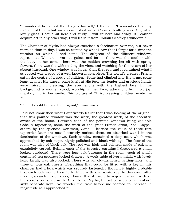"I wonder if he copied the designs himself," I thought. "I remember that my mother told me what an accomplished artist Cousin Geoffrey was. Oh, what lovely glass! I could sit here and study. I will sit here and study. If I cannot acquire art in any other way, I will learn it from Cousin Geoffrey"s windows."

The Chamber of Myths had always exercised a fascination over me, but never more so than to-day. I was so excited by what I saw that I forgot for a time the mission on which I had come. The subjects of the different windows represented Woman in various guises and forms: there was the mother with the baby in her arms: there was the maiden crowning herself with spring flowers, there was the wife tending the vines and watching for the return of her absent husband. One window was larger than the rest, and it contained what I supposed was a copy of a well-known masterpiece. The world"s greatest Friend sat in the centre of a group of children. Some had climbed into His arms, some leant against His knees, some knelt at His feet, the tender and gracious hands were raised in blessing, the eyes shone with the highest love. In the background a mother stood, worship in her face; adoration, humility, joy, thanksgiving in her smile. This picture of Christ blessing children made me weep.

"Oh, if I could but see the original," I murmured.

I did not know then what I afterwards learnt that I was looking at the original; that this painted window was the work, the greatest work, of the eccentric owner of the house. Between each of the pointed windows hung valuable Gobelin tapestries, some the work of the great French artist, Noel Coypel; others by the splendid workman, Jans. I learned the value of these rare tapestries later on; now I scarcely noticed them, so absorbed was I in the fascination of the windows. Each window contained a deep seat, which was approached by oak steps, highly polished and black with age. The floor of the room was also of black oak. The roof was high and pointed, made of oak and exquisitely carved. Behind each of the tapestry curtains I discovered a small locked cupboard. There were four oak bureaus in the room, each of which contained ten separate locked drawers. A work-table of ivory, inlaid with lovely lapis lazuli, was also locked. There was an old-fashioned writing-table, and three or four oak chests. Everything that could be fitted with a key in this chamber had a lock which was securely fastened. I thought it highly probable that each lock would have to be fitted with a separate key. In this case, after making a careful calculation, I found that if I were to acquaint myself with all the secrets contained in the Chamber of Myths, I must be supplied with about sixty separate keys. No wonder the task before me seemed to increase in magnitude as I approached it.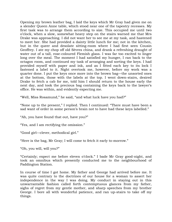Opening my brown leather bag, I laid the keys which Mr Gray had given me on a slender Queen Anne table, which stood near one of the tapestry recesses. My first task was to arrange them according to size. This occupied me until two o"clock, when a slow, somewhat heavy step on the stairs warned me that Mrs Drake was approaching. I did not want her to see me at my task, and hastened to meet her. She had provided a dainty little lunch for me; not in the kitchen, but in the queer and desolate sitting-room where I had first seen Cousin Geoffrey. I ate my chop off old Sèvres china, and drank a refreshing draught of water out of a tall, rose-coloured Flemish glass. I was far too excited to linger long over the meal. The moment I had satisfied my hunger, I ran back to the octagon room, and continued my task of arranging and sorting the keys. I had provided myself with paper and ink, and as I fitted each key to its lock I fastened a label to it. Night overtook me, however, before my work was a quarter done. I put the keys once more into the brown bag—the unsorted ones at the bottom, those with the labels at the top. I went down-stairs, desired Drake to fetch a cab for me, told him I should return to the house early the next day, and took the precious bag containing the keys back to the lawyer"s office. He was within, and evidently expecting me.

"Well, Miss Rosamund," he said, "and what luck have you had?"

"None up to the present," I replied. Then I continued: "There must have been a sad want of order in some person's brain not to have had these keys labelled."

"Ah, you have found that out, have you?"

"Yes, and I am rectifying the omission."

"Good girl—clever, methodical girl."

"Here is the bag, Mr Gray; I will come to fetch it early to-morrow."

"Oh, you will, will you?"

"Certainly; expect me before eleven o"clock." I bade Mr Gray good-night, and took an omnibus which presently conducted me to the neighbourhood of Paddington Station.

In course of time I got home. My father and George had arrived before me. It was quite contrary to the doctrines of our house for a woman to assert her independence in the way I was doing. My conduct in staying out in this unwarrantable fashion called forth contemptuous glances from my father, sighs of regret from my gentle mother, and sharp speeches from my brother George. I bore all with wonderful patience, and ran up-stairs to take off my things.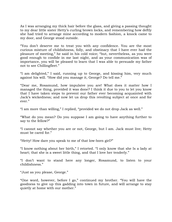As I was arranging my thick hair before the glass, and giving a passing thought to my dear little sister Hetty"s curling brown locks, and remembering how deftly she had tried to arrange mine according to modern fashion, a knock came to my door, and George stood outside.

"You don"t deserve me to treat you with any confidence. You are the most curious mixture of childishness, folly, and obstinacy that I have ever had the pleasure of meeting," he said in his cold voice; "but, nevertheless, as you were good enough to confide in me last night, and as your communication was of importance, you will be pleased to learn that I was able to persuade my father not to see Chillingfleet."

"I am delighted," I said, running up to George, and kissing him, very much against his will. "How did you manage it, George? Do tell me."

"Dear me, Rosamund, how impulsive you are! What does it matter how I managed the thing, provided it was done? I think it due to you to let you know that I have taken steps to prevent our father ever becoming acquainted with Jack"s wickedness; and now let us drop this revolting subject at once and for ever."

"I am more than willing," I replied, "provided we do not drop Jack as well."

"What do you mean? Do you suppose I am going to have anything further to say to the fellow?"

"I cannot say whether you are or not, George, but I am. Jack must live; Hetty must be cared for."

"Hetty! How dare you speak to me of that low-born girl?"

"I know nothing about her birth," I retorted. "I only know that she Is a lady at heart; that she is a sweet little thing, and that I love her tenderly."

"I don"t want to stand here any longer, Rosamund, to listen to your childishness."

"Just as you please, George."

"One word, however, before I go," continued my brother. "You will have the goodness to give up this gadding into town in future, and will arrange to stay quietly at home with our mother."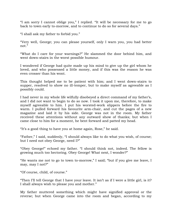"I am sorry I cannot oblige you," I replied. "It will be necessary for me to go back to town early to-morrow, and to continue to do so for several days."

"I shall ask my father to forbid you."

"Very well, George; you can please yourself, only I warn you, you had better not."

"What do I care for your warnings?" He slammed the door behind him, and went down-stairs in the worst possible humour.

I wondered if George had quite made up his mind to give up the girl whom he loved, and who possessed a little money, and if this was the reason he was even crosser than his wont.

This thought helped me to be patient with him; and I went down-stairs to supper, resolved to show no ill-temper, but to make myself as agreeable as I possibly could.

I had never in my whole life wilfully disobeyed a direct command of my father"s, and I did not want to begin to do so now. I took it upon me, therefore, to make myself agreeable to him. I put his worsted-work slippers before the fire to warm. I pulled forward his favourite arm-chair, and cut the pages of a new magazine and laid it by his side. George was not in the room. My father received these attentions without any outward show of thanks; but when I came close to him for a moment, he bent forward and patted my head.

"It"s a good thing to have you at home again, Rose," he said.

"Father," I said, suddenly, "I should always like to do what you wish, of course; but I need not obey George, need I?"

"Obey George!" echoed my father. "I should think not, indeed. The fellow is growing much too hectoring. Obey George! What next, I wonder?"

"He wants me not to go to town to-morrow," I said; "but if you give me leave, I may, may I not?"

"Of course, child, of course."

"Then I"ll tell George that I have your leave. It isn"t as if I were a little girl, is it? I shall always wish to please you and mother."

My father muttered something which might have signified approval or the reverse; but when George came into the room and began, according to my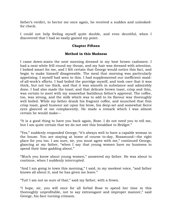father"s verdict, to hector me once again, he received a sudden and unlookedfor check.

I could not help feeling myself quite double, and even deceitful, when I discovered that I had so easily gained my point.

## **Chapter Fifteen**

# **Method in this Madness**

I came down-stairs the next morning dressed in my best brown cashmere. I had a neat white frill round my throat, and my hair was dressed with attention. I looked smart for me, and I felt certain that George would notice this fact, and begin to make himself disagreeable. The meal that morning was particularly appetising. I myself had seen to this. I had supplemented our inefficient maidof-all-work"s efforts. I had boiled the porridge myself, and took care that it was thick, but not too thick, and that it was smooth in substance and admirably done. I had also made the toast; and that delicate brown toast, crisp and thin, was certain to meet with my somewhat fastidious father's approval. The coffee, too, was strong, and the milk which was to add to its flavour was thoroughly well boiled. While my father drank his fragrant coffee, and munched that thin crisp toast, good humour sat upon his brow, his deep-set and somewhat fierce eyes glanced at me complacently. He made a remark which I was almost certain he would make—

"It is a good thing to have you back again, Rose. I do not need you to tell me, but I am quite certain that we do not owe this breakfast to Bridget."

"Yes," suddenly responded George; "it"s always well to have a capable woman in the house. You are staying at home of course to-day, Rosamund—the right place for you too. I am sure, sir, you must agree with me," continued George, glancing at my father, "when I say that young women have no business to spend their time gadding about."

"Much you know about young women," answered my father. He was about to continue, when I suddenly interrupted.

"And I am going to town this morning," I said, in my meekest voice, "and father knows all about it, and he has given me leave."

"Tut! I am not so sure of that," said my father, with a frown.

"I hope, sir, you will once for all forbid Rose to spend her time in this thoroughly unprofitable, not to say extravagant and improper manner," said George, his face turning crimson.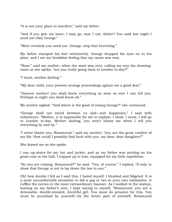"It is not your place to interfere," said my father.

"And if you give me leave, I may go, may I not, father? You said last night I need not obey George."

"Most certainly you need not. George, stop that hectoring."

My father stamped his foot vehemently. George dropped his eyes on to his plate, and I ate my breakfast feeling that my cause was won.

"Rose," said my mother, when the meal was over, calling me into the drawingroom as she spoke, "are you really going back to London to-day?"

"I must, mother darling."

"My dear child, your present strange proceedings agitate me a good deal."

"Dearest mother! you shall know everything as soon as ever I can tell you. Perhaps to-night you shall know all."

My mother sighed. "And where is the good of vexing George?" she continued.

"George shall not stand between us and—and happiness," I said with vehemence. "Mother, it is impossible for me to explain. I shall, I must, I will go to London to-day. Mother darling, you won"t blame me when I tell you everything by and by."

"I never blame you, Rosamund," said my mother; "you are the great comfort of my life. How could I possibly find fault with you, my dear, dear daughter?"

She kissed me as she spoke.

I ran up-stairs for my hat and jacket, and as my father was putting on his great-coat in the hall, I tripped up to him, equipped for my little expedition.

"So you are coming, Rosamund?" he said. "Yes, of course," I replied, "if only to show that George is not to lay down the law to you."

Oh! how double I felt as I said this. I hated myself. I blushed and fidgeted. It is a most uncomfortable sensation to fall a peg or two in your own estimation. It ruffles the nerves in the most extraordinary manner. As I walked to the station, leaning on my father's arm, I kept saying to myself, "Rosamund, you are a detestable, double-minded, deceitful girl. You must do penance for this. You must be punished by yourself—by the better part of yourself, Rosamund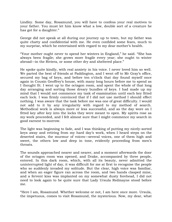Lindley. Some day, Rosamund, you will have to confess your real motives to your father. You must let him know what a low, double sort of a creature he has got for a daughter."

George did not speak at all during our journey up to town, but my father was quite chatty and confidential with me. He even confided some fears, much to my surprise, which he entertained with regard to my dear mother"s health.

"Your mother ought never to spend her winters in England," he said. "She has always been fragile; she grows more fragile every year; she ought to winter abroad—in the Riviera, or some other dry and sheltered place."

He spoke quite kindly, with real anxiety in his voice. I never loved him so well. We parted the best of friends at Paddington, and I went off to Mr Gray's office, secured my bag of keys, and before ten o'clock that day found myself once again in Cousin Geoffrey"s house, with many long hours before me to spend as I thought fit. I went up to the octagon room, and spent the whole of that long day arranging and sorting those dreary bundles of keys. I had made up my mind that I would not commence my task of examination until each key fitted each lock. I was firmly convinced that if I did not use method I should effect nothing. I was aware that the task before me was one of great difficulty. I would not add to it by any irregularity with regard to my method of search. Methodical work is always more or less successful, and as the day wore on I fitted key after key into the locks they were meant to open. My spirits rose as my work proceeded, and I felt almost sure that I might commence my search in good earnest to-morrow.

The light was beginning to fade, and I was thinking of putting my nicely-sorted keys away and retiring from my hard day"s work, when I heard steps on the deserted stairs, the murmur of voices—several voices, one of them high and sweet, the others low and deep in tone, evidently proceeding from men's throats.

The sounds approached nearer and nearer, and a moment afterwards the door of the octagon room was opened, and Drake, accompanied by three people, entered. In this dark room, which, with all its beauty, never admitted the uninterrupted light of day, it was difficult for me at first to recognise the people who so suddenly invaded my solitude. But the clear, high voice was familiar, and when an eager figure ran across the room, and two hands clasped mine, and a fervent kiss was implanted on my somewhat dusty forehead, I did not need to look again to be quite sure that Lady Ursula Redmayne stood before me.

"Here I am, Rosamund. Whether welcome or not, I am here once more. Ursula, the impetuous, comes to visit Rosamund, the mysterious. Now, my dear, what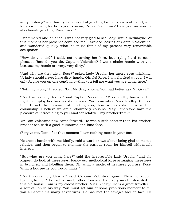are you doing? and have you no word of greeting for me, your real friend, and for your cousin, for he is your cousin, Rupert Valentine? Have you no word of affectionate greeting, Rosamund?"

I stammered and blushed. I was not very glad to see Lady Ursula Redmayne. At this moment her presence confused me. I avoided looking at Captain Valentine, and wondered quickly what he must think of my present very remarkable occupation.

"How do you do?" I said, not returning her kiss, but trying hard to seem pleased; "how do you do, Captain Valentine? I won"t shake hands with you because my hands are very, very dirty."

"And why are they dirty, Rose?" asked Lady Ursula, her merry eyes twinkling. "A lady should never have dirty hands. Oh, fie! Rose; I am shocked at you. I will only forgive you on one condition—that you tell me what you are doing here."

"Nothing wrong," I replied; "but Mr Gray knows. You had better ask Mr Gray."

"Don"t worry her, Ursula," said Captain Valentine. "Miss Lindley has a perfect right to employ her time as she pleases. You remember, Miss Lindley, the last time I had the pleasure of meeting you, how we established a sort of cousinship. I believe we are undoubtedly cousins. May I therefore have the pleasure of introducing to you another relative—my brother Tom?"

Mr Tom Valentine now came forward. He was a little shorter than his brother, broader set, with a good-humoured and kind face.

(Forgive me, Tom, if at that moment I saw nothing more in your face.)

He shook hands with me kindly, said a word or two about being glad to meet a relative, and then began to examine the curious room for himself with much interest.

"But what are you doing here?" said the irrepressible Lady Ursula; "and oh! Rupert, do look at these keys. Fancy our methodical Rose arranging these keys in bunches, and labelling them. Oh! what a model of neatness you are, Rose! What a housewife you would make!"

"Don"t worry her, Ursula," said Captain Valentine again. Then he added, turning to me: "The fact is, my brother Tom and I are very much interested in this old house. Tom is my eldest brother, Miss Lindley. He is a great traveller a sort of lion in his way. You must get him at some propitious moment to tell you all about his many adventures. He has met the savages face to face. He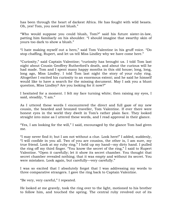has been through the heart of darkest Africa. He has fought with wild beasts. Oh, yes! Tom, you need not blush."

"Who would suppose you could blush, Tom?" said his future sister-in-law, patting him familiarly on his shoulder. "I should imagine that swarthy skin of yours too dark to show a blush."

"I hate making myself out a hero," said Tom Valentine in his gruff voice. "Do stop chaffing, Rupert, and let us tell Miss Lindley why we have come here."

"Curiosity," said Captain Valentine; "curiosity has brought us. I told Tom last night about Cousin Geoffrey Rutherford"s death, and about the curious will he had made. Tom and I spent many happy months in this old house; long, long, long ago, Miss Lindley. I told Tom last night the story of your ruby ring. Altogether I excited his curiosity to an enormous extent; and he said he himself would like to have a search for the missing document. May I ask you a blunt question, Miss Lindley? Are you looking for it now?"

I hesitated for a moment. I felt my face turning white; then raising my eyes, I said, steadily, "I am."

As I uttered these words I encountered the direct and full gaze of my new cousin, the bearded and bronzed traveller, Tom Valentine. If ever there were honest eyes in the world they dwelt in Tom's rather plain face. They looked straight into mine as I uttered these words, and I read approval in their glance.

"Yes, I am looking for the will," I said, encouraged by the glance Tom had given me.

"I may never find it; but I am not without a clue. Look here!" I added, suddenly, "I will confide in you all. Two of you are cousins, the other is, I am sure, my true friend. Look at my ruby ring." I held up my hand—my dirty hand. I pulled the ring off my third finger. "You know the secret of the ring," I said to Rupert Valentine. "Open it carefully; let it show its secret chamber. You thought that secret chamber revealed nothing; that it was empty and without its secret. You were mistaken. Look again, but carefully—very carefully."

I was so excited that I absolutely forgot that I was addressing my words to three comparative strangers. I gave the ring back to Captain Valentine.

"Be very, very careful," I repeated.

He looked at me gravely, took the ring over to the light, motioned to his brother to follow him, and touched the spring. The central ruby revolved out of its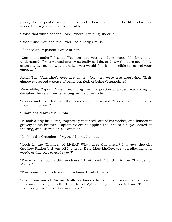place, the serpents" heads opened wide their doors, and the little chamber inside the ring was once more visible.

"Raise that white paper," I said; "there is writing under it."

"Rosamund, you shake all over," said Lady Ursula.

I flashed an impatient glance at her.

"Can you wonder?" I said. "Yes, perhaps you can. It is impossible for you to understand. If you wanted money as badly as I do, and saw the bare possibility of getting it, you too would shake—you would find it impossible to control your emotion."

Again Tom Valentine's eyes met mine. Now they were less approving. Their glance expressed a sense of being puzzled, of being disappointed.

Meanwhile, Captain Valentine, lifting the tiny portion of paper, was trying to decipher the very minute writing on the other side.

"You cannot read that with the naked eye," I remarked. "Has any one here got a magnifying glass?"

"I have," said my cousin Tom.

He took a tiny little lens, exquisitely mounted, out of his pocket, and handed it gravely to his brother. Captain Valentine applied the lens to his eye, looked at the ring, and uttered an exclamation.

"Look in the Chamber of Myths," he read aloud.

""Look in the Chamber of Myths!" What does this mean? I always thought Geoffrey Rutherford was off his head. Dear Miss Lindley, are you allowing wild words of this sort to guide you?"

"There is method in this madness," I returned, "for this is the Chamber of Myths."

"This room, this lovely room?" exclaimed Lady Ursula.

"Yes; it was one of Cousin Geoffrey"s fancies to name each room in his house. This was called by him the 'Chamber of Myths'—why, I cannot tell you. The fact I can verify. Go to the door and look."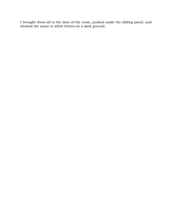I brought them all to the door of the room, pushed aside the sliding panel, and showed the name in white letters on a dark ground.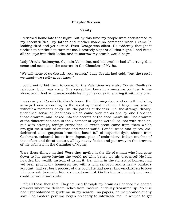#### **Chapter Sixteen**

#### **Vanity**

I returned home late that night, but by this time my people were accustomed to my eccentricities. My father and mother made no comment when I came in looking tired and yet excited. Even George was silent. He evidently thought it useless to continue to torment me. I scarcely slept at all that night. I had fitted all the keys into their locks, and to-morrow my search would begin.

Lady Ursula Redmayne, Captain Valentine, and his brother had all arranged to come and see me on the morrow in the Chamber of Myths.

"We will none of us disturb your search," Lady Ursula had said, "but the result we must—we really must know."

I could not forbid them to come, for the Valentines were also Cousin Geoffrey"s relations; but I was sorry. The secret had been in a measure confided to me alone, and I had an unreasonable feeling of jealousy in sharing it with any one.

I was early at Cousin Geoffrey"s house the following day, and everything being arranged now according to the most approved method, I began my search without a moment's delay. Oh! the pathos of the task. Oh! the strange, dreary, undefined sense of loneliness which came over me as one by one I opened those drawers, and looked into the secrets of the dead man"s life. The drawers of the different cabinets in the Chamber of Myths were filled, not with rubbish, but with strange, foreign curiosities. A sweet scent came from them which brought me a waft of another and richer world. Sandal-wood and spices, oldfashioned silks, gorgeous brocades, boxes full of exquisite dyes, shawls from Cashmere, coloured beads from Japan, piles of embroidery, Indian muslins of the softest and finest texture, all lay neatly folded and put away in the drawers of the cabinets in the Chamber of Myths.

Were these things myths? Were they myths in the life of a man who had gone down to his grave leaving the world no whit better for his presence? He had hoarded his wealth instead of using it. He, living in the richest of homes, had yet been practically homeless; he, with a long rent-roll and a heavy banker"s account, had yet been poorest of the poor. He had never known children to love him or a wife to render his existence beautiful. On his tombstone only one word could be written—Vanity.

I felt all these thoughts. They coursed through my brain as I opened the sacred drawers where the delicate riches from Eastern lands lay treasured up. No clue had I yet obtained to guide me in my search—no papers, no memoranda of any sort. The Eastern perfume began presently to intoxicate me—it seemed to get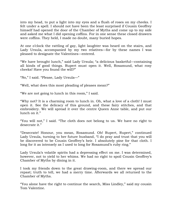into my head, to put a light into my eyes and a flush of roses on my cheeks. I felt under a spell. I should not have been the least surprised if Cousin Geoffrey himself had opened the door of the Chamber of Myths and come up to my side and asked me what I did opening coffins. For in one sense these closed drawers were coffins. They held, I made no doubt, many buried hopes.

At one o"clock the rattling of gay, light laughter was heard on the stairs, and Lady Ursula, accompanied by my two relatives—for by these names I was pleased to designate the Valentines—entered.

"We have brought lunch," said Lady Ursula; "a delicious basketful—containing all kinds of good things. Rupert must open it. Well, Rosamund, what rosy cheeks! Have you found the will?"

"No," I said. "Please, Lady Ursula—"

"Well, what does this most pleading of pleases mean?"

"We are not going to lunch in this room," I said.

"Why not? It is a charming room to lunch in. Oh, what a love of a cloth! I must open it. See the delicacy of this ground, and these fairy stitches, and that embroidery. We will spread it over the centre Queen Anne table, and put our lunch on it."

"You will not," I said. "The cloth does not belong to us. We have no right to desecrate it."

"Desecrate! Honour, you mean, Rosamund. Oh! Rupert, Rupert," continued Lady Ursula, turning to her future husband, "I do pray and trust that you will be discovered to be Cousin Geoffrey"s heir. I absolutely pine for that cloth. I long for it as intensely as I used to long for Rosamund's ruby ring."

Lady Ursula's volatile spirits had a depressing effect on me. I was determined, however, not to yield to her whims. We had no right to spoil Cousin Geoffrey"s Chamber of Myths by dining in it.

I took my friends down to the great drawing-room, and there we spread our repast; truth to tell, we had a merry time. Afterwards we all returned to the Chamber of Myths.

"You alone have the right to continue the search, Miss Lindley," said my cousin Tom Valentine.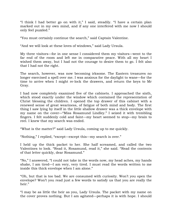"I think I had better go on with it," I said, steadily. "I have a certain plan marked out in my own mind, and if any one interfered with me now I should only feel puzzled."

"You must certainly continue the search," said Captain Valentine.

"And we will look at these loves of windows," said Lady Ursula.

My three visitors—for in one sense I considered them my visitors—went to the far end of the room and left me in comparative peace. With all my heart I wished them away, but I had not the courage to desire them to go. I felt also that I had not the right.

The search, however, was now becoming irksome. The Eastern treasures no longer exercised a spell over me. I was anxious for the daylight to wane—for the time to arrive when I might re-lock the drawers, and return the keys to Mr Gray.

I had now completely examined five of the cabinets. I approached the sixth, which stood exactly under the window which contained the representation of Christ blessing the children. I opened the top drawer of this cabinet with a renewed sense of great weariness, of fatigue of both mind and body. The first thing I saw lying by itself in the little shallow drawer was a thick envelope with my name on the cover—"Miss Rosamund Lindley." I seized it with trembling fingers. I felt suddenly cold and faint—my heart seemed to stop—my brain to reel. I knew that my search was ended.

"What is the matter?" said Lady Ursula, coming up to me quickly.

"Nothing," I replied, "except—except this—my search is over."

I held up the thick packet to her. She half screamed, and called the two Valentines to look. "Read it, Rosamund, read it," she said. "Read the contents of that letter quickly, dear Rosamund."

"No," I answered, "I could not take in the words now, my head aches, my hands shake, I am tired—I am very, very tired. I must read the words written to me inside this thick envelope when I am alone."

"Oh, but that is too bad. We are consumed with curiosity. Won"t you open the envelope? Won"t you read just a few words to satisfy us that you are really the heir."

"I may be as little the heir as you, Lady Ursula. The packet with my name on the cover proves nothing. But I am agitated—perhaps it is with hope. I should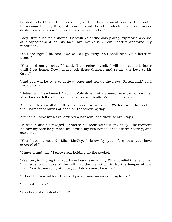be glad to be Cousin Geoffrey"s heir, for I am tired of great poverty. I am not a bit ashamed to say this; but I cannot read the letter which either confirms or destroys my hopes in the presence of any one else."

Lady Ursula looked annoyed. Captain Valentine also plainly expressed a sense of disappointment on his face, but my cousin Tom heartily approved my resolution.

"You are right," he said; "we will all go away. You shall read your letter in peace."

"You need not go away," I said. "I am going myself. I will not read this letter until I get home. Now I must lock these drawers and return the keys to Mr Gray."

"And you will be sure to write at once and tell us the news, Rosamund," said Lady Ursula.

"Better still," exclaimed Captain Valentine, "let us meet here to-morrow. Let Miss Lindley tell us the contents of Cousin Geoffrey"s letter in person."

After a little consultation this plan was resolved upon. We four were to meet in the Chamber of Myths at noon on the following day.

After this I took my leave, ordered a hansom, and drove to Mr Gray's.

He was in and disengaged. I entered his room without any delay. The moment he saw my face he jumped up, seized my two hands, shook them heartily, and exclaimed—

"You have succeeded, Miss Lindley. I know by your face that you have succeeded."

"I have found this," I answered, holding up the packet.

"Yes, yes; in finding that you have found everything. What a relief this is to me. That eccentric clause of the will was the last straw to try the temper of any man. Now let me congratulate you. I do so most heartily."

"I don"t know what for; this solid packet may mean nothing to me."

"Oh! but it does."

"You know its contents then?"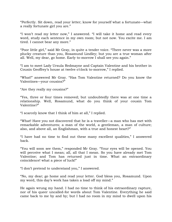"Perfectly. Sit down, read your letter; know for yourself what a fortunate—what a really fortunate girl you are."

"I won"t read my letter now," I answered. "I will take it home and read every word, study each sentence in my own room; but not now. You excite me. I am tired. I cannot bear any more."

"Poor little girl," said Mr Gray, in quite a tender voice. "There never was a more plucky creature than you, Rosamund Lindley; but you are a true woman after all. Well, my dear, go home. Early to-morrow I shall see you again."

"I am to meet Lady Ursula Redmayne and Captain Valentine and his brother in Cousin Geoffrey's house at twelve o'clock to-morrow," I replied.

"What!" answered Mr Gray. "Has Tom Valentine returned? Do you know the Valentines—your cousins?"

"Are they really my cousins?"

"Yes, three or four times removed; but undoubtedly there was at one time a relationship. Well, Rosamund, what do you think of your cousin Tom Valentine?"

"I scarcely know that I think of him at all," I replied.

"What! Have you not discovered that he is a traveller—a man who has met with remarkable adventures; a man of the world, a gentleman, a man of culture; also, and above all, an Englishman, with a true and honest heart?"

"I have had no time to find out these many excellent qualities," I answered back.

"You will soon see them," responded Mr Gray. "Your eyes will be opened. You will perceive what I mean; all, all that I mean. So you have already met Tom Valentine; and Tom has returned just in time. What an extraordinary coincidence! what a piece of luck!"

"I don"t pretend to understand you," I answered.

"No, my dear; go home and read your letter. God bless you, Rosamund. Upon my word, this day"s work has taken a load off my mind."

He again wrung my hand. I had no time to think of his extraordinary rapture, nor of his queer uncalled-for words about Tom Valentine. Everything he said came back to me by and by; but I had no room in my mind to dwell upon his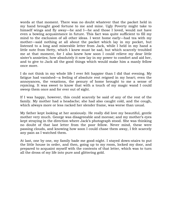words at that moment. There was no doubt whatever that the packet held in my hand brought good fortune to me and mine. Ugly Poverty might take to himself wings and fly away—he and I—he and those I loved, would not have even a bowing acquaintance in future. This fact was quite sufficient to fill my mind to the exclusion of all other ideas. I went home early—had tea with my mother—said nothing at all about the packet which lay in my pocket, but listened to a long and miserable letter from Jack, while I held in my hand a little note from Hetty, which I knew must be sad, but which scarcely troubled me at that moment, for I also knew how soon I could relieve my dear little sister's anxieties; how absolutely it now lay in my power to comfort and aid her, and to give to Jack all the good things which would make him a manly fellow once more.

I do not think in my whole life I ever felt happier than I did that evening. My fatigue had vanished—a feeling of absolute rest reigned in my heart; even the annoyances, the vexations, the penury of home brought to me a sense of rejoicing. It was sweet to know that with a touch of my magic wand I could sweep them once and for ever out of sight.

If I was happy, however, this could scarcely be said of any of the rest of the family. My mother had a headache; she had also caught cold, and the cough, which always more or less racked her slender frame, was worse than usual.

My father kept looking at her anxiously. He really did love my beautiful, gentle mother very much. George was disagreeable and morose; and my mother"s eyes kept straying in the direction where Jack"s photograph stood. She was thinking no doubt of that last letter from the poor fellow. Never mind, these were passing clouds, and knowing how soon I could chase them away, I felt scarcely any pain as I watched them.

At last, one by one, my family bade me good-night. I stayed down-stairs to put the little house in order, and then, going up to my room, locked my door, and prepared to acquaint myself with the contents of that letter, which was to turn all the dross of my life into pure and glittering gold.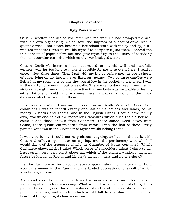# **Chapter Seventeen**

# **Ugly Poverty and I**

Cousin Geoffrey had sealed his letter with red wax. He had stamped the seal with his own signet-ring, which gave the impress of a coat-of-arms with a quaint device. That device became a household word with me by and by, but I was too impatient even to trouble myself to decipher it just then. I spread the thick sheets of paper before me, and gave myself up to the luxury of satisfying the most burning curiosity which surely ever besieged a girl.

Cousin Geoffrey"s letter—a letter addressed to myself, well and carefully written—was far too long to make it possible for me to quote it here. I read it once, twice, three times. Then I sat with my hands before me, the open sheets of paper lying on my lap, my eyes fixed on vacancy. Two or three candles were lighted in my room; one by one they burnt low in the socket, and expired. I was in the dark, not mentally but physically. There was no darkness in my mental vision that night; my mind was so active that my body was incapable of feeling either fatigue or cold, and my eyes were incapable of noticing the thick darkness which surrounded them.

This was my position: I was an heiress of Cousin Geoffrey"s wealth. On certain conditions I was to inherit exactly one-half of his houses and lands, of his money in stocks and shares, and in the English Funds. I could have for my own, exactly one-half of the marvellous treasures which filled the old house. I could divide those shawls from Cashmere, those sandal-wood boxes from China, those quaint embroideries from Persia. Even the half of those lovely painted windows in the Chamber of Myths would belong to me.

It was very funny. I could not help almost laughing, as I sat in the dark, with Cousin Geoffrey"s open letter on my lap, over the persistency with which I would think of the treasures which the Chamber of Myths contained. Which Cashmere shawl might I take? Which piece of embroidery might I clasp to my heart as my very, very own? Above all, which of the painted windows might in future be known as Rosamund Lindley's window—hers and no one else's?

I felt far, far more anxious about these comparatively minor matters than I did about the money in the Funds and the landed possessions, one-half of which also belonged to me.

Alack and alas! the news in the letter had nearly stunned me. I found that I was incapable of clear reasoning. What a fool I was—what an idiotic girl—to plan and consider, and think of Cashmere shawls and Indian embroideries and painted windows, and wonder which would fall to my share—which of the beautiful things I might claim as my own.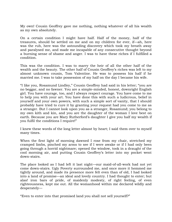My own! Cousin Geoffrey gave me nothing, nothing whatever of all his wealth as my own absolutely.

On a certain condition I might have half. Half of the money, half of the treasures, should be settled on me and on my children for ever, if—ah, here was the rub, here was the astounding discovery which took my breath away and paralysed me, and made me incapable of any consecutive thought beyond a burning sense of shame and anger. I was to have these riches if I fulfilled a condition.

This was the condition. I was to marry the heir of all the other half of the wealth and the beauty. The other half of Cousin Geoffrey"s riches was left to my almost unknown cousin, Tom Valentine. He was to possess his half if he married me. I was to take possession of my half on the day I became his wife.

"I like you, Rosamund Lindley," Cousin Geoffrey had said in his letter; "you are no beggar, and no fawner. You are a simple-minded, honest, downright English girl. You have courage, too, and I always respect courage. You have come to me to help you with your art. You have done this with such a ludicrous, belief in yourself and your own powers, with such a simple sort of vanity, that I should probably have tried to cure it by granting your request had you come to me as a stranger. But I cannot look upon you as a stranger, Rosamund; you belong to my own kith and kin, and you are the daughter of the woman I love best on earth. Because you are Mary Rutherford's daughter I give you half my wealth if you fulfil the conditions I require!"

I knew these words of the long letter almost by heart; I said them over to myself many times.

When the first light of morning dawned I rose from my chair, stretched my cramped limbs, pinched my arms to see if I were awake or if I had only been going through a horrid nightmare; opened the window, took in a draught of the cool morning air, and putting Cousin Geoffrey"s letter into my pocket went down-stairs.

The place looked as I had left it last night—our maid-of-all-work had not yet come down-stairs. Ugly Poverty surrounded me, and once more it hemmed me tightly around, and made its presence more felt even than of old, I had looked into a land of promise—an ideal and lovely country. I had thought to enter; but alas! iron bars of pride, of maidenly modesty, of right feeling, of even righteousness, kept me out. All the womanhood within me declared wildly and desperately—

"Even to enter into that promised land you shall not sell yourself?"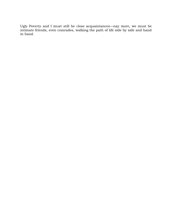Ugly Poverty and I must still be close acquaintances—nay more, we must be intimate friends, even comrades, walking the path of life side by side and hand in hand.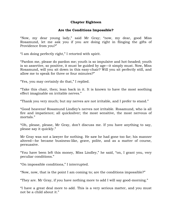# **Chapter Eighteen**

# **Are the Conditions Impossible?**

"Now, my dear young lady," said Mr Gray; "now, my dear, good Miss Rosamund, let me ask you if you are doing right in flinging the gifts of Providence from you?"

"I am doing perfectly right," I retorted with spirit.

"Pardon me, please do pardon me; youth is so impulsive and hot-headed; youth is so assertive, so positive, it must be guided by age—it simply must. Now, Miss Rosamund, will you sit down in this easy-chair? Will you sit perfectly still, and allow me to speak for three or four minutes?"

"Yes, you may certainly do that," I replied.

"Take this chair, then; lean back in it. It is known to have the most soothing effect imaginable on irritable nerves."

"Thank you very much; but my nerves are not irritable, and I prefer to stand."

"Good heavens! Rosamund Lindley"s nerves not irritable. Rosamund, who is all fire and impatience; all quicksilver; the most sensitive, the most nervous of mortals."

"Oh, please, please, Mr Gray, don"t discuss me. If you have anything to say, please say it quickly."

Mr Gray was not a lawyer for nothing. He saw he had gone too far; his manner altered—he became business-like, grave, polite, and as a matter of course, persuasive.

"You have been left this money, Miss Lindley," he said, "on, I grant you, very peculiar conditions."

"On impossible conditions," I interrupted.

"Now, now, that is the point I am coming to; are the conditions impossible?"

"They are. Mr Gray, if you have nothing more to add I will say good-morning."

"I have a great deal more to add. This is a very serious matter, and you must not be a child about it."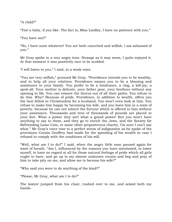"A child?"

"Yes! a baby, if you like. The fact is, Miss Lindley, I have no patience with you."

"You have not?"

"No, I have none whatever! You are both conceited and selfish. I am ashamed of you."

Mr Gray spoke in a very angry tone. Strange as it may seem, I quite enjoyed it. At that moment it was positively nice to be scolded.

"I will listen to you," I said, in a weak voice.

"You are very selfish," pursued Mr Gray. "Providence intends you to be wealthy, and to help all your relatives. Providence means you to be a blessing and assistance to your family. You prefer to be a hindrance, a clog, a kill-joy, a spoil-all. Your mother is delicate, your father poor, your brothers without any opening in life. You can remove the thorns out of all their paths. You refuse to do this. Why? Because of pride. Providence, in addition to wealth, offers you the best fellow in Christendom for a husband. You won"t even look at him. You refuse to make him happy by becoming his wife, and you leave him in a state of poverty, because he can not inherit the fortune which is offered to him without your assistance. Thousands and tens of thousands of pounds are placed at your feet. What a power they are! what a grand power! But you won"t have anything to say to them, and they go to enrich the Jews, and the Society for Befriending Lame Cats, or some other preposterous charity, I'm sure I can't say what." Mr Gray's voice rose to a perfect storm of indignation as he spoke of the provisions Cousin Geoffrey had made for the spending of his wealth in case I refused to comply with the conditions of his will.

"Well, what am I to do?" I said, when the angry little man paused again for want of breath. "Am I, influenced by the reasons you have mentioned, to lower myself, to have no regard at all for those natural feelings of pride which all girls ought to have, and go up to my almost unknown cousin and beg and pray of him to take pity on me, and allow me to become his wife?"

"Who said you were to do anything of the kind?"

"Please, Mr Gray, what am I to do?"

The lawyer jumped from his chair, rushed over to me, and seized both my hands.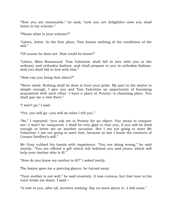"Now you are reasonable," he said; "now you are delightful—now you shall listen to my scheme."

"Please what is your scheme?"

"Listen, listen. In the first place, Tom knows nothing of the conditions of the will."

"Of course he does not. How could he know?"

"Listen, Miss Rosamund. Tom Valentine shall fall in love with you in the ordinary and orthodox fashion, and shall propose to you in orthodox fashion. And you shall fall in love with him."

"How can you bring that about?"

"Never mind. Nothing shall be done to hurt your pride. My part in the matter is simple enough. I give you and Tom Valentine an opportunity of becoming acquainted with each other. I have a place at Putney—a charming place. You shall pay me a visit there."

"I won"t go," I said.

"Yes, you will go—you will do what I tell you."

"No," I repeated; "you ask me to Putney for an object. You mean to conquer me—I won"t be conquered. I shall be very glad to visit you, if you will be kind enough to invite me on another occasion. But I am not going to meet Mr Valentine; I am not going to meet him, because at last I know the contents of Cousin Geoffrey's will."

Mr Gray rubbed his hands with impatience. "You are doing wrong," he said stoutly. "You are offered a gift which will befriend you and yours, which will help your mother who is ill."

"How do you know my mother is ill?" I asked testily.

The lawyer gave me a piercing glance, he turned away.

"Your mother is not well," he said evasively. It was curious, but that tone in his voice broke me down. I said—

"A visit to you, after all, involves nothing. Say no more about it—I will come."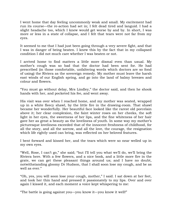I went home that day feeling uncommonly weak and small. My excitement had run its course—the re-action had set in; I felt dead tired and languid. I had a slight headache too, which I knew would get worse by and by. In short, I was more or less in a state of collapse, and I felt that tears were not far from my eyes.

It seemed to me that I had just been going through a very severe fight, and that I was in danger of being beaten. I knew this by the fact that in my collapsed condition I did not much care whether I was beaten or not.

I arrived home to find matters a little more dismal even than usual. My mother"s cough was so bad that the doctor had been sent for. He had prescribed (in those comfortable, unfaltering words which doctors are so fond of using) the Riviera as the sovereign remedy. My mother must leave the harsh east winds of our English spring, and go into the land of balmy breezes and colour and flowers.

"You must go without delay, Mrs Lindley," the doctor said, and then he shook hands with her, and pocketed his fee, and went away.

His visit was over when I reached home, and my mother was seated, wrapped up in a white fleecy shawl, by the little fire in the drawing-room. That shawl became her wonderfully. Her beautiful face looked like the rarest old porcelain above it; her clear complexion, the faint winter roses on her cheeks, the soft light in her eyes, the sweetness of her lips, and the fine whiteness of her hair gave her as great a beauty as the loveliness of youth. In some way my mother"s picturesque loveliness exceeded that of the innocent freshness of childhood, for all the story, and all the sorrow, and all the love, the courage, the resignation which life rightly used can bring, was reflected on her beloved features.

I bent forward and kissed her, and the tears which were so near welled up in my own eyes.

"Well, Rose, I can't go," she said; "but I'll tell you what we'll do, we'll bring the Riviera here. With a few flowers, and a nice book, and a little more fire in the grate, we can get these pleasant things around us; and I have no doubt, notwithstanding gloomy Dr Hudson, that I shall soon lose my cough, and be as well as ever."

"Oh, yes, you will soon lose your cough, mother," I said. I sat down at her feet, and took her thin hand and pressed it passionately to my lips. Over and over again I kissed it, and each moment a voice kept whispering to me:

"The battle is going against you—you know it—you know it well!"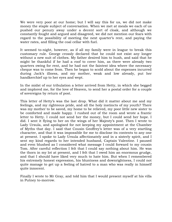We were very poor at our home; but I will say this for us, we did not make money the staple subject of conversation. When we met at meals we each of us pushed our penury away under a decent sort of cloak, and although we constantly fought and argued and disagreed, we did not mention our fears with regard to the possibility of meeting the next quarter"s rent, and paying the water rates, and filling the coal cellar with fuel.

It seemed to-night, however, as if all my family were in league to break this customary rule. George crossly declared that he could not exist any longer without a new suit of clothes. My father desired him to hush, and said that he might be thankful if he had a roof to cover him, as there were already two quarters owing for rent, and he had not the faintest idea where the necessary cheque was to come from. Then he began to scold about the expenses incurred during Jack"s illness, and my mother, weak and low already, put her handkerchief up to her eyes and wept.

In the midst of our tribulation a letter arrived from Hetty, in which she begged and implored me, for the love of Heaven, to send her a postal order for a couple of sovereigns by return of post.

This letter of Hetty"s was the last drop. What did it matter about me and my feelings, and my righteous pride, and all the holy instincts of my youth? There was my mother to be saved, my home to be relieved, my poor little new sister to be comforted and made happy. I rushed out of the room and wrote a frantic letter to Hetty. I could not send her the money, but I could send her hope. I did. I sent it flying to her on the wings of her Majesty"s post. Then I wrote to Lady Ursula, and apologised for not keeping my appointment at the Chamber of Myths that day. I said that Cousin Geoffrey"s letter was of a very startling character, and that it was impossible for me to disclose its contents to any one at present. I spoke to Lady Ursula affectionately and in a sisterly spirit, and I sent my kind regards to her intended husband, Captain Valentine. I paused and even blushed as I considered what message I could forward to my cousin Tom. After careful reflection I felt that I could say nothing about him. He was the thorn in my lot at present, and I felt that I owed him an enormous grudge, and that I should have liked very much to hate him. But when I remembered his extremely honest expression, his bluntness and downrightness, I could not quite manage to get up a feeling of hatred to a man who was really in himself quite innocent.

Finally I wrote to Mr Gray, and told him that I would present myself at his villa in Putney to-morrow.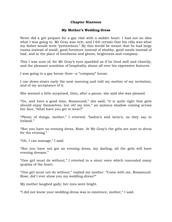# **Chapter Nineteen**

# **My Mother's Wedding-Dress**

Never did a girl prepare for a gay visit with a sadder heart. I had not an idea what I was going to. Mr Gray was rich, and I felt certain that his villa was what my father would term "pretentious." By this would be meant that he had large rooms instead of small, good furniture instead of shabby, good meals instead of bad, and in the place of loneliness and gloom, brightness and company.

This I was sure of, for Mr Gray's eyes sparkled as if he lived well and cheerily, and the pleasant sunshine of hospitality shone all over his expressive features.

I was going to a gay house then—a "company" house.

I ran down-stairs early the next morning and told my mother of my invitation, and of my acceptance of it.

She seemed a little surprised, then, after a pause, she said she was pleased.

"Go, and have a good time, Rosamund," she said; "it is quite right that girls should enjoy themselves; but oh! my love," an anxious shadow coming across her face, "what have you got to wear?"

"Plenty of things, mother," I retorted, "lashin"s and lavin"s, as they say in Ireland."

"But you have no evening dress, Rose. At Mr Gray"s the girls are sure to dress for the evening."

"Oh, I can manage," I said.

"But you have not got an evening dress, my darling; all the girls will have evening dresses."

"One girl must do without," I retorted in a stout voice which concealed many qualms of the heart.

"One girl must not do without," replied my mother. "Come with me, Rosamund. Rose, did I ever show you my wedding-dress?"

My mother laughed gaily; her eyes were bright.

"I did not know your wedding-dress was in existence, mother," I said.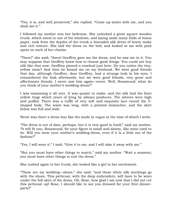"Yes, it is, and well preserved," she replied. "Come up-stairs with me, and you shall see it."

I followed my mother into her bedroom. She unlocked a great square wooden trunk, which stood in one of the windows, and laying aside many folds of tissue paper, took from the depths of the trunk a brocaded silk dress of heavy make and rich texture. She laid the dress on the bed, and looked at me with pink spots on each of her cheeks.

"There!" she said; "there! Geoffrey gave me the dress, and he saw me in it. You may suppose that Geoffrey knew how to choose good things. You could not buy silk like that now. Geoffrey pinned a rosebud just here. Do you notice the tiny, yellow stain? And then he kissed me on my forehead. We were good friends that day, although Geoffrey, dear Geoffrey, had a strange look in his eyes. I remembered the look afterwards; but we were good friends, very great and affectionate friends. I never saw him again—never. Well, Rosamund, what do you think of your mother"s wedding-dress?"

I was examining it all over. It was quaint in make, and the silk had the faint yellow tinge which years of lying by always produces. The sleeves were high and puffed. There was a ruffle of very soft and exquisite lace round the Vshaped body. The waist was long, with a pointed stomacher, and the skirt below was full and wide.

Never was there a dress less like the mode in vogue at the time of which I write.

"The dress is out of date, perhaps, but it is very good in itself," said my mother. "It will fit you, Rosamund, for your figure is small and dainty, like mine used to be. Will you wear your mother"s wedding-dress, even if it is a little out of the fashion?"

"Yes, I will wear it," I said. "Give it to me, and I will take it away with me."

"But you must have other things to match," said my mother. "Wait a moment; you must have other things to suit the dress."

She rushed again to her trunk; she looked like a girl in her excitement.

"These are my wedding—shoes," she said, "and these white silk stockings go with the shoes. This petticoat, with the deep embroidery, will have to be worn under the full skirt of the dress. Oh, Rose, how glad I am now that I did not cut this petticoat up! Rose, I should like to see you dressed for your first dinnerparty!"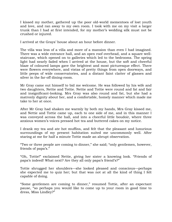I kissed my mother, gathered up the poor old-world mementoes of lost youth and love, and ran away to my own room. I took with me on my visit a larger trunk than I had at first intended, for my mother"s wedding silk must not be crushed or injured.

I arrived at the Grays" house about an hour before dinner.

The villa was less of a villa and more of a mansion than even I had imagined. There was a wide entrance hall, and an open roof overhead, and a square wellstaircase, which opened on to galleries which led to the bedrooms. The spring light had nearly faded when I arrived at the house, but the soft and cheerful blaze of coloured lamps gave the brightest and most picturesque effect. There were flowers everywhere, and vistas of pretty things from open doorways, and little peeps of wide conservatories, and a distant faint clatter of glasses and silver in the far-off dining-room.

Mr Gray came out himself to bid me welcome. He was followed by his wife and two daughters, Nettie and Tottie. Nettie and Tottie were round and fat and fair and insignificant-looking. Mrs Gray was also round and fat, but she had a matronly dignity about her, and a comfortable, homely manner which made me take to her at once.

After Mr Gray had shaken me warmly by both my hands, Mrs Gray kissed me, and Nettie and Tottie came up, each to one side of me, and in this manner I was conveyed across the hall, and into a cheerful little boudoir, where three anxious women"s voices pressed hot tea and buttered cakes on my notice.

I drank my tea and ate hot muffins, and felt that the pleasant and luxurious surroundings of my present habitation suited me uncommonly well. After staring at me for half a minute Tottie made an abrupt observation.

"Two or three people are coming to dinner," she said; "only gentlemen, however, friends of papa's."

"Oh, Tottie!" exclaimed Nettie, giving her sister a knowing look. "Friends of papa's indeed! What next? Are they all only papa's friend's?"

Tottie shrugged her shoulders—she looked pleased and conscious—perhaps she expected me to quiz her; but that was not at all the kind of thing I felt capable of doing.

"Some gentlemen are coming to dinner," resumed Tottie, after an expectant pause, "so perhaps you would like to come up to your room in good time to dress, Miss Lindley?"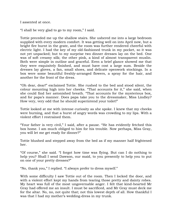I assented at once.

"I shall be very glad to go to my room," I said.

Tottie preceded me up the shallow stairs. She ushered me into a large bedroom supplied with every modern comfort. It was getting well on into April now, but a bright fire burnt in the grate, and the room was further rendered cheerful with electric light. I had the key of my old-fashioned trunk in my pocket, so it was not yet unpacked; but to my surprise two dinner dresses lay on the bed. One was of soft creamy silk; the other pink, a kind of almost transparent muslin. Both were simple in outline and graceful. Even a brief glance showed me that they were exquisitely finished, and must have cost a large sum. Beside the dresses lay gloves, a fan, small shoes, and delicate openwork stockings. In a box were some beautiful freshly-arranged flowers, a spray for the hair, and another for the front of the dress.

"Oh dear, dear!" exclaimed Tottie. She rushed to the bed and stood silent, the colour mounting high into her cheeks. "That accounts for it," she said, when she could find her astonished breath. "That accounts for the mysterious box, and for papa's manner. Does papa take you to the dressmaker, Miss Lindley? How very, very odd that he should superintend your toilet!"

Tottie looked at me with intense curiosity as she spoke. I knew that my cheeks were burning, and that a burst of angry words was crowding to my lips. With a violent effort I restrained them.

"Your father is very civil," I said, after a pause. "He has evidently fetched this box home. I am much obliged to him for his trouble. Now perhaps, Miss Gray, you will let me get ready for dinner?"

Tottie blushed and stepped away from the bed as if my manner half frightened her.

"Of course," she said. "I forgot how time was flying. But can I do nothing to help you? Shall I send Dawson, our maid, to you presently to help you to put on one of your pretty dresses?"

"No, thank you," I replied. "I always prefer to dress myself."

With some difficulty I saw Tottie out of the room. Then I locked the door, and with a violent effort kept my hands from tearing those pretty and dainty robes. My heart was full of the most ungovernable anger. I felt that kind-hearted Mr Gray had offered me an insult. I must be sacrificed, and Mr Gray must deck me for the altar. No, no, not quite that; not this lowest depth of all. How thankful I was that I had my mother's wedding-dress in my trunk.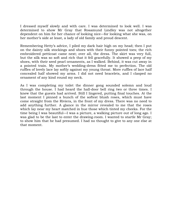I dressed myself slowly and with care. I was determined to look well. I was determined to show Mr Gray that Rosamund Lindley was not altogether dependent on him for her chance of looking nice—for looking what she was, on her mother's side at least, a lady of old family and proud descent.

Remembering Hetty's advice, I piled my dark hair high on my head; then I put on the dainty silk stockings and shoes with their funny pointed toes; the rich embroidered petticoat came next; over all, the dress. The skirt was very full, but the silk was so soft and rich that it fell gracefully. It showed a peep of my shoes, with their seed pearl ornaments, as I walked. Behind, it was cut away in a pointed train. My mother"s wedding-dress fitted me to perfection. The old ruffles of lovely lace lay softly against my young throat. More ruffles of lace half concealed half showed my arms. I did not need bracelets, and I clasped no ornament of any kind round my neck.

As I was completing my toilet the dinner gong sounded solemn and loud through the house. I had heard the hall-door bell ring two or three times. I knew that the guests had arrived. Still I lingered, putting final touches. At the last moment I pinned a bunch of the softest blush roses, which must have come straight from the Riviera, in the front of my dress. There was no need to add anything further. A glance in the mirror revealed to me that the roses which lay near my heart matched in hue those which tinted my cheeks. For the time being I was beautiful—I was a picture, a walking picture out of long ago. I was glad to be the last to enter the drawing-room. I wanted to startle Mr Gray; to show him that he had presumed. I had no thought to give to any one else at that moment.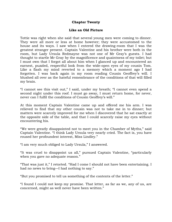# **Chapter Twenty**

# **Like an Old Picture**

Tottie was right when she said that several young men were coming to dinner. They were all more or less at home however; they were accustomed to the house and its ways. I saw when I entered the drawing-room that I was the greatest stranger present. Captain Valentine and his brother were both in the room, but Lady Ursula Redmayne was not one of Mr Gray's guests. I had thought to startle Mr Gray by the magnificence and quaintness of my toilet; but I must own that I forgot all about him when I glanced up and encountered an earnest, puzzled, respectful look from the wide-open eyes of my cousin Tom. Like a flash my mind reverted to a memory which a moment ago I had forgotten. I was back again in my room reading Cousin Geoffrey"s will. I blushed all over as the hateful remembrance of the conditions of that will filled my brain.

"I cannot see this visit out," I said, under my breath; "I cannot even spend a second night under this roof. I must go away, I must return home, for never, never can I fulfil the conditions of Cousin Geoffrey's will."

At this moment Captain Valentine came up and offered me his arm. I was relieved to find that my other cousin was not to take me in to dinner; but matters were scarcely improved for me when I discovered that he sat exactly at the opposite side of the table, and that I could scarcely raise my eyes without encountering his.

"We were greatly disappointed not to meet you in the Chamber of Myths," said Captain Valentine. "I think Lady Ursula very nearly cried. The fact is, you have roused her profoundest interest, Miss Lindley."

"I am very much obliged to Lady Ursula," I answered.

"It was cruel to disappoint us all," pursued Captain Valentine, "particularly when you gave no adequate reason."

"That was just it," I retorted. "Had I come I should not have been entertaining. I had no news to bring—I had nothing to say."

"But you promised to tell us something of the contents of the letter."

"I found I could not keep my promise. That letter, as far as we, any of us, are concerned, might as well never have been written."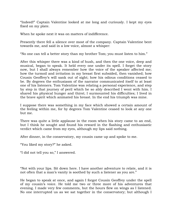"Indeed!" Captain Valentine looked at me long and curiously. I kept my eyes fixed on my plate.

When he spoke next it was on matters of indifference.

Presently there fell a silence over most of the company. Captain Valentine bent towards me, and said in a low voice, almost a whisper:

"No one can tell a better story than my brother Tom; you must listen to him."

After this whisper there was a kind of hush, and then the one voice, deep and musical, began to speak. It held every one under its spell. I forget the story now, but I shall always remember how the voice of the speaker affected me; how the turmoil and irritation in my breast first subsided, then vanished; how Cousin Geoffrey"s will sank out of sight; how his odious conditions ceased to be. By degrees the enthusiasm of the narrator communicated itself to at least one of his listeners. Tom Valentine was relating a personal experience, and step by step in that journey of peril which he so ably described I went with him. I shared his physical hunger and thirst; I surmounted his difficulties; I lived in the brave spirit which animated his breast. In the end his triumph was mine.

I suppose there was something in my face which showed a certain amount of the feeling within me, for by degrees Tom Valentine ceased to look at any one but me.

There was quite a little applause in the room when his story came to an end, but I think he sought and found his reward in the flashing and enthusiastic verdict which came from my eyes, although my lips said nothing.

After dinner, in the conservatory, my cousin came up and spoke to me.

"You liked my story?" he asked.

"I did not tell you so," I answered.

"Not with your lips. Sit down here. I have another adventure to relate, and it is not often that a man's vanity is soothed by such a listener as you are."

He began to speak at once, and again I forgot Cousin Geoffrey under the spell of my cousin"s voice. He told me two or three more of his adventures that evening. I made very few comments, but the hours flew on wings as I listened. No one interrupted us as we sat together in the conservatory; but although I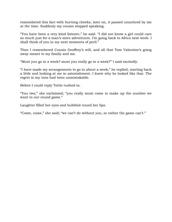remembered this fact with burning cheeks, later on, it passed unnoticed by me at the time. Suddenly my cousin stopped speaking.

"You have been a very kind listener," he said. "I did not know a girl could care so much just for a man's mere adventures. I'm going back to Africa next week. I shall think of you in my next moments of peril."

Then I remembered Cousin Geoffrey's will, and all that Tom Valentine's going away meant to my family and me.

"Must you go in a week? must you really go in a week?" I said excitedly.

"I have made my arrangements to go in about a week," he replied, starting back a little and looking at me in astonishment. I knew why he looked like that. The regret in my tone had been unmistakable.

Before I could reply Tottie rushed in.

"You two," she exclaimed; "you really must come to make up the number we want in our round game."

Laughter filled her eyes and bubbled round her lips.

"Come, come," she said; "we can't do without you, or rather the game can't."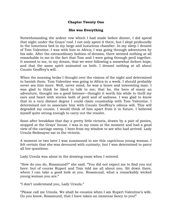# **Chapter Twenty One**

# **She was Everything**

Notwithstanding the ardent vow which I had made before dinner, I did spend that night under the Grays" roof. I not only spent it there, but I slept profoundly in the luxurious bed in my large and luxurious chamber. In my sleep I dreamt of Tom Valentine. I was with him in Africa; I was going through adventures by his side. After the extraordinary fashion of dreams, there seemed nothing at all remarkable to me in the fact that Tom and I were going through peril together. It seemed to me, in my dream, that we were following a somewhat forlorn hope, and that the same spirit animated us both. I dreamt nothing at all about Cousin Geoffrey"s will.

When the morning broke I thought over the visions of the night and determined to banish them. Tom Valentine was going to Africa in a week. I should probably never see him more. Well, never mind, he was a brave and interesting man. I was glad to think he liked to talk to me; that he, the hero of many an adventure, thought me a good listener—thought it worth his while to thrill my ears and heart with stories both of peril and of sadness. I was glad to know that in a very distant degree I could claim cousinship with Tom Valentine. I determined not to associate him with Cousin Geoffrey"s odious will. This will degraded my cousin. I would think of him apart from it in future. I believed myself quite strong enough to carry out the resolve.

Soon after breakfast that day a pretty little victoria, drawn by a pair of ponies, stopped at the Grays" house. I was in my room at the moment and had a good view of the carriage sweep. I bent from my window to see who had arrived. Lady Ursula Redmayne sat in the victoria.

A moment or two later I was summoned to see this capricious young woman. I felt certain that she was devoured with curiosity, but I was determined to parry all her questions.

Lady Ursula was alone in the drawing-room when I entered.

"How do you do, Rosamund?" she said. "You did not expect me to find you out here: but of course Rupert and Tom told me all about you. Sit down there, where I can take a good look at you. Rosamund, what a remarkably wicked young woman you are."

"I don"t understand you, Lady Ursula."

"Please call me Ursula. We shall be cousins when I am Rupert Valentine"s wife. Do you know, Rosamund, that I have taken an immense fancy to you!"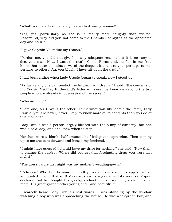"What! you have taken a fancy to a wicked young woman!"

"Yes, yes; particularly as she is in reality more naughty than wicked. Rosamund, why did you not come to the Chamber of Myths at the appointed day and hour?"

"I gave Captain Valentine my reason."

"Pardon me, you did not give him any adequate reason; but it is so easy to deceive a man. Now, I want the truth. Come, Rosamund, confide in me. You know that letter contains news of the deepest interest to you, perhaps to me, perhaps to others. Ah, you blush! I have hit upon the truth."

I had been sitting when Lady Ursula began to speak, now I stood up.

"As far as any one can predict the future, Lady Ursula," I said, "the contents of my Cousin Geoffrey Rutherford"s letter will never be known except to the two people who are already in possession of the secret."

"Who are they?"

"I am one, Mr Gray is the other. Think what you like about the letter, Lady Ursula, you are never, never likely to know more of its contents than you do at this moment."

Lady Ursula was a person largely blessed with the bump of curiosity, but she was also a lady, and she knew when to stop.

Her face wore a blank, half-amused, half-indignant expression. Then coming up to me she bent forward and kissed my forehead.

"I might have guessed I should have my drive for nothing," she said. "Now then, to change the subject. Where did you get that fascinating dress you wore last night?"

"The dress I wore last night was my mother"s wedding-gown."

"Delicious! Who but Rosamund Lindley would have dared to appear in an antiquated robe of that sort! My dear, your daring deserved its success. Rupert declares that he thought his great-grandmother had suddenly come into the room. His great-grandmother young and—and beautiful."

I scarcely heard Lady Ursula"s last words. I was standing by the window watching a boy who was approaching the house. He was a telegraph boy, and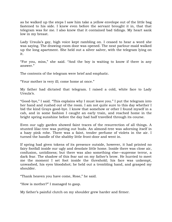as he walked up the steps I saw him take a yellow envelope out of the little bag fastened to his side. I knew even before the servant brought it in, that that telegram was for me. I also knew that it contained bad tidings. My heart sank low in my breast.

Lady Ursula's gay, high voice kept rambling on. I ceased to hear a word she was saying. The drawing-room door was opened. The neat parlour-maid walked up the long apartment. She held out a silver salver, with the telegram lying on it.

"For you, miss," she said. "And the boy is waiting to know if there is any answer."

The contents of the telegram were brief and emphatic.

"Your mother is very ill; come home at once."

My father had dictated that telegram. I raised a cold, white face to Lady Ursula's.

"Good-bye," I said. "This explains why I must leave you." I put the telegram into her hand and rushed out of the room. I am not quite sure to this day whether I bid the kind Grays good-bye. I know that somehow or other I found myself in a cab, and in some fashion I caught an early train, and reached home in the bright spring sunshine before the day had half travelled through its course.

Even our ugly garden showed faint traces of the resurrection of all things. A stunted lilac-tree was putting out buds. An almond-tree was adorning itself in a hazy pink robe. There was a faint, tender perfume of violets in the air. I turned the handle of the shabby little front-door and went in.

If spring had given tokens of its presence outside, however, it had printed no fairy footfall inside our ugly and desolate little home. Inside there was close air, confusion, untidiness; but there was also something else—supreme terror, a dark fear. The shadow of this fear sat on my father"s brow. He hurried to meet me the moment I set foot inside the threshold; his face was unkempt, unwashed, his eyes bloodshot; he held out a trembling hand, and grasped my shoulder.

"Thank heaven you have come, Rose," he said.

"How is mother?" I managed to gasp.

My father"s painful clutch on my shoulder grew harder and firmer.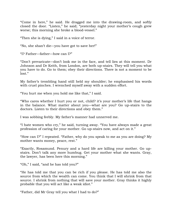"Come in here," he said. He dragged me into the drawing-room, and softly closed the door. "Listen," he said; "yesterday night your mother's cough grew worse; this morning she broke a blood-vessel."

"Then she is dying," I said in a voice of terror.

"No, she shan"t die—you have got to save her!"

"I? Father—father—how can I?"

"Don"t prevaricate—don"t look me in the face, and tell lies at this moment. Dr Johnson and Dr Keith, from London, are both up-stairs. They will tell you what you have to do. Go to them; obey their directions. There is not a moment to be lost."

My father"s trembling hand still held my shoulder; he emphasised his words with cruel pinches. I wrenched myself away with a sudden effort.

"You hurt me when you hold me like that," I said.

"Who cares whether I hurt you or not, child? it"s your mother"s life that hangs in the balance. What matter about you—what are you? Go up-stairs to the doctors. Listen to their directions and obey them."

I was sobbing feebly. My father"s manner had unnerved me.

"I hate women who cry," he said, turning away. "You have always made a great profession of caring for your mother. Go up-stairs now, and act on it."

"How can I?" I repeated. "Father, why do you speak to me as you are doing? My mother wants money, peace, rest."

"Exactly, Rosamund. Penury and a hard life are killing your mother. Go upstairs. Don"t talk any more humbug. Get your mother what she wants. Gray, the lawyer, has been here this morning."

"Oh," I said, "and he has told you?"

"He has told me that you can be rich if you please. He has told me also the source from which the wealth can come. You think that I will shrink from that source. I shrink from nothing that will save your mother. Gray thinks it highly probable that you will act like a weak idiot."

"Father, did Mr Gray tell you what I had to do?"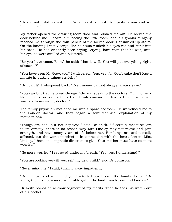"He did not. I did not ask him. Whatever it is, do it. Go up-stairs now and see the doctors."

My father opened the drawing-room door and pushed me out. He locked the door behind me. I heard him pacing the little room, and his groans of agony reached me through the thin panels of the locked door. I stumbled up-stairs. On the landing I met George. His hair was ruffled; his eyes red and sunk into his head. He had evidently been crying—crying, hard man that he was, until his eyelids were swelled and blistered.

"So you have come, Rose," he said; "that is well. You will put everything right, of course?"

"You have seen Mr Gray, too," I whispered. "Yes, yes; for God"s sake don"t lose a minute in putting things straight."

"But can I?" I whispered back. "Even money cannot always, always save."

"You can but try," retorted George. "Go and speak to the doctors. Our mother"s life depends on your actions I am firmly convinced. Here is Dr Johnson. Will you talk to my sister, doctor?"

The family physician motioned me into a spare bedroom. He introduced me to the London doctor, and they began a semi-technical explanation of my mother"s case.

"Things are bad, but not hopeless," said Dr Keith. "If certain measures are taken directly, there is no reason why Mrs Lindley may not revive and gain strength, and have many years of life before her. Her lungs are undoubtedly affected, but the worst mischief is in connection with the heart. Listen, Miss Lindley. I have one emphatic direction to give. Your mother must have no more worries."

"No more worries," I repeated under my breath. "Yes, yes, I understand."

"You are looking very ill yourself, my dear child," said Dr Johnson.

"Never mind me," I said, turning away impatiently.

"But I must and will mind you," retorted our fussy little family doctor. "Dr Keith, there is not a more admirable girl in the land than Rosamund Lindley."

Dr Keith bowed an acknowledgment of my merits. Then he took his watch out of his pocket.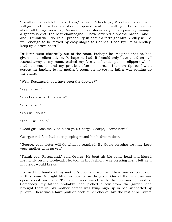"I really must catch the next train," he said. "Good-bye, Miss Lindley. Johnson will go into the particulars of our proposed treatment with you; but remember above all things, no worry. As much cheerfulness as you can possibly manage; a generous diet, the best champagne—I have ordered a special brand—and and—I think we"ll do. In all probability in about a fortnight Mrs Lindley will be well enough to be moved by easy stages to Cannes. Good-bye, Miss Lindley; keep up a brave heart."

Dr Keith went cheerfully out of the room. Perhaps he imagined that he had given me excellent advice. Perhaps he had, if I could only have acted on it. I rushed away to my room, bathed my face and hands, put on slippers which made no sound, and my prettiest afternoon dress. Then on tip-toe I went across the landing to my mother"s room; on tip-toe my father was coming up the stairs.

"Well, Rosamund, you have seen the doctors?"

"Yes, father."

"You know what they wish?"

"Yes, father."

"You will do it?"

"Yes—I will do it."

"Good girl. Kiss me. God bless you. George, George,—come here!"

George's red face had been peeping round his bedroom door.

"George, your sister will do what is required. By God"s blessing we may keep your mother with us yet."

"Thank you, Rosamund," said George. He bent his big sulky head and kissed me lightly on my forehead. He, too, in his fashion, was blessing me. I felt as if my heart would break.

I turned the handle of my mother"s door and went in. There was no confusion in this room. A bright little fire burned in the grate. One of the windows was open about an inch. The room was sweet with the perfume of violets. Somebody—my father probably—had picked a few from the garden and brought them in. My mother herself was lying high up in bed supported by pillows. There was a faint pink on each of her cheeks, but the rest of her sweet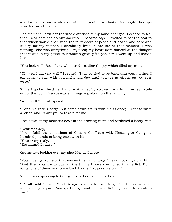and lovely face was white as death. Her gentle eyes looked too bright, her lips wore too sweet a smile.

The moment I saw her the whole attitude of my mind changed. I ceased to feel that I was about to do any sacrifice. I became eager—excited to set the seal to that which would open wide the fairy doors of peace and health and ease and luxury for my mother. I absolutely lived in her life at that moment. I was nothing—she was everything. I rejoiced; my heart even danced at the thought that it was in my power to bestow a great gift upon her. I went up and kissed her.

"You look well, Rose," she whispered, reading the joy which filled my eyes.

"Oh, yes, I am very well," I replied. "I am so glad to be back with you, mother. I am going to stay with you night and day until you are as strong as you ever were."

While I spoke I held her hand, which I softly stroked. In a few minutes I stole out of the room. George was still lingering about on the landing.

"Well, well?" he whispered.

"Don"t whisper, George, but come down-stairs with me at once; I want to write a letter, and I want you to take it for me."

I sat down at my mother's desk in the drawing-room and scribbled a hasty line:

"Dear Mr Gray,— "I will fulfil the conditions of Cousin Geoffrey"s will. Please give George a hundred pounds to bring back with him. "Yours very truly,— "Rosamund Lindley."

George was looking over my shoulder as I wrote.

"You must get some of that money in small change," I said, looking up at him. "And then you are to buy all the things I have mentioned in this list. Don"t forget one of them, and come back by the first possible train."

While I was speaking to George my father came into the room.

"It's all right," I said; "and George is going to town to get the things we shall immediately require. Now go, George, and be quick. Father, I want to speak to you."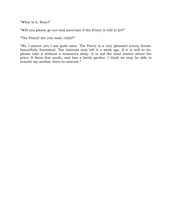"What is it, Rose?"

"Will you please go out and ascertain if the Priory is still to let?"

"The Priory! Are you mad, child?"

"No, I assure you I am quite sane. The Priory is a very pleasant sunny house, beautifully furnished. The Ashtons only left it a week ago. If it is still to let, please take it without a moment's delay. It is not the least matter about the price. It faces due south, and has a lovely garden. I think we may be able to remove my mother there to-morrow."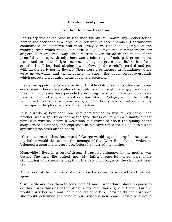## **Chapter Twenty Two**

## **Tell him to come to see me**

The Priory was taken, and in less than twenty-four hours, my mother found herself the occupant of a large, luxuriously-furnished chamber. Her windows commanded an extensive and most lovely view. She had a glimpse of the winding river which made our little village a favourite summer resort for anglers. It meandered away like a narrow silver thread in the midst of the peaceful landscape. Already there was a faint tinge of soft, pale green on the trees, and an added brightness was making the grass beautiful with a fresh growth. The Priory had sloping lawns, flower-beds carefully tended and gay with all the early spring flowers. There were greenhouses in abundance; there were gravel-walks and tennis-courts; in short, the usual pleasure-grounds which surround a country home of some pretension.

Inside the appointments were perfect. An able staff of servants attended to our every want. There were suites of beautiful rooms, bright, and gay, and clean. Fresh air and sweetness pervaded everything. In short, there could scarcely have been found a greater contrast than Myrtle Cottage, where the Lindley family had resided for so many years, and the Priory, where that same family now enjoyed the pleasures of refined existence.

It is surprising how soon one gets accustomed to luxury. My father and brother, who began by accepting the good things of life with a humility almost painful to witness, before a week was out grumbled about the quality of the soup served at dinner, and expressed in plaintive tones their dislike to turbot appearing too often on the board.

"You must see to this, Rosamund," George would say, shaking his head, and my father would descant on the menage of that West End club to which he belonged a great many years ago, before he married my mother.

Meanwhile I lived in a sort of dream. I was not unhappy, for my mother was better. The new life suited her. My father"s cheerful tones were more stimulating and strengthening than the best champagne or the strongest beeftea.

At the end of the first week she expressed a desire to see Jack and his wife again.

"I will write and ask them to come here," I said. I went down-stairs prepared to do this. I was thinking of the pleasure my letter would give to Hetty. How she would hurry her own and her husband's departure—how pretty and surprised she would look when she came to our luxurious new home—how nice it would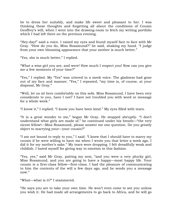be to dress her suitably, and make life sweet and pleasant to her. I was thinking these thoughts and forgetting all about the conditions of Cousin Geoffrey's will, when I went into the drawing-room to fetch my writing portfolio which I had left there on the previous evening.

"Hey-day!" said a voice. I raised my eyes and found myself face to face with Mr Gray. "How do you do, Miss Rosamund?" he said, shaking my hand. "I judge from your own blooming appearance that your mother is much better."

"Yes, she is much better," I replied.

"What a wise girl you are, and were! How much I respect you! Now can you give me a few moments of your time?"

"Yes," I replied. My "Yes" was uttered in a meek voice. The gladness had gone out of my face and manner. "Yes," I repeated, "my time is, of course, at your disposal, Mr Gray."

"Well, let us sit here comfortably on this sofa. Miss Rosamund, I have been very considerate to you, have I not? I have not troubled you with word or message for a whole week."

"I know it," I replied. "I know you have been kind." My eyes filled with tears.

"It is a great wonder to me," began Mr Gray. He stopped abruptly. "I don"t understand what girls are made of," he continued under his breath—"the very nicest fellow!—Miss Rosamund, please answer me one question. Do you greatly object to marrying your—your cousin?"

"I am not bound to reply to you," I said. "I knew that I should have to marry my cousin if he were willing to have me when I wrote you that letter a week ago. I did it for my mother's sake." My tears were dropping. I felt dreadfully weak and childish. I hated myself for giving way to emotion in this fashion.

"Yes, yes," said Mr Gray, patting my arm, "and you were a very plucky girl, Miss Rosamund, and you are going to have a happy—most happy life. Your cousin is a first-class fellow—first-class. I had the pleasure of communicating to him the contents of the will a few days ago, and he sends you a message now."

"What—what is it?" I stammered.

"He says you are to take your own time. He won"t even come to see you unless you wish it. He had made all arrangements to go back to Africa, and he will go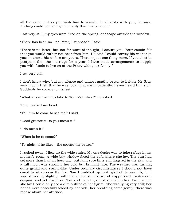all the same unless you wish him to remain. It all rests with you, he says. Nothing could be more gentlemanly than his conduct."

I sat very still, my eyes were fixed on the spring landscape outside the window.

"There has been no—no letter, I suppose?" I said.

"There is no letter, but not for want of thought, I assure you. Your cousin felt that you would rather not hear from him. He said I could convey his wishes to you; in short, his wishes are yours. There is just one thing more. If you elect to postpone the—the marriage for a year, I have made arrangements to supply you with funds to live on at the Priory with your family."

I sat very still.

I don"t know why, but my silence and almost apathy began to irritate Mr Gray very much. I felt that he was looking at me impatiently. I even heard him sigh. Suddenly he sprang to his feet.

"What answer am I to take to Tom Valentine?" he asked.

Then I raised my head.

"Tell him to come to see me," I said.

"Good gracious! Do you mean it?"

"I do mean it."

"When is he to come?"

"To-night, if he likes—the sooner the better."

I rushed away, I flew up the wide stairs. My one desire was to take refuge in my mother"s room. A wide bay-window faced the sofa where she lay. The sun had set more than half an hour ago, but faint rose tints still lingered in the sky, and a full moon was showing her cold but brilliant face. The weather was turning quite genial and spring-like. Under ordinary circumstances I should not have cared to sit so near the fire. Now I huddled up to it, glad of its warmth, for I was shivering slightly, with the queerest mixture of suppressed excitement, despair, and yet gladness. Now and then I glanced at my mother. From where she lay I could only see a dim outline of her figure. She was lying very still; her hands were peacefully folded by her side; her breathing came gently; there was repose about her attitude.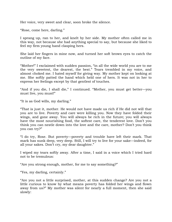Her voice, very sweet and clear, soon broke the silence.

"Rose, come here, darling."

I sprang up, ran to her, and knelt by her side. My mother often called me in this way, not because she had anything special to say, but because she liked to feel my firm young hand clasping hers.

She laid her fingers in mine now, and turned her soft brown eyes to catch the outline of my face.

"Mother!" I exclaimed with sudden passion, "in all the wide world you are to me the very sweetest, the dearest, the best." Tears trembled in my voice, and almost choked me. I hated myself for giving way. My mother kept on looking at me. She softly patted the hand which held one of hers. It was not in her to express her feelings except by that gentlest of touches.

"And if you die, I shall die," I continued. "Mother, you must get better—you must live, you must!"

"It is as God wills, my darling."

"That is just it, mother. He would not have made us rich if He did not will that you are to live. Poverty and care were killing you. Now they have folded their wings, and gone away. You will always be rich in the future; you will always have the most nourishing food, the softest care, the tenderest love. Don't you think you can nestle down into the love and the care, mother? Don"t you think you can try?"

"I do try, Rose. But poverty—poverty and trouble have left their mark. That mark has sunk deep, very deep. Still, I will try to live for your sake—indeed, for all your sakes. Don"t cry, my dear daughter."

I wiped my tears softly away. After a time, I said in a voice which I tried hard not to be tremulous:

"Are you strong enough, mother, for me to say something?"

"Yes, my darling, certainly."

"Are you not a little surprised, mother, at this sudden change? Are you not a little curious to know by what means poverty has folded her wings and flown away from us?" My mother was silent for nearly a full moment, then she said slowly: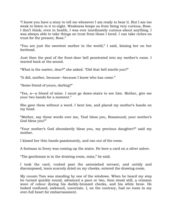"I know you have a story to tell me whenever I am ready to hear it. But I am too weak to listen to it to-night. Weakness keeps us from being very curious, Rose. I don"t think, even in health, I was ever inordinately curious about anything. I was always able to take things on trust from those I loved. I can take riches on trust for the present, Rose."

"You are just the sweetest mother in the world," I said, kissing her on her forehead.

Just then the peal of the front-door bell penetrated into my mother"s room. I started back at the sound.

"What is the matter, dear?" she asked. "Did that bell startle you?"

"It did, mother, because—because I know who has come."

"Some friend of yours, darling?"

"Yes, a—a friend of mine. I must go down-stairs to see him. Mother, give me your two hands for a moment."

She gave them without a word. I bent low, and placed my mother's hands on my head.

"Mother, say these words over me, "God bless you, Rosamund; your mother"s God bless you!""

"Your mother"s God abundantly bless you, my precious daughter?" said my mother.

I kissed her thin hands passionately, and ran out of the room.

A footman in livery was coming up the stairs. He bore a card on a silver salver.

"The gentleman is in the drawing-room, miss," he said.

I took the card, rushed past the astonished servant, and untidy and discomposed, tears scarcely dried on my cheeks, entered the drawing-room.

My cousin Tom was standing by one of the windows. When he heard my step he turned quickly round, advanced a pace or two, then stood still, a crimson wave of colour dyeing his darkly-bronzed cheeks, and his white brow. He looked confused, awkward, uncertain. I, on the contrary, had no room in my over-full heart for embarrassment.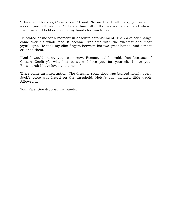"I have sent for you, Cousin Tom," I said, "to say that I will marry you as soon as ever you will have me." I looked him full in the face as I spoke, and when I had finished I held out one of my hands for him to take.

He stared at me for a moment in absolute astonishment. Then a queer change came over his whole face. It became irradiated with the sweetest and most joyful light. He took my slim fingers between his two great hands, and almost crushed them.

"And I would marry you to-morrow, Rosamund," he said, "not because of Cousin Geoffrey"s will, but because I love you for yourself. I love you, Rosamund; I have loved you since—"

There came an interruption. The drawing-room door was banged noisily open. Jack"s voice was heard on the threshold. Hetty"s gay, agitated little treble followed it.

Tom Valentine dropped my hands.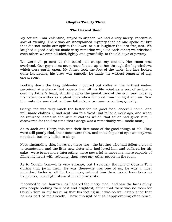## **Chapter Twenty Three**

## **The Dearest Bond**

My cousin, Tom Valentine, stayed to supper. We had a very merry, rapturous sort of evening. There was an unexplained mystery that no one spoke of; but that did not make our spirits the lower, or our laughter the less frequent. We laughed a good deal; we made witty remarks; we joked each other; we criticised each other; we even alluded, lightly and gracefully, to the old days of poverty.

We were all present at the board—all except my mother. Her room was overhead. Our gay voices must have floated up to her through the big windows which were partly open. My father took the foot of the table; his face looked quite handsome; his brow was smooth; he made the wittiest remarks of any one present.

Looking down the long table—for I poured out coffee at the farthest end—I perceived at a glance that poverty had all his life acted as a sort of umbrella over my father's head, shutting away the genial rays of the sun, and causing his nature to wither as a plant does when removed from the light and air. Now the umbrella was shut, and my father"s nature was expanding genially.

George too was very much the better for his good food, cheerful home, and well-made clothes. (I had sent him to a West End tailor a week ago, and when he returned home in the suit of clothes which that tailor had given him, I discovered for the first time that George was a remarkably well-made man.)

As to Jack and Hetty, this was their first taste of the good things of life. They were still poorly clad, their faces were thin, and in each pair of eyes anxiety was not dead, but only lulled to sleep.

Notwithstanding this, however, these two—the brother who had fallen a victim to temptation, and the little new sister who had loved him and suffered for his sake—were to me more interesting, more powerful to move me, more capable of filling my heart with rejoicing, than were any other people in the room.

As to Cousin Tom—it is very strange, but I scarcely thought of Cousin Tom during that jovial meal. He was there—he was one of us; he was a most important factor in all the happiness; without him there would have been no happiness, no delightful sunshine of prosperity.

It seemed to me, however, as I shared the merry meal, and saw the faces of my own people looking their best and brightest, either that there was no room for Cousin Tom in my heart, or that his footing in it was so well-established that he was part of me already. I have thought of that happy evening often since,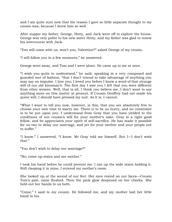and I am quite sure now that the reason I gave so little separate thought to my cousin was, because I knew him so well.

After supper my father, George, Hetty, and Jack went off to explore the house. George was very polite to his new sister Hetty, and my father was glad to renew his intercourse with Jack.

"You will come with us, won"t you, Valentine?" asked George of my cousin.

"I will follow you in a few moments," he answered.

George went away, and Tom and I were alone. He came up to me at once.

"I wish you quite to understand," he said, speaking in a very composed and guarded sort of fashion, "that I don"t intend to take advantage of anything you may say on impulse. I love you; I loved you before I knew a word of that strange will of our old kinsman's. The first day I saw you I felt that you were different from other women. Well, that is all. I think you believe me. I don"t want to say anything more on this matter at present. If Cousin Geoffrey had not made his queer will, I should have pressed my suit. As it is, I cannot.

"What I want to tell you now, however, is this, that you are absolutely free to choose your own time to marry me. There is to be no hurry, and no constraint is to be put upon you. I understand from Gray that you have yielded to the conditions of our cousin"s will for your mother"s sake. Gray is a right good fellow, and he appreciates your spirit of self-sacrifice. He has made it possible for us two to delay our marriage, and yet for your mother and your people not to suffer."

"I know," I answered, "I know. Mr Gray told me himself. But I—I don"t wish that."

"You don"t wish to delay our marriage?"

"No; come up-stairs and see mother."

I took his hand before he could prevent me. I ran up the wide stairs holding it. Still clasping it in mine, I entered my mother's room.

She looked up at the sound of our feet. Her eyes rested on our faces—Cousin Tom"s pale, mine flushed. Then the pink glow deepened on her cheeks. She held out her hands to us both.

"Come," I said to my cousin. He followed me, and my mother laid her little hand in his.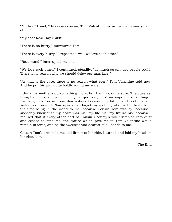"Mother," I said, "this is my cousin, Tom Valentine; we are going to marry each other."

"My dear Rose, my child!"

"There is no hurry," murmured Tom.

"There is every hurry," I repeated; "we—we love each other."

"Rosamund!" interrupted my cousin.

"We love each other," I continued, steadily, "as much as any two people could. There is no reason why we should delay our marriage."

"As that is the case, there is no reason what ever," Tom Valentine said now. And he put his arm quite boldly round my waist.

I think my mother said something more, but I am not quite sure. The queerest thing happened at that moment; the queerest, most incomprehensible thing. I had forgotten Cousin Tom down-stairs because my father and brothers and sister were present. Now up-stairs I forgot my mother, who had hitherto been the first being in the world to me, because Cousin Tom was by; because I suddenly knew that my heart was his, my life his, my future his; because I realised that if every other part of Cousin Geoffrey"s will crumbled into dust and ceased to bind me, the clause which gave me to Tom Valentine would remain in force, and be the sweetest and dearest of all bonds to me.

Cousin Tom"s arm held me still firmer to his side. I turned and laid my head on his shoulder.

The End